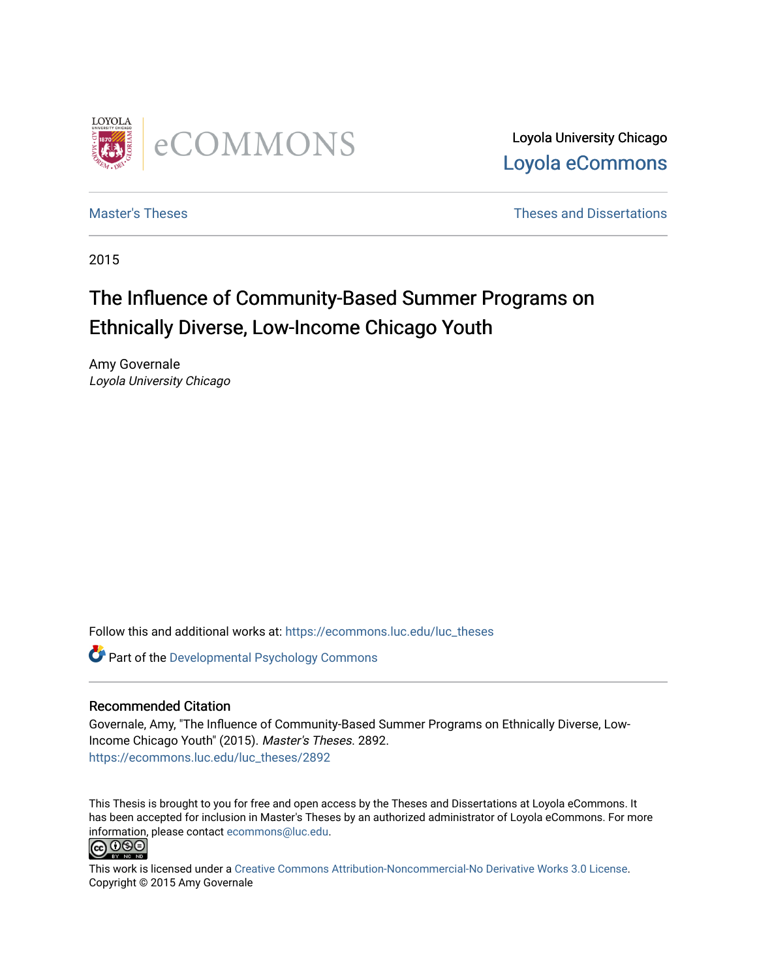

Loyola University Chicago [Loyola eCommons](https://ecommons.luc.edu/) 

[Master's Theses](https://ecommons.luc.edu/luc_theses) **Theses Theses** and Dissertations **Theses** and Dissertations

2015

# The Influence of Community-Based Summer Programs on Ethnically Diverse, Low-Income Chicago Youth

Amy Governale Loyola University Chicago

Follow this and additional works at: [https://ecommons.luc.edu/luc\\_theses](https://ecommons.luc.edu/luc_theses?utm_source=ecommons.luc.edu%2Fluc_theses%2F2892&utm_medium=PDF&utm_campaign=PDFCoverPages) 

**Part of the Developmental Psychology Commons** 

## Recommended Citation

Governale, Amy, "The Influence of Community-Based Summer Programs on Ethnically Diverse, Low-Income Chicago Youth" (2015). Master's Theses. 2892. [https://ecommons.luc.edu/luc\\_theses/2892](https://ecommons.luc.edu/luc_theses/2892?utm_source=ecommons.luc.edu%2Fluc_theses%2F2892&utm_medium=PDF&utm_campaign=PDFCoverPages)

This Thesis is brought to you for free and open access by the Theses and Dissertations at Loyola eCommons. It has been accepted for inclusion in Master's Theses by an authorized administrator of Loyola eCommons. For more information, please contact [ecommons@luc.edu.](mailto:ecommons@luc.edu)<br> **@ 099** 



This work is licensed under a [Creative Commons Attribution-Noncommercial-No Derivative Works 3.0 License.](https://creativecommons.org/licenses/by-nc-nd/3.0/) Copyright © 2015 Amy Governale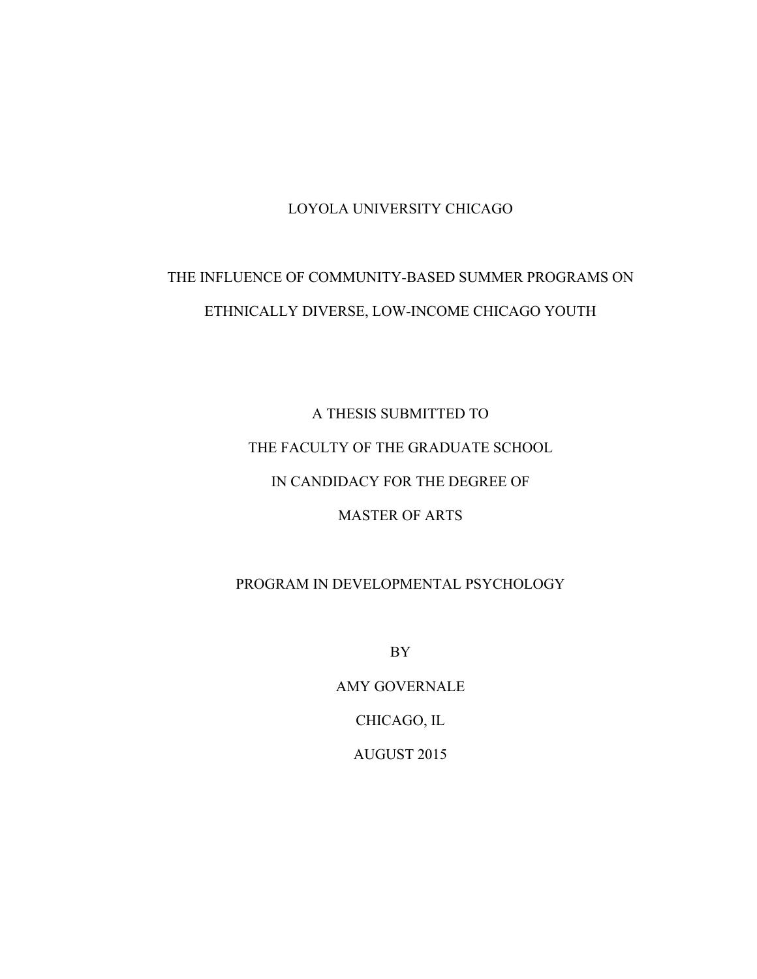# LOYOLA UNIVERSITY CHICAGO

# THE INFLUENCE OF COMMUNITY-BASED SUMMER PROGRAMS ON ETHNICALLY DIVERSE, LOW-INCOME CHICAGO YOUTH

A THESIS SUBMITTED TO THE FACULTY OF THE GRADUATE SCHOOL IN CANDIDACY FOR THE DEGREE OF MASTER OF ARTS

# PROGRAM IN DEVELOPMENTAL PSYCHOLOGY

BY

AMY GOVERNALE CHICAGO, IL AUGUST 2015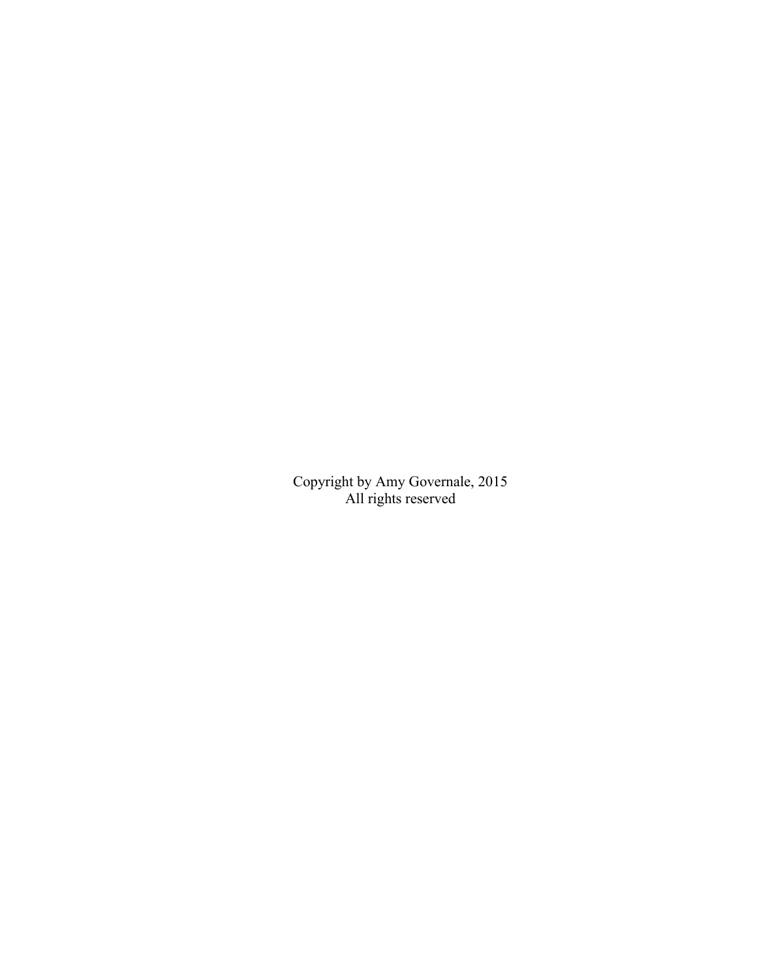Copyright by Amy Governale, 2015 All rights reserved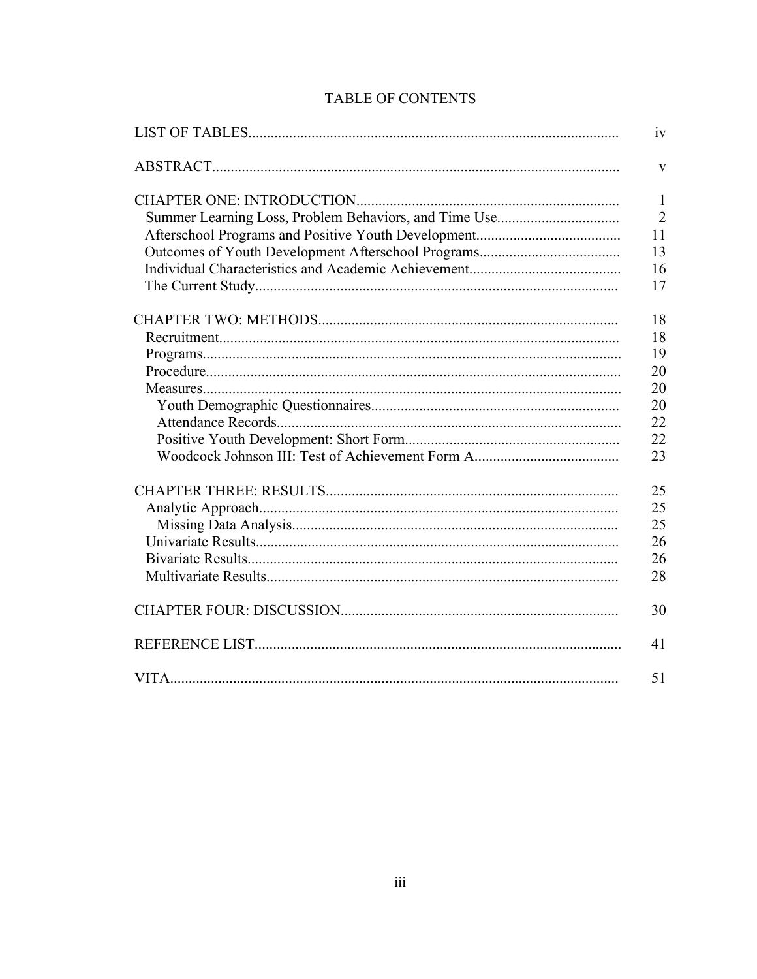# TABLE OF CONTENTS

| iv             |
|----------------|
| V              |
| $\mathbf{1}$   |
| $\overline{2}$ |
| 11             |
| 13             |
| 16<br>17       |
| 18             |
| 18             |
| 19             |
| 20             |
| 20             |
| 20             |
| 22             |
| 22             |
| 23             |
| 25             |
| 25             |
| 25             |
| 26             |
| 26             |
| 28             |
| 30             |
| 41             |
| 51             |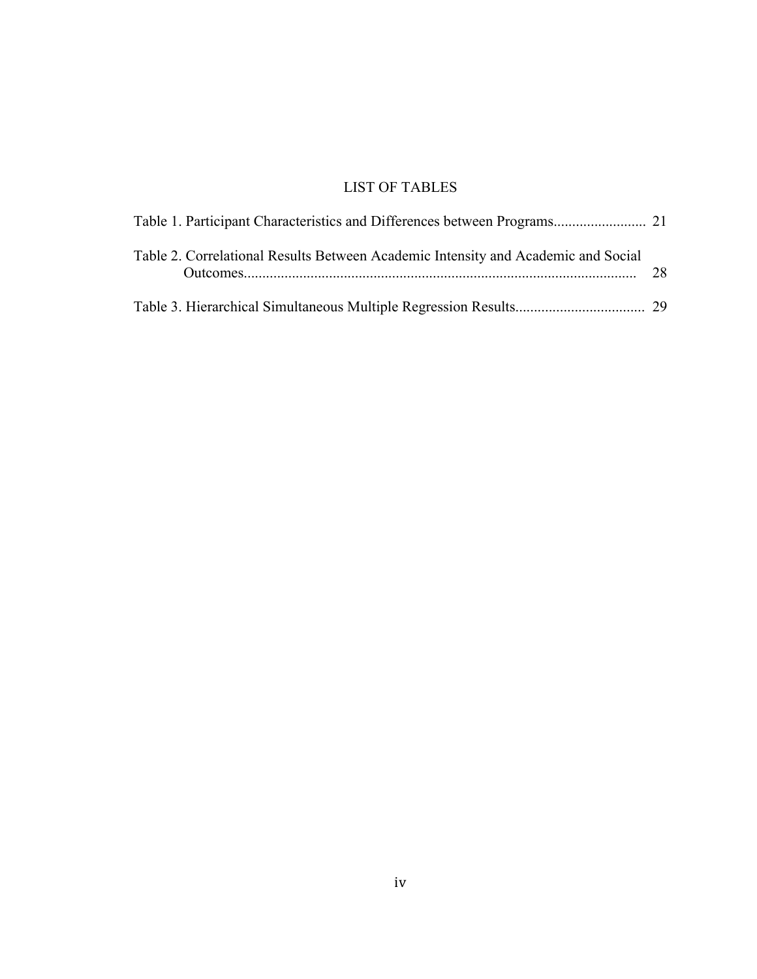# LIST OF TABLES

| Table 2. Correlational Results Between Academic Intensity and Academic and Social | 28 |
|-----------------------------------------------------------------------------------|----|
|                                                                                   |    |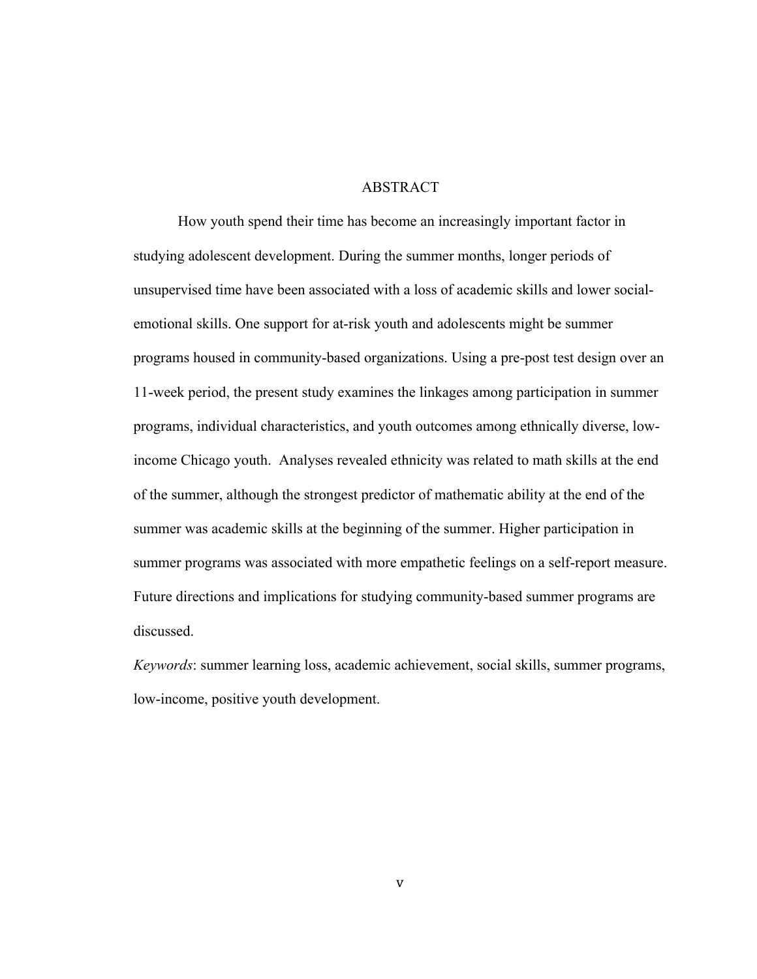# **ABSTRACT**

How youth spend their time has become an increasingly important factor in studying adolescent development. During the summer months, longer periods of unsupervised time have been associated with a loss of academic skills and lower socialemotional skills. One support for at-risk youth and adolescents might be summer programs housed in community-based organizations. Using a pre-post test design over an 11-week period, the present study examines the linkages among participation in summer programs, individual characteristics, and youth outcomes among ethnically diverse, lowincome Chicago youth. Analyses revealed ethnicity was related to math skills at the end of the summer, although the strongest predictor of mathematic ability at the end of the summer was academic skills at the beginning of the summer. Higher participation in summer programs was associated with more empathetic feelings on a self-report measure. Future directions and implications for studying community-based summer programs are discussed.

*Keywords*: summer learning loss, academic achievement, social skills, summer programs, low-income, positive youth development.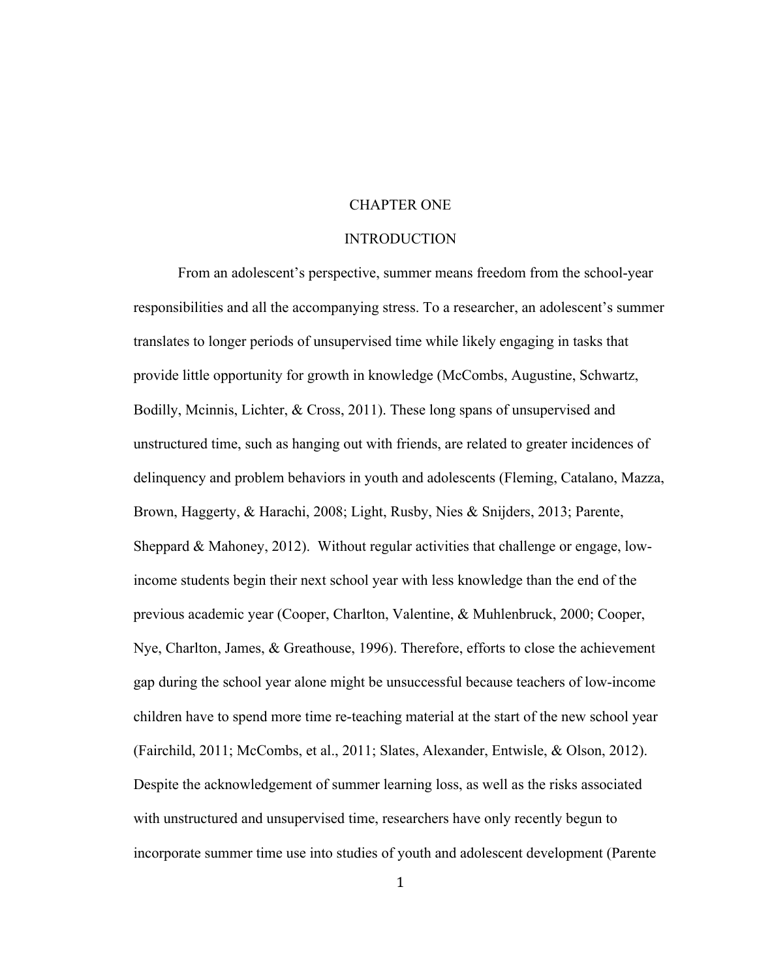### CHAPTER ONE

#### INTRODUCTION

From an adolescent's perspective, summer means freedom from the school-year responsibilities and all the accompanying stress. To a researcher, an adolescent's summer translates to longer periods of unsupervised time while likely engaging in tasks that provide little opportunity for growth in knowledge (McCombs, Augustine, Schwartz, Bodilly, Mcinnis, Lichter, & Cross, 2011). These long spans of unsupervised and unstructured time, such as hanging out with friends, are related to greater incidences of delinquency and problem behaviors in youth and adolescents (Fleming, Catalano, Mazza, Brown, Haggerty, & Harachi, 2008; Light, Rusby, Nies & Snijders, 2013; Parente, Sheppard & Mahoney, 2012). Without regular activities that challenge or engage, lowincome students begin their next school year with less knowledge than the end of the previous academic year (Cooper, Charlton, Valentine, & Muhlenbruck, 2000; Cooper, Nye, Charlton, James, & Greathouse, 1996). Therefore, efforts to close the achievement gap during the school year alone might be unsuccessful because teachers of low-income children have to spend more time re-teaching material at the start of the new school year (Fairchild, 2011; McCombs, et al., 2011; Slates, Alexander, Entwisle, & Olson, 2012). Despite the acknowledgement of summer learning loss, as well as the risks associated with unstructured and unsupervised time, researchers have only recently begun to incorporate summer time use into studies of youth and adolescent development (Parente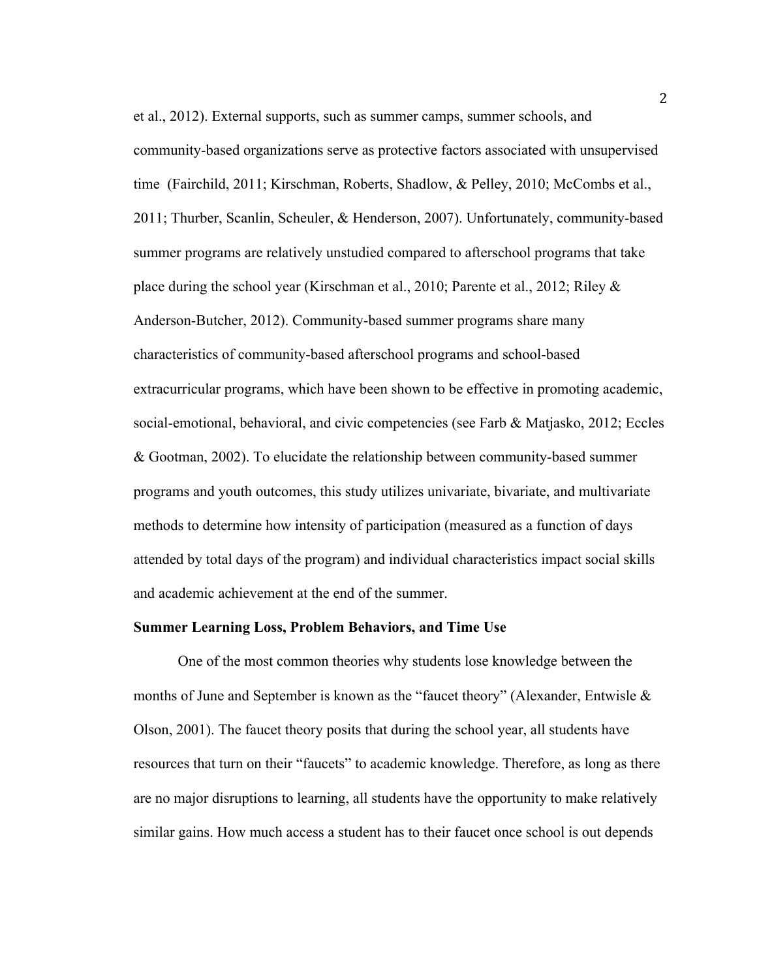et al., 2012). External supports, such as summer camps, summer schools, and community-based organizations serve as protective factors associated with unsupervised time (Fairchild, 2011; Kirschman, Roberts, Shadlow, & Pelley, 2010; McCombs et al., 2011; Thurber, Scanlin, Scheuler, & Henderson, 2007). Unfortunately, community-based summer programs are relatively unstudied compared to afterschool programs that take place during the school year (Kirschman et al., 2010; Parente et al., 2012; Riley & Anderson-Butcher, 2012). Community-based summer programs share many characteristics of community-based afterschool programs and school-based extracurricular programs, which have been shown to be effective in promoting academic, social-emotional, behavioral, and civic competencies (see Farb & Matjasko, 2012; Eccles & Gootman, 2002). To elucidate the relationship between community-based summer programs and youth outcomes, this study utilizes univariate, bivariate, and multivariate methods to determine how intensity of participation (measured as a function of days attended by total days of the program) and individual characteristics impact social skills and academic achievement at the end of the summer.

### **Summer Learning Loss, Problem Behaviors, and Time Use**

One of the most common theories why students lose knowledge between the months of June and September is known as the "faucet theory" (Alexander, Entwisle  $\&$ Olson, 2001). The faucet theory posits that during the school year, all students have resources that turn on their "faucets" to academic knowledge. Therefore, as long as there are no major disruptions to learning, all students have the opportunity to make relatively similar gains. How much access a student has to their faucet once school is out depends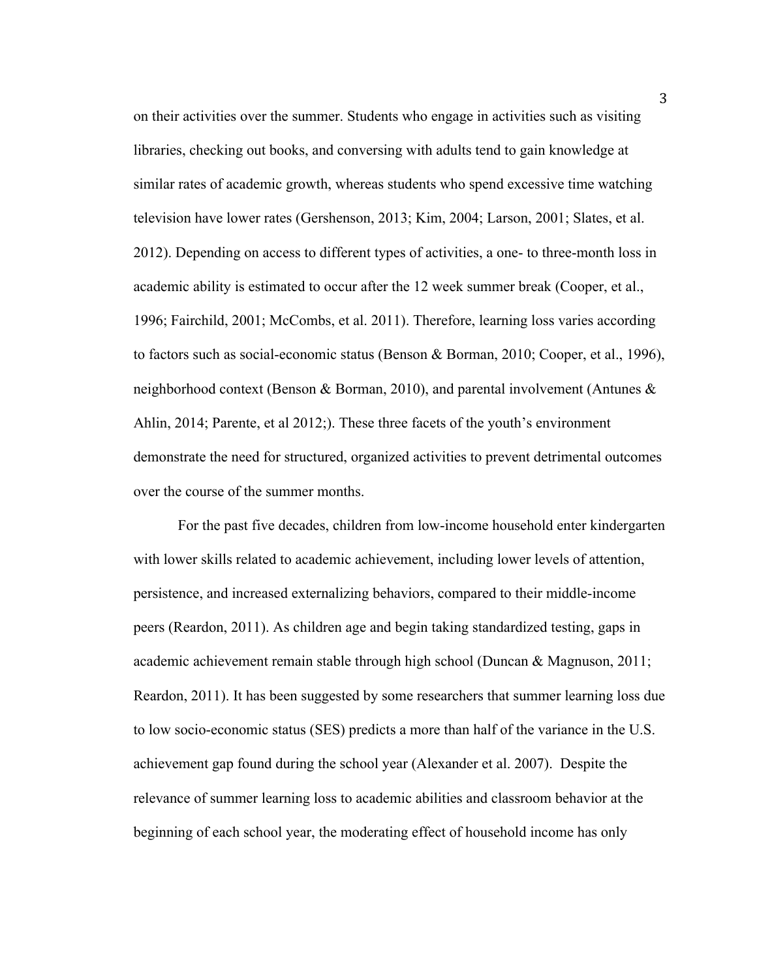on their activities over the summer. Students who engage in activities such as visiting libraries, checking out books, and conversing with adults tend to gain knowledge at similar rates of academic growth, whereas students who spend excessive time watching television have lower rates (Gershenson, 2013; Kim, 2004; Larson, 2001; Slates, et al. 2012). Depending on access to different types of activities, a one- to three-month loss in academic ability is estimated to occur after the 12 week summer break (Cooper, et al., 1996; Fairchild, 2001; McCombs, et al. 2011). Therefore, learning loss varies according to factors such as social-economic status (Benson & Borman, 2010; Cooper, et al., 1996), neighborhood context (Benson & Borman, 2010), and parental involvement (Antunes  $\&$ Ahlin, 2014; Parente, et al 2012;). These three facets of the youth's environment demonstrate the need for structured, organized activities to prevent detrimental outcomes over the course of the summer months.

For the past five decades, children from low-income household enter kindergarten with lower skills related to academic achievement, including lower levels of attention, persistence, and increased externalizing behaviors, compared to their middle-income peers (Reardon, 2011). As children age and begin taking standardized testing, gaps in academic achievement remain stable through high school (Duncan & Magnuson, 2011; Reardon, 2011). It has been suggested by some researchers that summer learning loss due to low socio-economic status (SES) predicts a more than half of the variance in the U.S. achievement gap found during the school year (Alexander et al. 2007). Despite the relevance of summer learning loss to academic abilities and classroom behavior at the beginning of each school year, the moderating effect of household income has only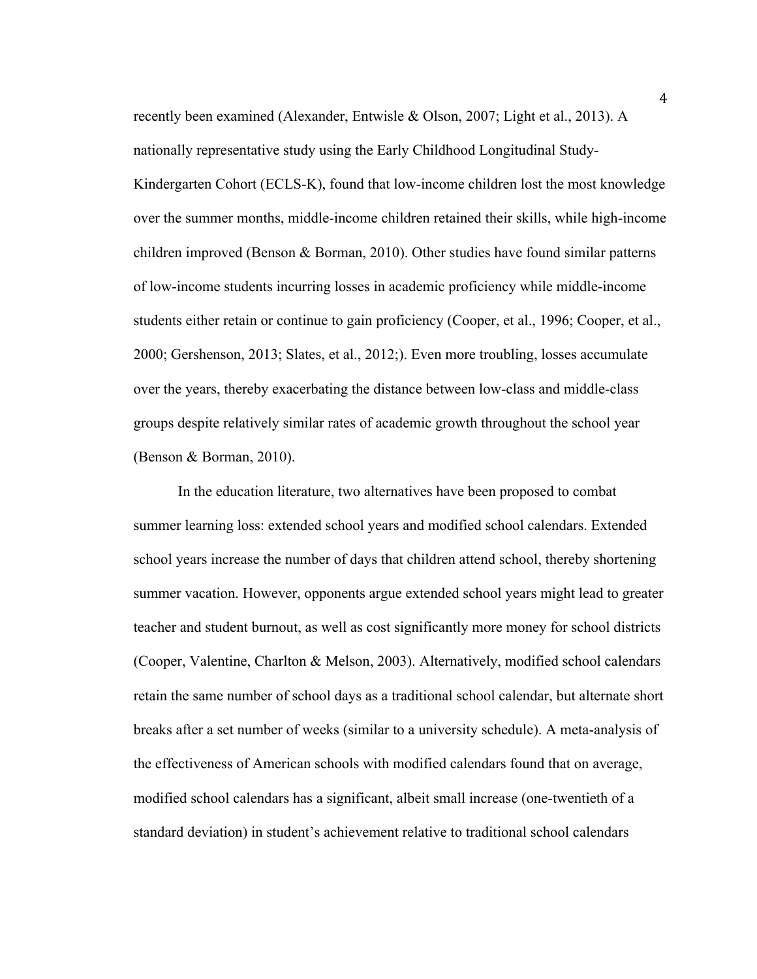recently been examined (Alexander, Entwisle & Olson, 2007; Light et al., 2013). A nationally representative study using the Early Childhood Longitudinal Study-Kindergarten Cohort (ECLS-K), found that low-income children lost the most knowledge over the summer months, middle-income children retained their skills, while high-income children improved (Benson & Borman, 2010). Other studies have found similar patterns of low-income students incurring losses in academic proficiency while middle-income students either retain or continue to gain proficiency (Cooper, et al., 1996; Cooper, et al., 2000; Gershenson, 2013; Slates, et al., 2012;). Even more troubling, losses accumulate over the years, thereby exacerbating the distance between low-class and middle-class groups despite relatively similar rates of academic growth throughout the school year (Benson & Borman, 2010).

In the education literature, two alternatives have been proposed to combat summer learning loss: extended school years and modified school calendars. Extended school years increase the number of days that children attend school, thereby shortening summer vacation. However, opponents argue extended school years might lead to greater teacher and student burnout, as well as cost significantly more money for school districts (Cooper, Valentine, Charlton & Melson, 2003). Alternatively, modified school calendars retain the same number of school days as a traditional school calendar, but alternate short breaks after a set number of weeks (similar to a university schedule). A meta-analysis of the effectiveness of American schools with modified calendars found that on average, modified school calendars has a significant, albeit small increase (one-twentieth of a standard deviation) in student's achievement relative to traditional school calendars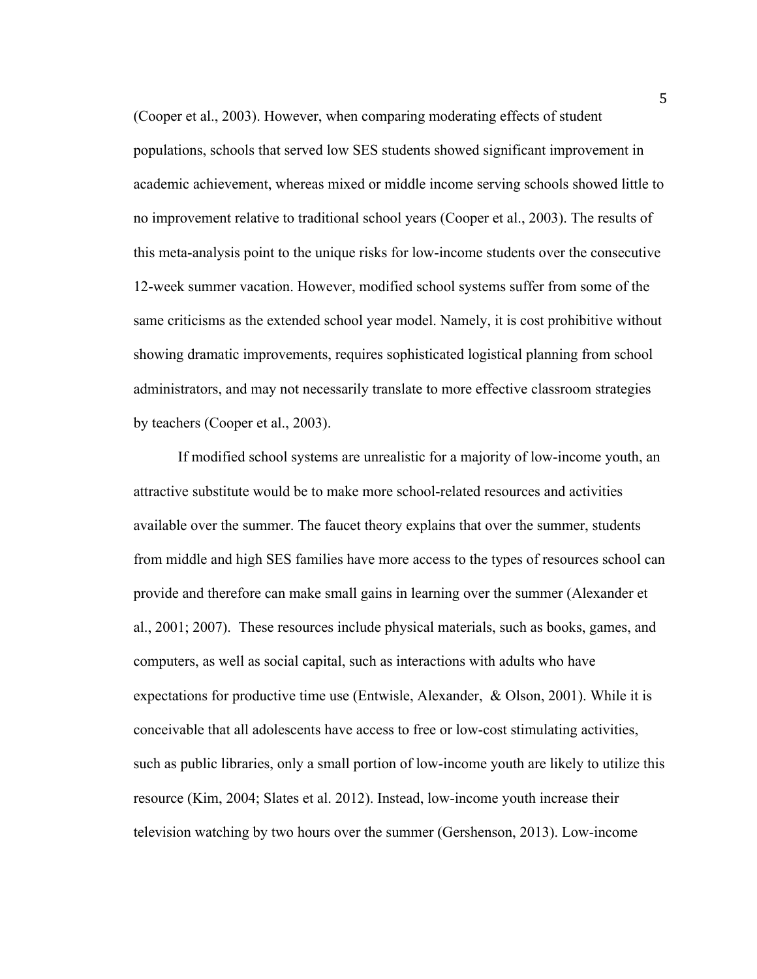(Cooper et al., 2003). However, when comparing moderating effects of student populations, schools that served low SES students showed significant improvement in academic achievement, whereas mixed or middle income serving schools showed little to no improvement relative to traditional school years (Cooper et al., 2003). The results of this meta-analysis point to the unique risks for low-income students over the consecutive 12-week summer vacation. However, modified school systems suffer from some of the same criticisms as the extended school year model. Namely, it is cost prohibitive without showing dramatic improvements, requires sophisticated logistical planning from school administrators, and may not necessarily translate to more effective classroom strategies by teachers (Cooper et al., 2003).

If modified school systems are unrealistic for a majority of low-income youth, an attractive substitute would be to make more school-related resources and activities available over the summer. The faucet theory explains that over the summer, students from middle and high SES families have more access to the types of resources school can provide and therefore can make small gains in learning over the summer (Alexander et al., 2001; 2007). These resources include physical materials, such as books, games, and computers, as well as social capital, such as interactions with adults who have expectations for productive time use (Entwisle, Alexander, & Olson, 2001). While it is conceivable that all adolescents have access to free or low-cost stimulating activities, such as public libraries, only a small portion of low-income youth are likely to utilize this resource (Kim, 2004; Slates et al. 2012). Instead, low-income youth increase their television watching by two hours over the summer (Gershenson, 2013). Low-income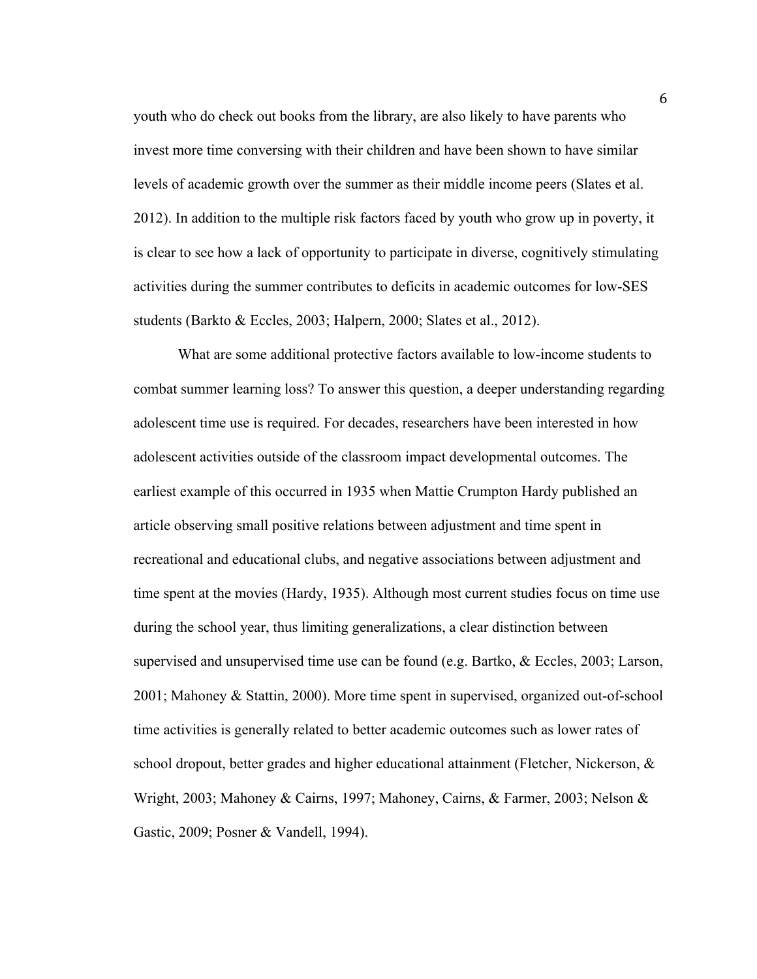youth who do check out books from the library, are also likely to have parents who invest more time conversing with their children and have been shown to have similar levels of academic growth over the summer as their middle income peers (Slates et al. 2012). In addition to the multiple risk factors faced by youth who grow up in poverty, it is clear to see how a lack of opportunity to participate in diverse, cognitively stimulating activities during the summer contributes to deficits in academic outcomes for low-SES students (Barkto & Eccles, 2003; Halpern, 2000; Slates et al., 2012).

What are some additional protective factors available to low-income students to combat summer learning loss? To answer this question, a deeper understanding regarding adolescent time use is required. For decades, researchers have been interested in how adolescent activities outside of the classroom impact developmental outcomes. The earliest example of this occurred in 1935 when Mattie Crumpton Hardy published an article observing small positive relations between adjustment and time spent in recreational and educational clubs, and negative associations between adjustment and time spent at the movies (Hardy, 1935). Although most current studies focus on time use during the school year, thus limiting generalizations, a clear distinction between supervised and unsupervised time use can be found (e.g. Bartko, & Eccles, 2003; Larson, 2001; Mahoney & Stattin, 2000). More time spent in supervised, organized out-of-school time activities is generally related to better academic outcomes such as lower rates of school dropout, better grades and higher educational attainment (Fletcher, Nickerson,  $\&$ Wright, 2003; Mahoney & Cairns, 1997; Mahoney, Cairns, & Farmer, 2003; Nelson & Gastic, 2009; Posner & Vandell, 1994).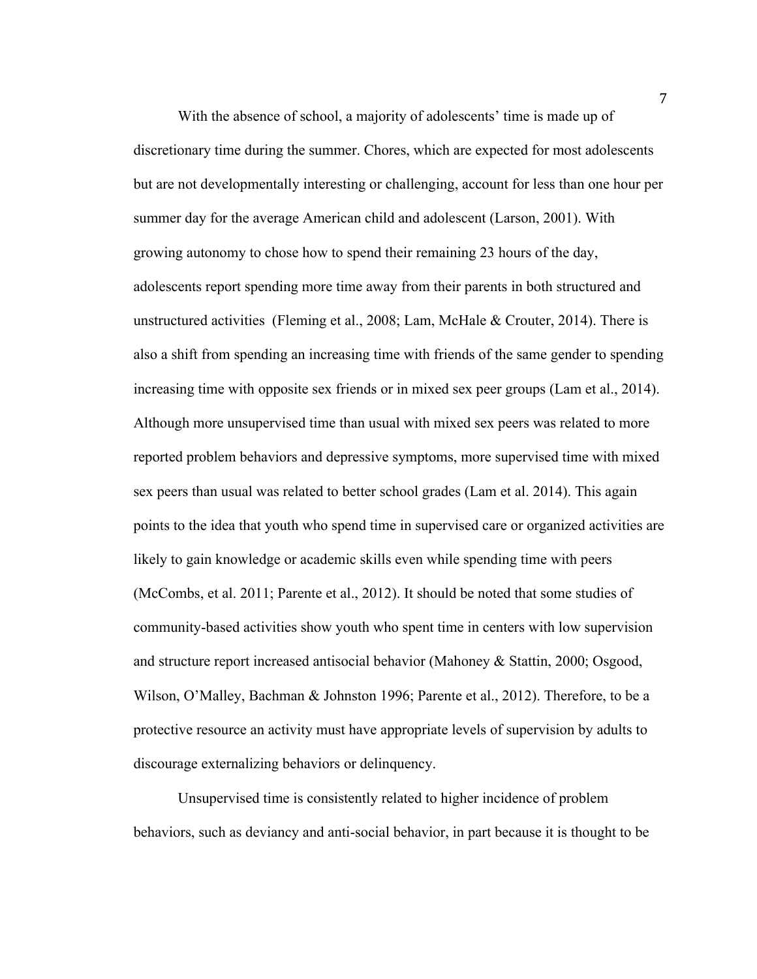With the absence of school, a majority of adolescents' time is made up of discretionary time during the summer. Chores, which are expected for most adolescents but are not developmentally interesting or challenging, account for less than one hour per summer day for the average American child and adolescent (Larson, 2001). With growing autonomy to chose how to spend their remaining 23 hours of the day, adolescents report spending more time away from their parents in both structured and unstructured activities (Fleming et al., 2008; Lam, McHale & Crouter, 2014). There is also a shift from spending an increasing time with friends of the same gender to spending increasing time with opposite sex friends or in mixed sex peer groups (Lam et al., 2014). Although more unsupervised time than usual with mixed sex peers was related to more reported problem behaviors and depressive symptoms, more supervised time with mixed sex peers than usual was related to better school grades (Lam et al. 2014). This again points to the idea that youth who spend time in supervised care or organized activities are likely to gain knowledge or academic skills even while spending time with peers (McCombs, et al. 2011; Parente et al., 2012). It should be noted that some studies of community-based activities show youth who spent time in centers with low supervision and structure report increased antisocial behavior (Mahoney & Stattin, 2000; Osgood, Wilson, O'Malley, Bachman & Johnston 1996; Parente et al., 2012). Therefore, to be a protective resource an activity must have appropriate levels of supervision by adults to discourage externalizing behaviors or delinquency.

Unsupervised time is consistently related to higher incidence of problem behaviors, such as deviancy and anti-social behavior, in part because it is thought to be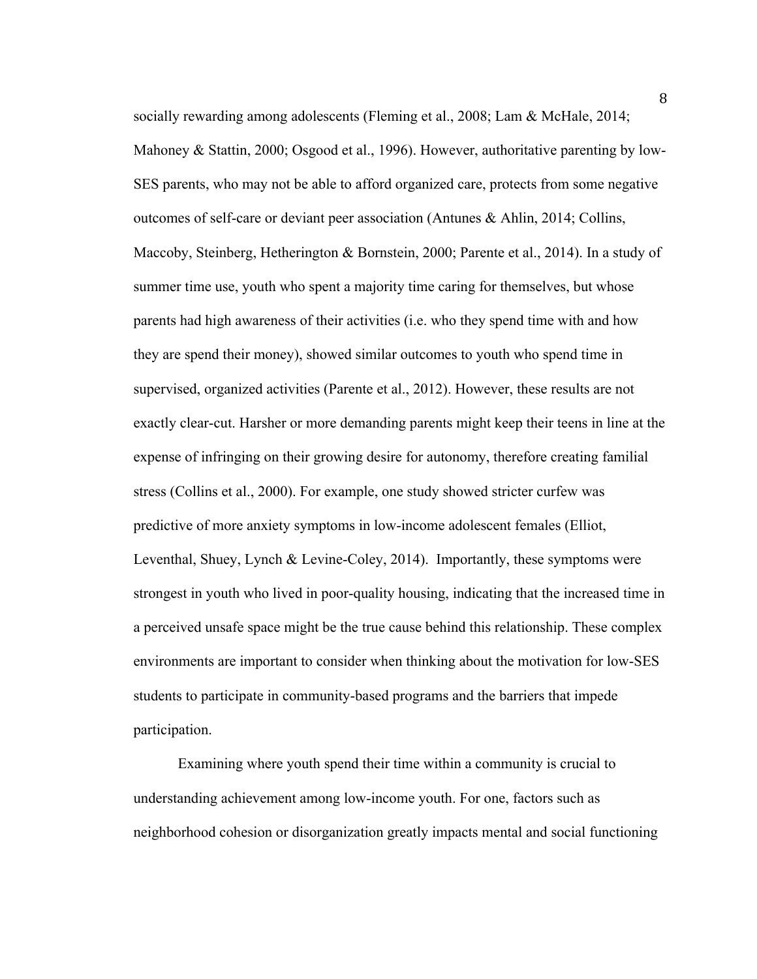socially rewarding among adolescents (Fleming et al., 2008; Lam & McHale, 2014; Mahoney & Stattin, 2000; Osgood et al., 1996). However, authoritative parenting by low-SES parents, who may not be able to afford organized care, protects from some negative outcomes of self-care or deviant peer association (Antunes & Ahlin, 2014; Collins, Maccoby, Steinberg, Hetherington & Bornstein, 2000; Parente et al., 2014). In a study of summer time use, youth who spent a majority time caring for themselves, but whose parents had high awareness of their activities (i.e. who they spend time with and how they are spend their money), showed similar outcomes to youth who spend time in supervised, organized activities (Parente et al., 2012). However, these results are not exactly clear-cut. Harsher or more demanding parents might keep their teens in line at the expense of infringing on their growing desire for autonomy, therefore creating familial stress (Collins et al., 2000). For example, one study showed stricter curfew was predictive of more anxiety symptoms in low-income adolescent females (Elliot, Leventhal, Shuey, Lynch & Levine-Coley, 2014). Importantly, these symptoms were strongest in youth who lived in poor-quality housing, indicating that the increased time in a perceived unsafe space might be the true cause behind this relationship. These complex environments are important to consider when thinking about the motivation for low-SES students to participate in community-based programs and the barriers that impede participation.

Examining where youth spend their time within a community is crucial to understanding achievement among low-income youth. For one, factors such as neighborhood cohesion or disorganization greatly impacts mental and social functioning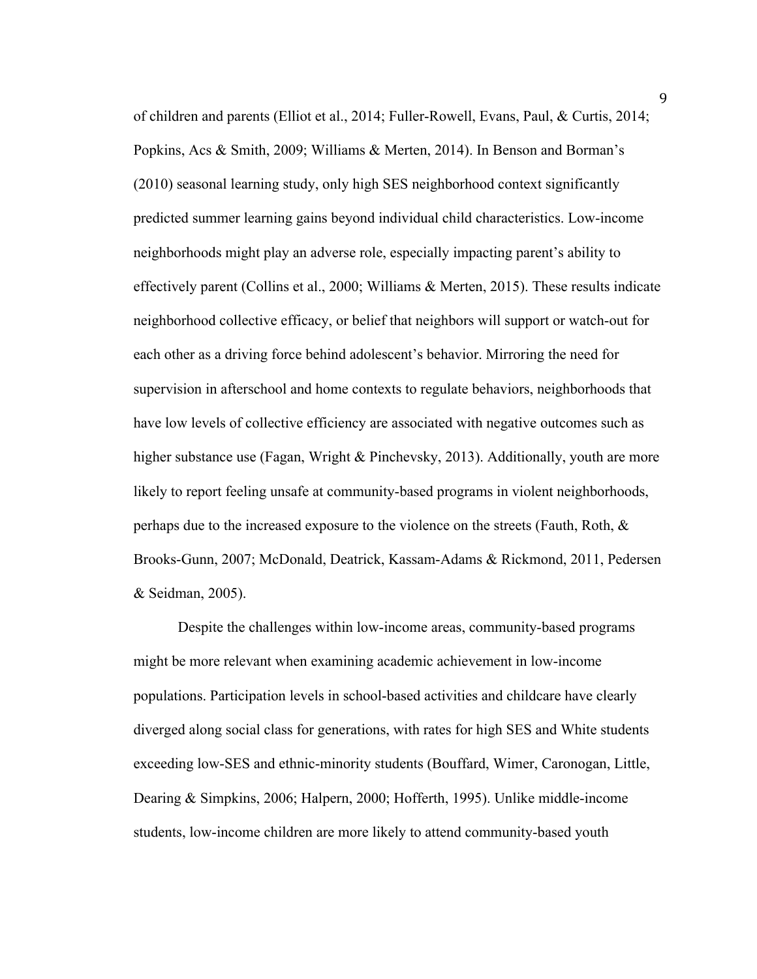of children and parents (Elliot et al., 2014; Fuller-Rowell, Evans, Paul, & Curtis, 2014; Popkins, Acs & Smith, 2009; Williams & Merten, 2014). In Benson and Borman's (2010) seasonal learning study, only high SES neighborhood context significantly predicted summer learning gains beyond individual child characteristics. Low-income neighborhoods might play an adverse role, especially impacting parent's ability to effectively parent (Collins et al., 2000; Williams & Merten, 2015). These results indicate neighborhood collective efficacy, or belief that neighbors will support or watch-out for each other as a driving force behind adolescent's behavior. Mirroring the need for supervision in afterschool and home contexts to regulate behaviors, neighborhoods that have low levels of collective efficiency are associated with negative outcomes such as higher substance use (Fagan, Wright & Pinchevsky, 2013). Additionally, youth are more likely to report feeling unsafe at community-based programs in violent neighborhoods, perhaps due to the increased exposure to the violence on the streets (Fauth, Roth, & Brooks-Gunn, 2007; McDonald, Deatrick, Kassam-Adams & Rickmond, 2011, Pedersen & Seidman, 2005).

Despite the challenges within low-income areas, community-based programs might be more relevant when examining academic achievement in low-income populations. Participation levels in school-based activities and childcare have clearly diverged along social class for generations, with rates for high SES and White students exceeding low-SES and ethnic-minority students (Bouffard, Wimer, Caronogan, Little, Dearing & Simpkins, 2006; Halpern, 2000; Hofferth, 1995). Unlike middle-income students, low-income children are more likely to attend community-based youth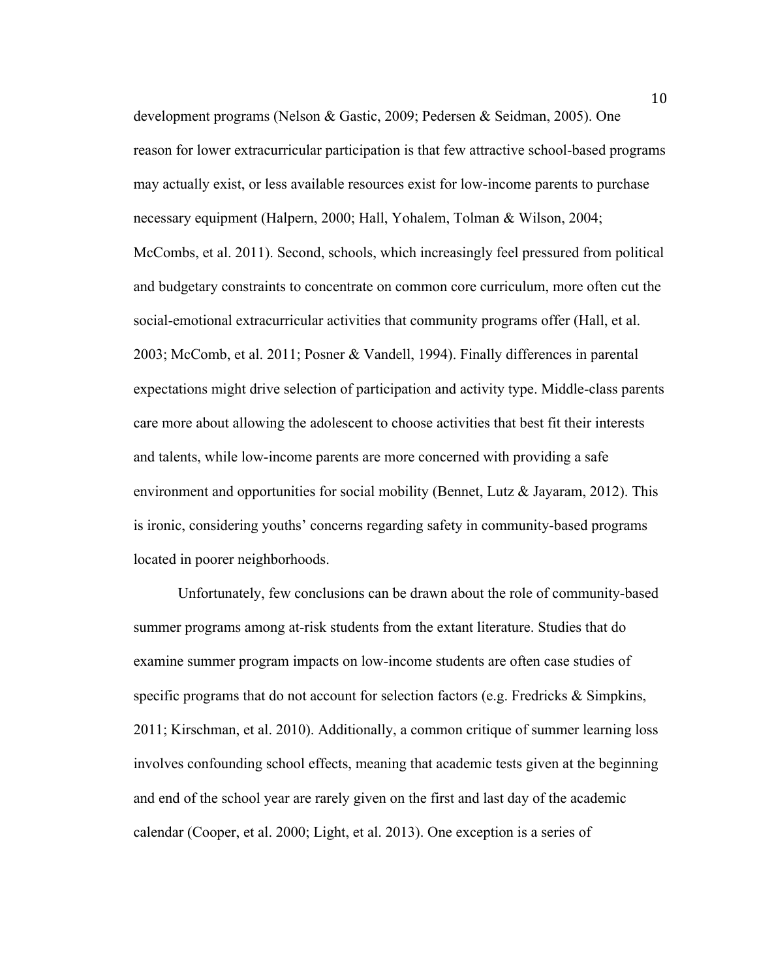development programs (Nelson & Gastic, 2009; Pedersen & Seidman, 2005). One reason for lower extracurricular participation is that few attractive school-based programs may actually exist, or less available resources exist for low-income parents to purchase necessary equipment (Halpern, 2000; Hall, Yohalem, Tolman & Wilson, 2004; McCombs, et al. 2011). Second, schools, which increasingly feel pressured from political and budgetary constraints to concentrate on common core curriculum, more often cut the social-emotional extracurricular activities that community programs offer (Hall, et al. 2003; McComb, et al. 2011; Posner & Vandell, 1994). Finally differences in parental expectations might drive selection of participation and activity type. Middle-class parents care more about allowing the adolescent to choose activities that best fit their interests and talents, while low-income parents are more concerned with providing a safe environment and opportunities for social mobility (Bennet, Lutz & Jayaram, 2012). This is ironic, considering youths' concerns regarding safety in community-based programs located in poorer neighborhoods.

Unfortunately, few conclusions can be drawn about the role of community-based summer programs among at-risk students from the extant literature. Studies that do examine summer program impacts on low-income students are often case studies of specific programs that do not account for selection factors (e.g. Fredricks & Simpkins, 2011; Kirschman, et al. 2010). Additionally, a common critique of summer learning loss involves confounding school effects, meaning that academic tests given at the beginning and end of the school year are rarely given on the first and last day of the academic calendar (Cooper, et al. 2000; Light, et al. 2013). One exception is a series of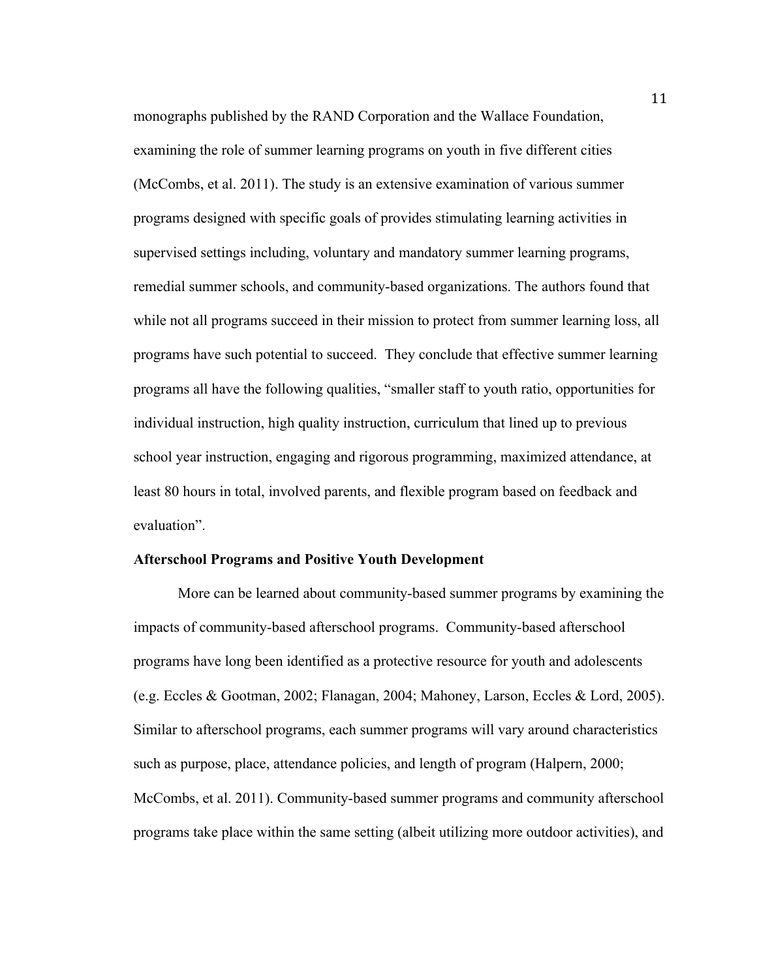monographs published by the RAND Corporation and the Wallace Foundation, examining the role of summer learning programs on youth in five different cities (McCombs, et al. 2011). The study is an extensive examination of various summer programs designed with specific goals of provides stimulating learning activities in supervised settings including, voluntary and mandatory summer learning programs, remedial summer schools, and community-based organizations. The authors found that while not all programs succeed in their mission to protect from summer learning loss, all programs have such potential to succeed. They conclude that effective summer learning programs all have the following qualities, "smaller staff to youth ratio, opportunities for individual instruction, high quality instruction, curriculum that lined up to previous school year instruction, engaging and rigorous programming, maximized attendance, at least 80 hours in total, involved parents, and flexible program based on feedback and evaluation".

#### **Afterschool Programs and Positive Youth Development**

More can be learned about community-based summer programs by examining the impacts of community-based afterschool programs. Community-based afterschool programs have long been identified as a protective resource for youth and adolescents (e.g. Eccles & Gootman, 2002; Flanagan, 2004; Mahoney, Larson, Eccles & Lord, 2005). Similar to afterschool programs, each summer programs will vary around characteristics such as purpose, place, attendance policies, and length of program (Halpern, 2000; McCombs, et al. 2011). Community-based summer programs and community afterschool programs take place within the same setting (albeit utilizing more outdoor activities), and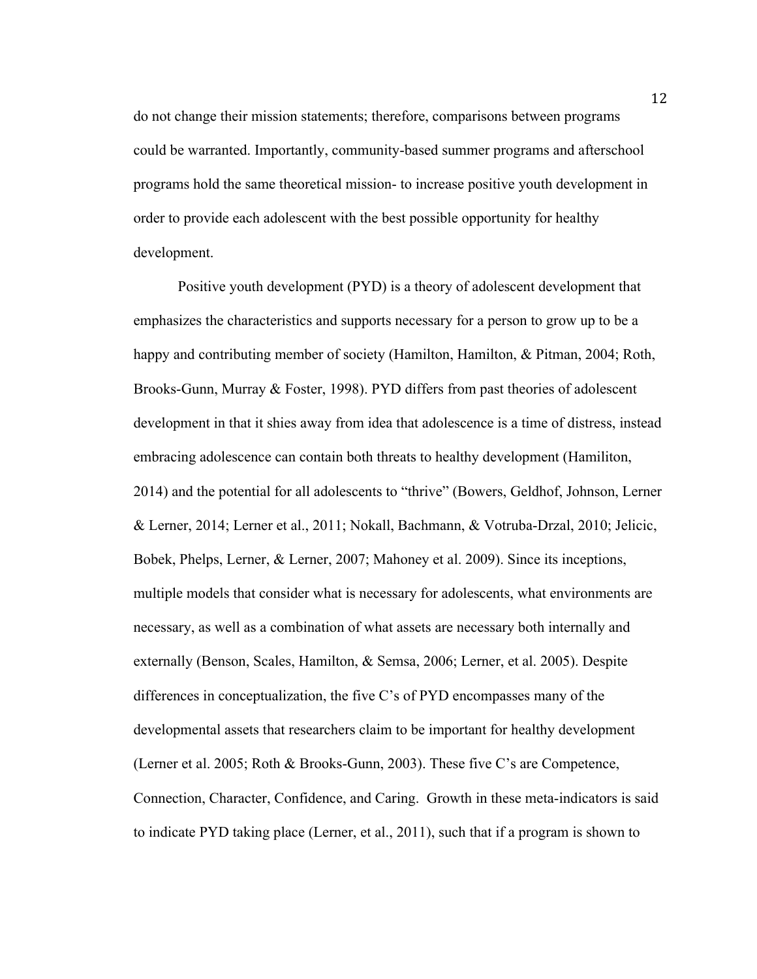do not change their mission statements; therefore, comparisons between programs could be warranted. Importantly, community-based summer programs and afterschool programs hold the same theoretical mission- to increase positive youth development in order to provide each adolescent with the best possible opportunity for healthy development.

Positive youth development (PYD) is a theory of adolescent development that emphasizes the characteristics and supports necessary for a person to grow up to be a happy and contributing member of society (Hamilton, Hamilton, & Pitman, 2004; Roth, Brooks-Gunn, Murray & Foster, 1998). PYD differs from past theories of adolescent development in that it shies away from idea that adolescence is a time of distress, instead embracing adolescence can contain both threats to healthy development (Hamiliton, 2014) and the potential for all adolescents to "thrive" (Bowers, Geldhof, Johnson, Lerner & Lerner, 2014; Lerner et al., 2011; Nokall, Bachmann, & Votruba-Drzal, 2010; Jelicic, Bobek, Phelps, Lerner, & Lerner, 2007; Mahoney et al. 2009). Since its inceptions, multiple models that consider what is necessary for adolescents, what environments are necessary, as well as a combination of what assets are necessary both internally and externally (Benson, Scales, Hamilton, & Semsa, 2006; Lerner, et al. 2005). Despite differences in conceptualization, the five C's of PYD encompasses many of the developmental assets that researchers claim to be important for healthy development (Lerner et al. 2005; Roth & Brooks-Gunn, 2003). These five C's are Competence, Connection, Character, Confidence, and Caring. Growth in these meta-indicators is said to indicate PYD taking place (Lerner, et al., 2011), such that if a program is shown to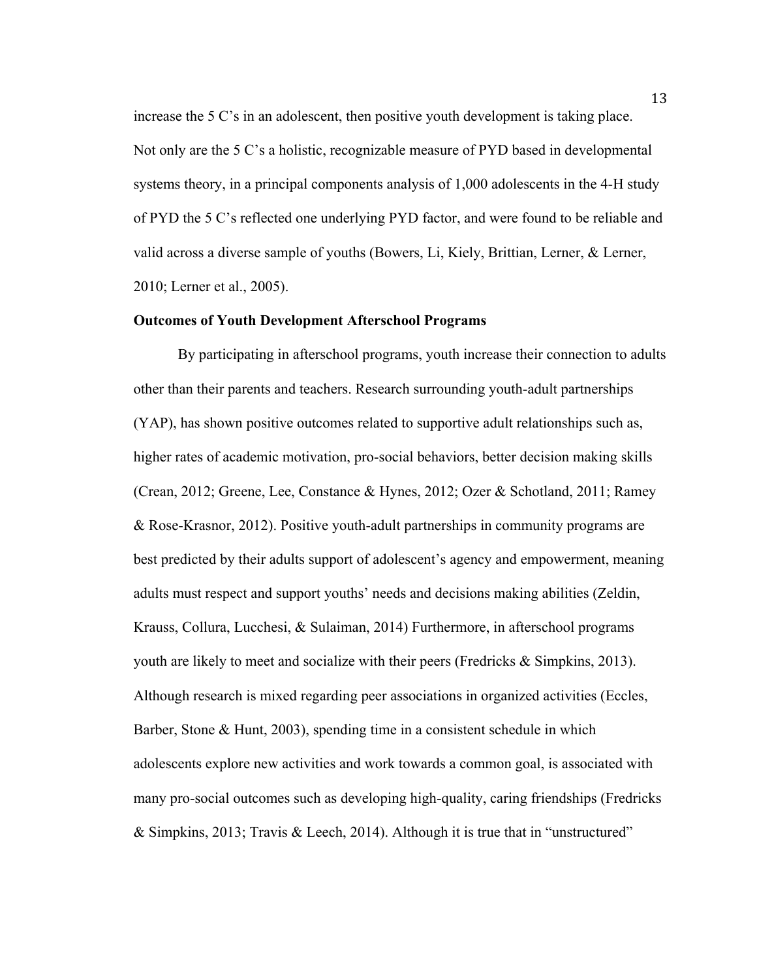increase the 5 C's in an adolescent, then positive youth development is taking place. Not only are the 5 C's a holistic, recognizable measure of PYD based in developmental systems theory, in a principal components analysis of 1,000 adolescents in the 4-H study of PYD the 5 C's reflected one underlying PYD factor, and were found to be reliable and valid across a diverse sample of youths (Bowers, Li, Kiely, Brittian, Lerner, & Lerner, 2010; Lerner et al., 2005).

## **Outcomes of Youth Development Afterschool Programs**

By participating in afterschool programs, youth increase their connection to adults other than their parents and teachers. Research surrounding youth-adult partnerships (YAP), has shown positive outcomes related to supportive adult relationships such as, higher rates of academic motivation, pro-social behaviors, better decision making skills (Crean, 2012; Greene, Lee, Constance & Hynes, 2012; Ozer & Schotland, 2011; Ramey & Rose-Krasnor, 2012). Positive youth-adult partnerships in community programs are best predicted by their adults support of adolescent's agency and empowerment, meaning adults must respect and support youths' needs and decisions making abilities (Zeldin, Krauss, Collura, Lucchesi, & Sulaiman, 2014) Furthermore, in afterschool programs youth are likely to meet and socialize with their peers (Fredricks & Simpkins, 2013). Although research is mixed regarding peer associations in organized activities (Eccles, Barber, Stone & Hunt, 2003), spending time in a consistent schedule in which adolescents explore new activities and work towards a common goal, is associated with many pro-social outcomes such as developing high-quality, caring friendships (Fredricks & Simpkins, 2013; Travis & Leech, 2014). Although it is true that in "unstructured"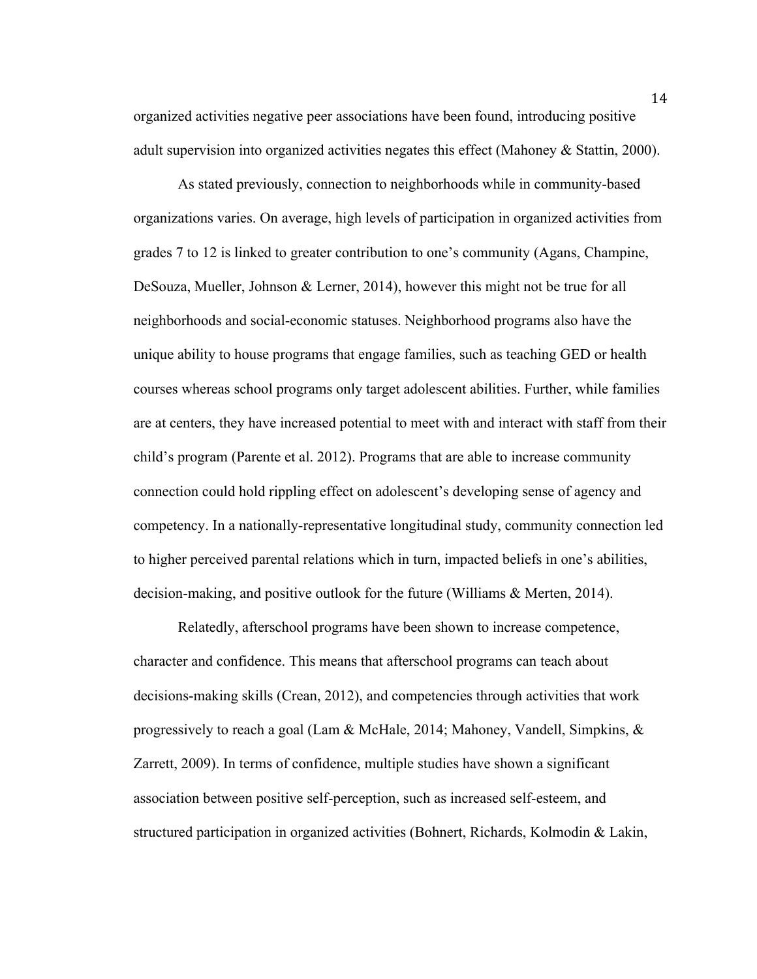organized activities negative peer associations have been found, introducing positive adult supervision into organized activities negates this effect (Mahoney & Stattin, 2000).

As stated previously, connection to neighborhoods while in community-based organizations varies. On average, high levels of participation in organized activities from grades 7 to 12 is linked to greater contribution to one's community (Agans, Champine, DeSouza, Mueller, Johnson & Lerner, 2014), however this might not be true for all neighborhoods and social-economic statuses. Neighborhood programs also have the unique ability to house programs that engage families, such as teaching GED or health courses whereas school programs only target adolescent abilities. Further, while families are at centers, they have increased potential to meet with and interact with staff from their child's program (Parente et al. 2012). Programs that are able to increase community connection could hold rippling effect on adolescent's developing sense of agency and competency. In a nationally-representative longitudinal study, community connection led to higher perceived parental relations which in turn, impacted beliefs in one's abilities, decision-making, and positive outlook for the future (Williams & Merten, 2014).

Relatedly, afterschool programs have been shown to increase competence, character and confidence. This means that afterschool programs can teach about decisions-making skills (Crean, 2012), and competencies through activities that work progressively to reach a goal (Lam & McHale, 2014; Mahoney, Vandell, Simpkins, & Zarrett, 2009). In terms of confidence, multiple studies have shown a significant association between positive self-perception, such as increased self-esteem, and structured participation in organized activities (Bohnert, Richards, Kolmodin & Lakin,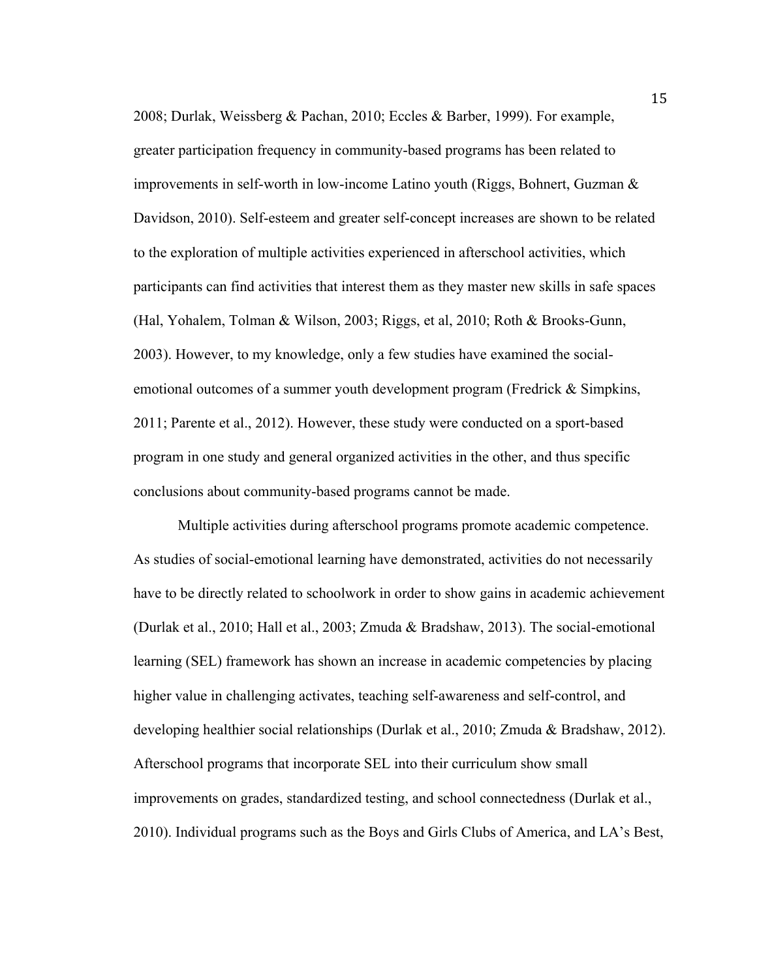2008; Durlak, Weissberg & Pachan, 2010; Eccles & Barber, 1999). For example, greater participation frequency in community-based programs has been related to improvements in self-worth in low-income Latino youth (Riggs, Bohnert, Guzman & Davidson, 2010). Self-esteem and greater self-concept increases are shown to be related to the exploration of multiple activities experienced in afterschool activities, which participants can find activities that interest them as they master new skills in safe spaces (Hal, Yohalem, Tolman & Wilson, 2003; Riggs, et al, 2010; Roth & Brooks-Gunn, 2003). However, to my knowledge, only a few studies have examined the socialemotional outcomes of a summer youth development program (Fredrick & Simpkins, 2011; Parente et al., 2012). However, these study were conducted on a sport-based program in one study and general organized activities in the other, and thus specific conclusions about community-based programs cannot be made.

Multiple activities during afterschool programs promote academic competence. As studies of social-emotional learning have demonstrated, activities do not necessarily have to be directly related to schoolwork in order to show gains in academic achievement (Durlak et al., 2010; Hall et al., 2003; Zmuda & Bradshaw, 2013). The social-emotional learning (SEL) framework has shown an increase in academic competencies by placing higher value in challenging activates, teaching self-awareness and self-control, and developing healthier social relationships (Durlak et al., 2010; Zmuda & Bradshaw, 2012). Afterschool programs that incorporate SEL into their curriculum show small improvements on grades, standardized testing, and school connectedness (Durlak et al., 2010). Individual programs such as the Boys and Girls Clubs of America, and LA's Best,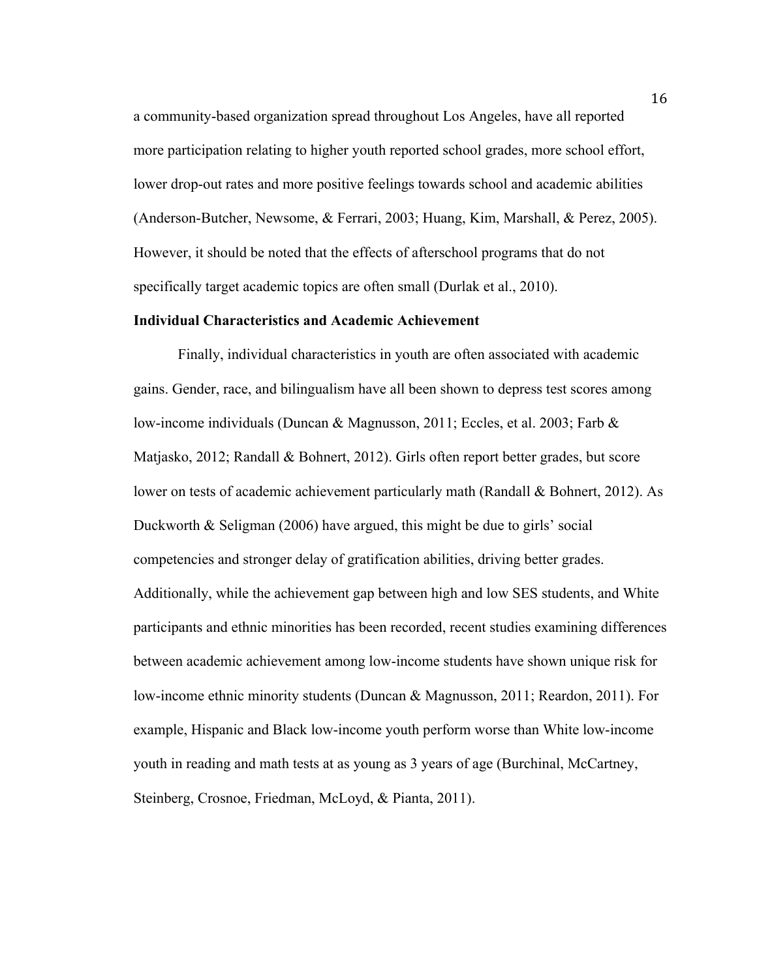a community-based organization spread throughout Los Angeles, have all reported more participation relating to higher youth reported school grades, more school effort, lower drop-out rates and more positive feelings towards school and academic abilities (Anderson-Butcher, Newsome, & Ferrari, 2003; Huang, Kim, Marshall, & Perez, 2005). However, it should be noted that the effects of afterschool programs that do not specifically target academic topics are often small (Durlak et al., 2010).

## **Individual Characteristics and Academic Achievement**

Finally, individual characteristics in youth are often associated with academic gains. Gender, race, and bilingualism have all been shown to depress test scores among low-income individuals (Duncan & Magnusson, 2011; Eccles, et al. 2003; Farb & Matjasko, 2012; Randall & Bohnert, 2012). Girls often report better grades, but score lower on tests of academic achievement particularly math (Randall & Bohnert, 2012). As Duckworth & Seligman (2006) have argued, this might be due to girls' social competencies and stronger delay of gratification abilities, driving better grades. Additionally, while the achievement gap between high and low SES students, and White participants and ethnic minorities has been recorded, recent studies examining differences between academic achievement among low-income students have shown unique risk for low-income ethnic minority students (Duncan & Magnusson, 2011; Reardon, 2011). For example, Hispanic and Black low-income youth perform worse than White low-income youth in reading and math tests at as young as 3 years of age (Burchinal, McCartney, Steinberg, Crosnoe, Friedman, McLoyd, & Pianta, 2011).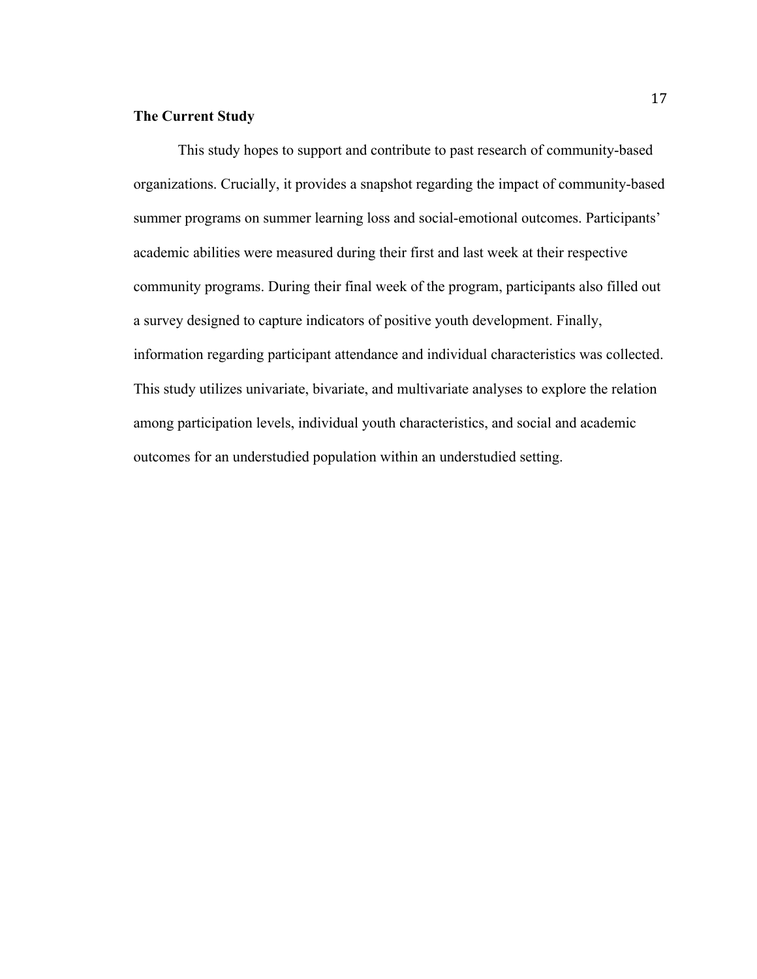# **The Current Study**

This study hopes to support and contribute to past research of community-based organizations. Crucially, it provides a snapshot regarding the impact of community-based summer programs on summer learning loss and social-emotional outcomes. Participants' academic abilities were measured during their first and last week at their respective community programs. During their final week of the program, participants also filled out a survey designed to capture indicators of positive youth development. Finally, information regarding participant attendance and individual characteristics was collected. This study utilizes univariate, bivariate, and multivariate analyses to explore the relation among participation levels, individual youth characteristics, and social and academic outcomes for an understudied population within an understudied setting.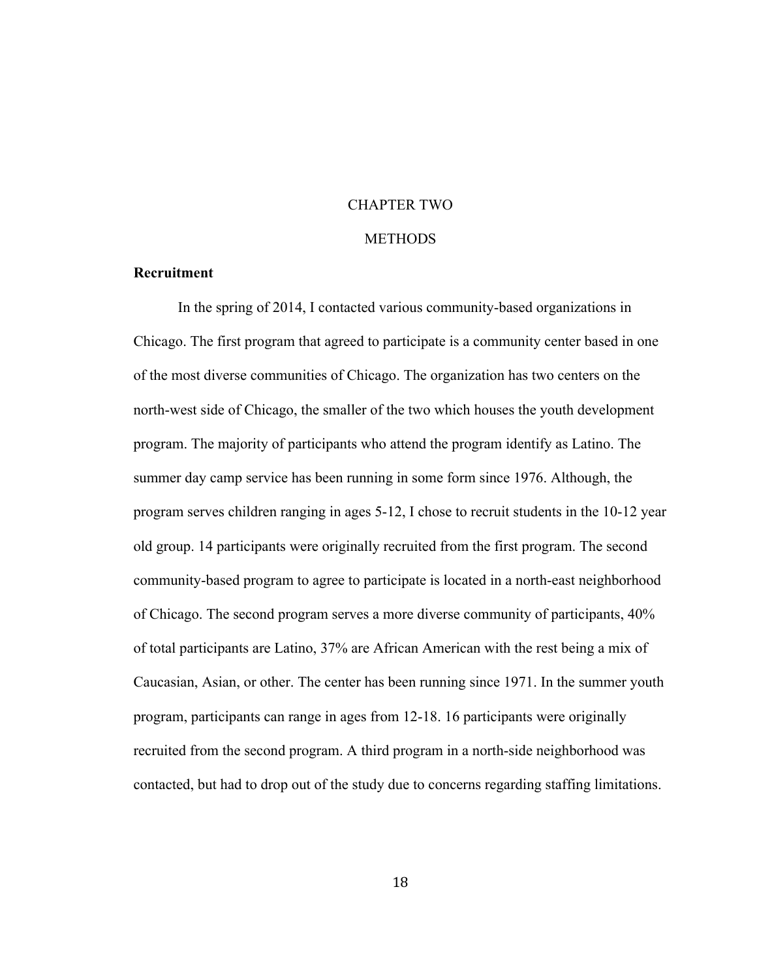# CHAPTER TWO

#### **METHODS**

# **Recruitment**

In the spring of 2014, I contacted various community-based organizations in Chicago. The first program that agreed to participate is a community center based in one of the most diverse communities of Chicago. The organization has two centers on the north-west side of Chicago, the smaller of the two which houses the youth development program. The majority of participants who attend the program identify as Latino. The summer day camp service has been running in some form since 1976. Although, the program serves children ranging in ages 5-12, I chose to recruit students in the 10-12 year old group. 14 participants were originally recruited from the first program. The second community-based program to agree to participate is located in a north-east neighborhood of Chicago. The second program serves a more diverse community of participants, 40% of total participants are Latino, 37% are African American with the rest being a mix of Caucasian, Asian, or other. The center has been running since 1971. In the summer youth program, participants can range in ages from 12-18. 16 participants were originally recruited from the second program. A third program in a north-side neighborhood was contacted, but had to drop out of the study due to concerns regarding staffing limitations.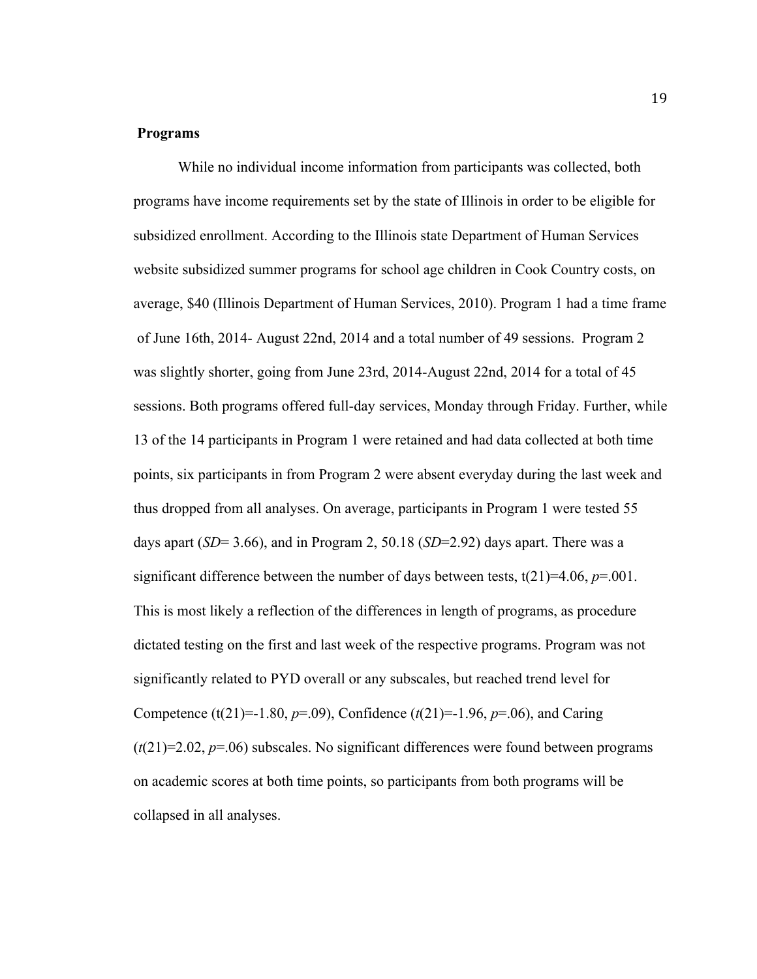# **Programs**

While no individual income information from participants was collected, both programs have income requirements set by the state of Illinois in order to be eligible for subsidized enrollment. According to the Illinois state Department of Human Services website subsidized summer programs for school age children in Cook Country costs, on average, \$40 (Illinois Department of Human Services, 2010). Program 1 had a time frame of June 16th, 2014- August 22nd, 2014 and a total number of 49 sessions. Program 2 was slightly shorter, going from June 23rd, 2014-August 22nd, 2014 for a total of 45 sessions. Both programs offered full-day services, Monday through Friday. Further, while 13 of the 14 participants in Program 1 were retained and had data collected at both time points, six participants in from Program 2 were absent everyday during the last week and thus dropped from all analyses. On average, participants in Program 1 were tested 55 days apart (*SD*= 3.66), and in Program 2, 50.18 (*SD*=2.92) days apart. There was a significant difference between the number of days between tests,  $t(21)=4.06$ ,  $p=.001$ . This is most likely a reflection of the differences in length of programs, as procedure dictated testing on the first and last week of the respective programs. Program was not significantly related to PYD overall or any subscales, but reached trend level for Competence (t(21)=-1.80,  $p=0.09$ ), Confidence (t(21)=-1.96,  $p=0.06$ ), and Caring  $(t(21)=2.02, p=.06)$  subscales. No significant differences were found between programs on academic scores at both time points, so participants from both programs will be collapsed in all analyses.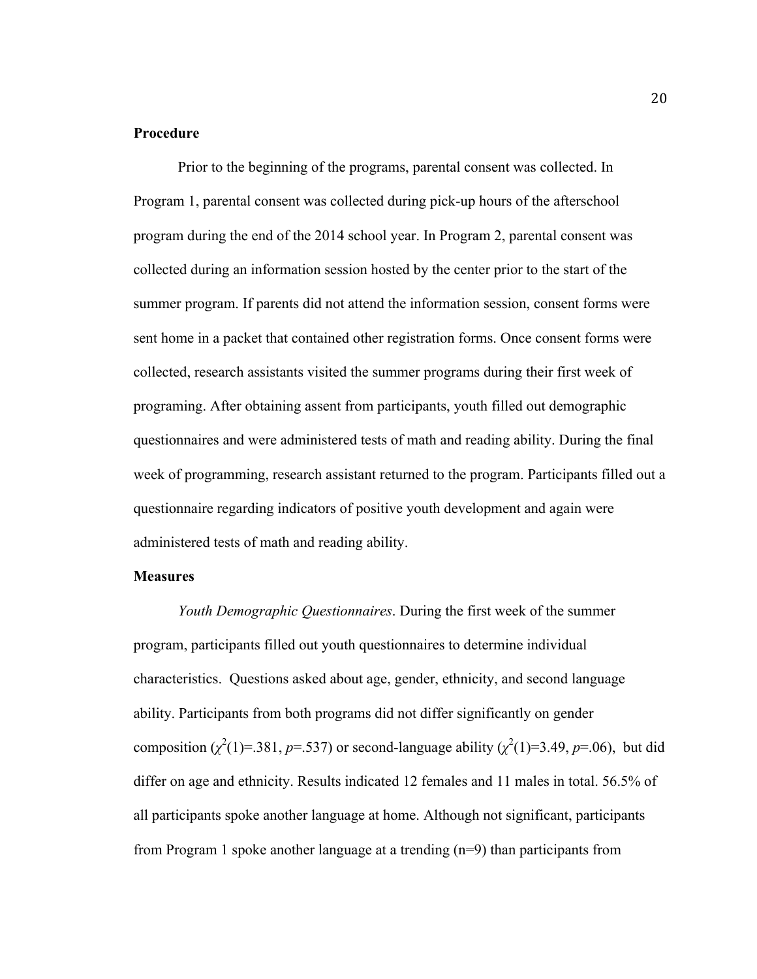# **Procedure**

Prior to the beginning of the programs, parental consent was collected. In Program 1, parental consent was collected during pick-up hours of the afterschool program during the end of the 2014 school year. In Program 2, parental consent was collected during an information session hosted by the center prior to the start of the summer program. If parents did not attend the information session, consent forms were sent home in a packet that contained other registration forms. Once consent forms were collected, research assistants visited the summer programs during their first week of programing. After obtaining assent from participants, youth filled out demographic questionnaires and were administered tests of math and reading ability. During the final week of programming, research assistant returned to the program. Participants filled out a questionnaire regarding indicators of positive youth development and again were administered tests of math and reading ability.

#### **Measures**

*Youth Demographic Questionnaires*. During the first week of the summer program, participants filled out youth questionnaires to determine individual characteristics. Questions asked about age, gender, ethnicity, and second language ability. Participants from both programs did not differ significantly on gender composition  $(\chi^2(1)=.381, p=.537)$  or second-language ability  $(\chi^2(1)=3.49, p=.06)$ , but did differ on age and ethnicity. Results indicated 12 females and 11 males in total. 56.5% of all participants spoke another language at home. Although not significant, participants from Program 1 spoke another language at a trending (n=9) than participants from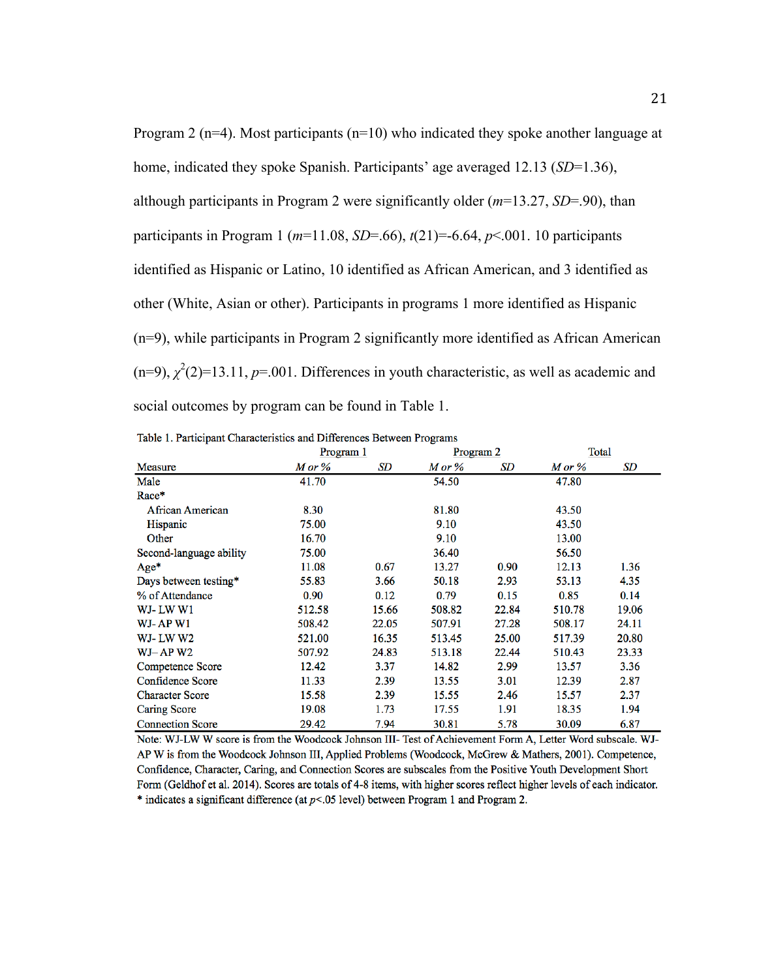Program 2 ( $n=4$ ). Most participants ( $n=10$ ) who indicated they spoke another language at home, indicated they spoke Spanish. Participants' age averaged 12.13 (*SD*=1.36), although participants in Program 2 were significantly older (*m*=13.27, *SD*=.90), than participants in Program 1 ( $m=11.08$ , *SD*=.66),  $t(21)$ =-6.64,  $p<.001$ . 10 participants identified as Hispanic or Latino, 10 identified as African American, and 3 identified as other (White, Asian or other). Participants in programs 1 more identified as Hispanic (n=9), while participants in Program 2 significantly more identified as African American  $(n=9)$ ,  $\chi^2(2)=13.11$ ,  $p=.001$ . Differences in youth characteristic, as well as academic and social outcomes by program can be found in Table 1.

|                         | Program 1 |       | Program 2 |       | Total       |       |
|-------------------------|-----------|-------|-----------|-------|-------------|-------|
| <b>Measure</b>          | M or %    | SD    | M or %    | SD    | $M$ or $\%$ | SD    |
| Male                    | 41.70     |       | 54.50     |       | 47.80       |       |
| Race*                   |           |       |           |       |             |       |
| <b>African American</b> | 8.30      |       | 81.80     |       | 43.50       |       |
| Hispanic                | 75.00     |       | 9.10      |       | 43.50       |       |
| Other                   | 16.70     |       | 9.10      |       | 13.00       |       |
| Second-language ability | 75.00     |       | 36.40     |       | 56.50       |       |
| Age*                    | 11.08     | 0.67  | 13.27     | 0.90  | 12.13       | 1.36  |
| Days between testing*   | 55.83     | 3.66  | 50.18     | 2.93  | 53.13       | 4.35  |
| % of Attendance         | 0.90      | 0.12  | 0.79      | 0.15  | 0.85        | 0.14  |
| WJ-LW W1                | 512.58    | 15.66 | 508.82    | 22.84 | 510.78      | 19.06 |
| WJ-AP W1                | 508.42    | 22.05 | 507.91    | 27.28 | 508.17      | 24.11 |
| WJ-LWW2                 | 521.00    | 16.35 | 513.45    | 25.00 | 517.39      | 20.80 |
| $WJ-AP W2$              | 507.92    | 24.83 | 513.18    | 22.44 | 510.43      | 23.33 |
| Competence Score        | 12.42     | 3.37  | 14.82     | 2.99  | 13.57       | 3.36  |
| <b>Confidence Score</b> | 11.33     | 2.39  | 13.55     | 3.01  | 12.39       | 2.87  |
| <b>Character Score</b>  | 15.58     | 2.39  | 15.55     | 2.46  | 15.57       | 2.37  |
| <b>Caring Score</b>     | 19.08     | 1.73  | 17.55     | 1.91  | 18.35       | 1.94  |
| <b>Connection Score</b> | 29.42     | 7.94  | 30.81     | 5.78  | 30.09       | 6.87  |

Table 1. Participant Characteristics and Differences Between Programs

Note: WJ-LW W score is from the Woodcock Johnson III- Test of Achievement Form A, Letter Word subscale. WJ-AP W is from the Woodcock Johnson III, Applied Problems (Woodcock, McGrew & Mathers, 2001). Competence, Confidence, Character, Caring, and Connection Scores are subscales from the Positive Youth Development Short Form (Geldhof et al. 2014). Scores are totals of 4-8 items, with higher scores reflect higher levels of each indicator.  $*$  indicates a significant difference (at  $p<0.05$  level) between Program 1 and Program 2.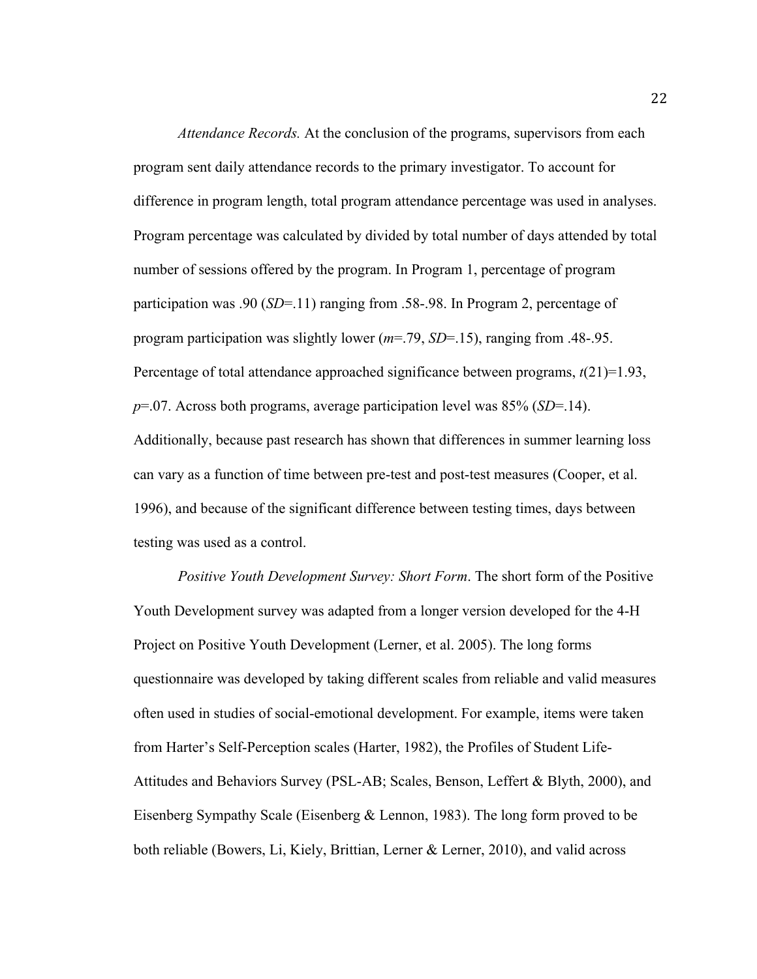*Attendance Records.* At the conclusion of the programs, supervisors from each program sent daily attendance records to the primary investigator. To account for difference in program length, total program attendance percentage was used in analyses. Program percentage was calculated by divided by total number of days attended by total number of sessions offered by the program. In Program 1, percentage of program participation was .90 (*SD*=.11) ranging from .58-.98. In Program 2, percentage of program participation was slightly lower (*m*=.79, *SD*=.15), ranging from .48-.95. Percentage of total attendance approached significance between programs,  $t(21)=1.93$ , *p*=.07. Across both programs, average participation level was 85% (*SD*=.14). Additionally, because past research has shown that differences in summer learning loss can vary as a function of time between pre-test and post-test measures (Cooper, et al. 1996), and because of the significant difference between testing times, days between testing was used as a control.

*Positive Youth Development Survey: Short Form*. The short form of the Positive Youth Development survey was adapted from a longer version developed for the 4-H Project on Positive Youth Development (Lerner, et al. 2005). The long forms questionnaire was developed by taking different scales from reliable and valid measures often used in studies of social-emotional development. For example, items were taken from Harter's Self-Perception scales (Harter, 1982), the Profiles of Student Life-Attitudes and Behaviors Survey (PSL-AB; Scales, Benson, Leffert & Blyth, 2000), and Eisenberg Sympathy Scale (Eisenberg & Lennon, 1983). The long form proved to be both reliable (Bowers, Li, Kiely, Brittian, Lerner & Lerner, 2010), and valid across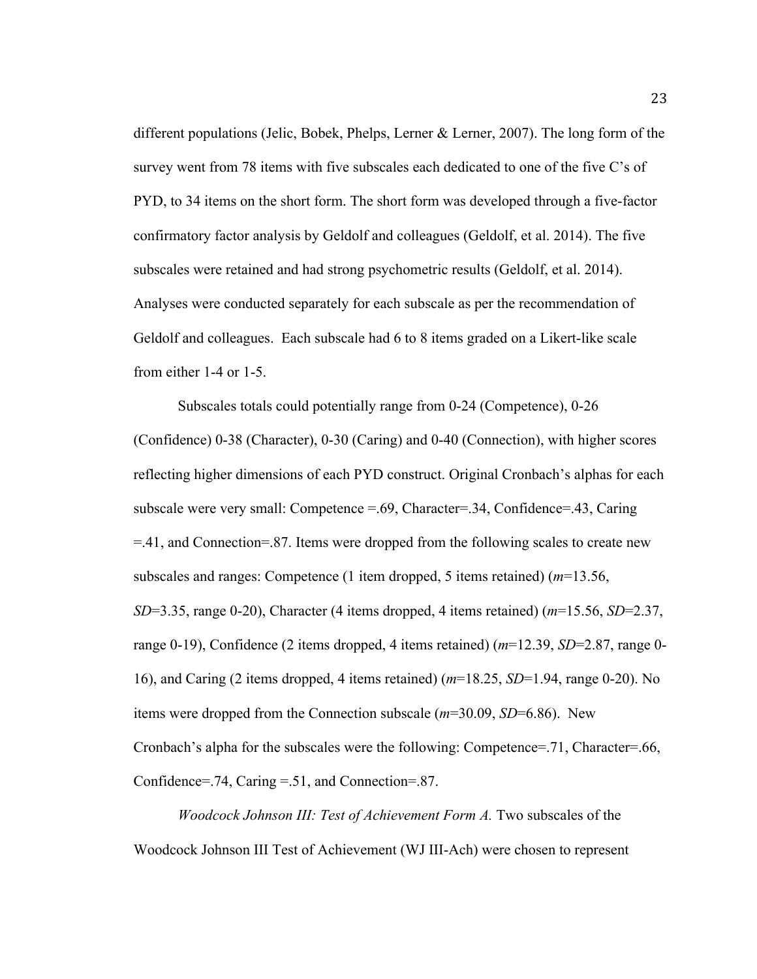different populations (Jelic, Bobek, Phelps, Lerner & Lerner, 2007). The long form of the survey went from 78 items with five subscales each dedicated to one of the five C's of PYD, to 34 items on the short form. The short form was developed through a five-factor confirmatory factor analysis by Geldolf and colleagues (Geldolf, et al. 2014). The five subscales were retained and had strong psychometric results (Geldolf, et al. 2014). Analyses were conducted separately for each subscale as per the recommendation of Geldolf and colleagues. Each subscale had 6 to 8 items graded on a Likert-like scale from either 1-4 or 1-5.

Subscales totals could potentially range from 0-24 (Competence), 0-26 (Confidence) 0-38 (Character), 0-30 (Caring) and 0-40 (Connection), with higher scores reflecting higher dimensions of each PYD construct. Original Cronbach's alphas for each subscale were very small: Competence  $= .69$ , Character=.34, Confidence=.43, Caring =.41, and Connection=.87. Items were dropped from the following scales to create new subscales and ranges: Competence (1 item dropped, 5 items retained) (*m*=13.56, *SD*=3.35, range 0-20), Character (4 items dropped, 4 items retained) (*m*=15.56, *SD*=2.37, range 0-19), Confidence (2 items dropped, 4 items retained) (*m*=12.39, *SD*=2.87, range 0- 16), and Caring (2 items dropped, 4 items retained) (*m*=18.25, *SD*=1.94, range 0-20). No items were dropped from the Connection subscale (*m*=30.09, *SD*=6.86). New Cronbach's alpha for the subscales were the following: Competence=.71, Character=.66, Confidence=.74, Caring =.51, and Connection=.87.

*Woodcock Johnson III: Test of Achievement Form A.* Two subscales of the Woodcock Johnson III Test of Achievement (WJ III-Ach) were chosen to represent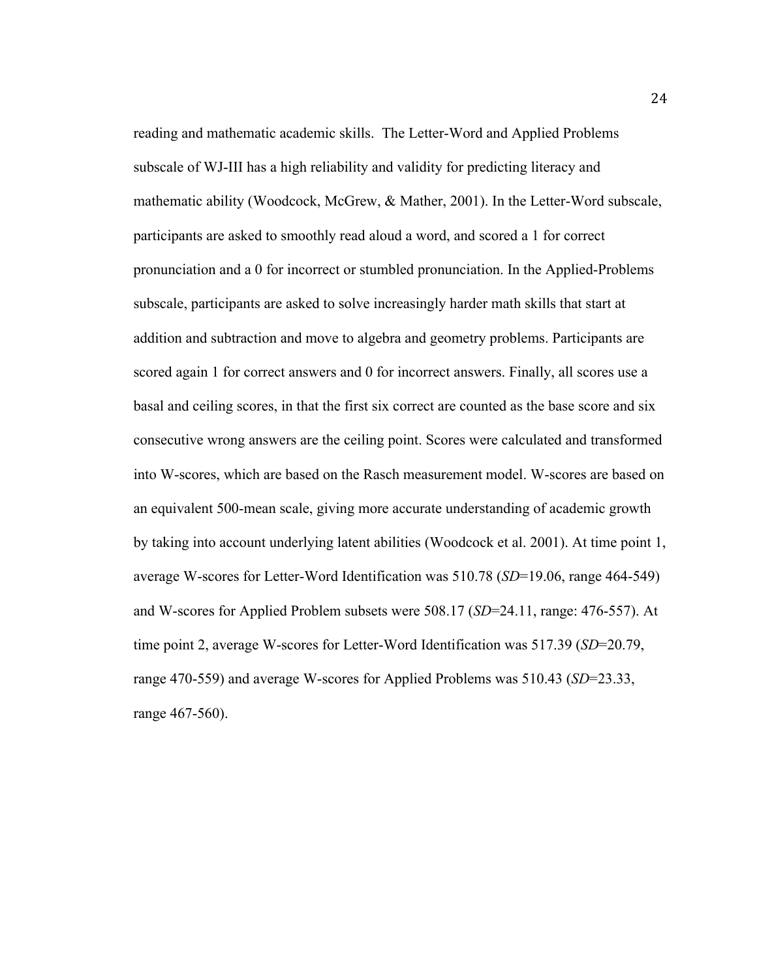reading and mathematic academic skills. The Letter-Word and Applied Problems subscale of WJ-III has a high reliability and validity for predicting literacy and mathematic ability (Woodcock, McGrew, & Mather, 2001). In the Letter-Word subscale, participants are asked to smoothly read aloud a word, and scored a 1 for correct pronunciation and a 0 for incorrect or stumbled pronunciation. In the Applied-Problems subscale, participants are asked to solve increasingly harder math skills that start at addition and subtraction and move to algebra and geometry problems. Participants are scored again 1 for correct answers and 0 for incorrect answers. Finally, all scores use a basal and ceiling scores, in that the first six correct are counted as the base score and six consecutive wrong answers are the ceiling point. Scores were calculated and transformed into W-scores, which are based on the Rasch measurement model. W-scores are based on an equivalent 500-mean scale, giving more accurate understanding of academic growth by taking into account underlying latent abilities (Woodcock et al. 2001). At time point 1, average W-scores for Letter-Word Identification was 510.78 (*SD*=19.06, range 464-549) and W-scores for Applied Problem subsets were 508.17 (*SD*=24.11, range: 476-557). At time point 2, average W-scores for Letter-Word Identification was 517.39 (*SD*=20.79, range 470-559) and average W-scores for Applied Problems was 510.43 (*SD*=23.33, range 467-560).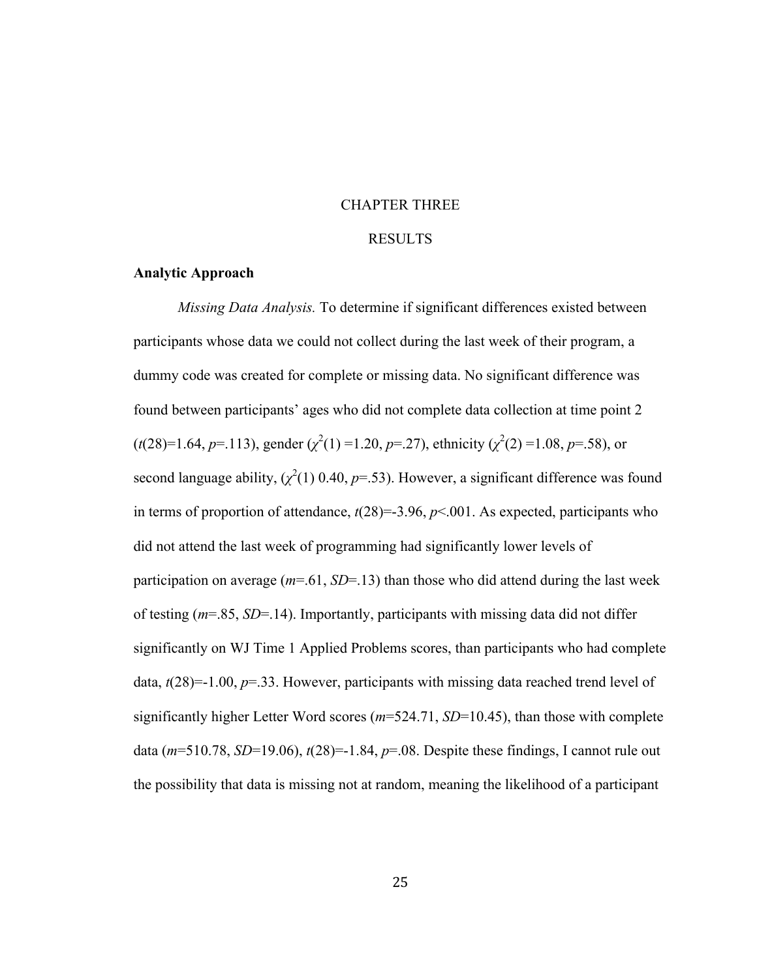# CHAPTER THREE

# RESULTS

# **Analytic Approach**

*Missing Data Analysis.* To determine if significant differences existed between participants whose data we could not collect during the last week of their program, a dummy code was created for complete or missing data. No significant difference was found between participants' ages who did not complete data collection at time point 2  $(t(28)=1.64, p=.113)$ , gender  $(\chi^2(1)=1.20, p=.27)$ , ethnicity  $(\chi^2(2)=1.08, p=.58)$ , or second language ability,  $(\chi^2(1)$  0.40,  $p=$  53). However, a significant difference was found in terms of proportion of attendance,  $t(28)=3.96$ ,  $p<.001$ . As expected, participants who did not attend the last week of programming had significantly lower levels of participation on average (*m*=.61, *SD*=.13) than those who did attend during the last week of testing (*m*=.85, *SD*=.14). Importantly, participants with missing data did not differ significantly on WJ Time 1 Applied Problems scores, than participants who had complete data, *t*(28)=-1.00, *p*=.33. However, participants with missing data reached trend level of significantly higher Letter Word scores (*m*=524.71, *SD*=10.45), than those with complete data (*m*=510.78, *SD*=19.06), *t*(28)=-1.84, *p*=.08. Despite these findings, I cannot rule out the possibility that data is missing not at random, meaning the likelihood of a participant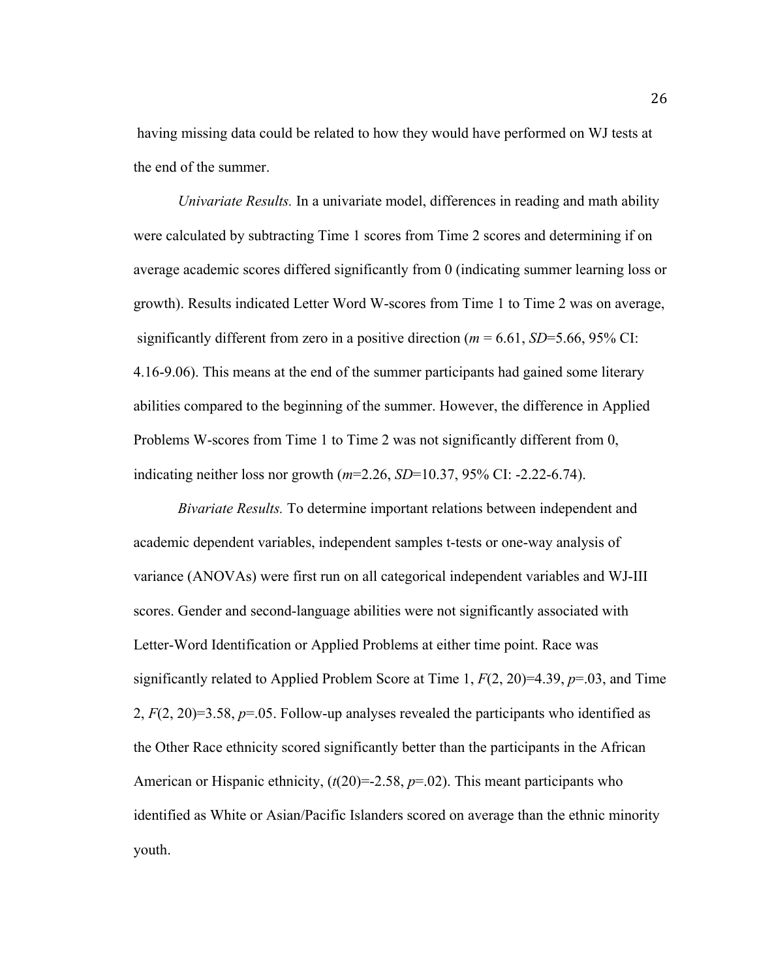having missing data could be related to how they would have performed on WJ tests at the end of the summer.

*Univariate Results.* In a univariate model, differences in reading and math ability were calculated by subtracting Time 1 scores from Time 2 scores and determining if on average academic scores differed significantly from 0 (indicating summer learning loss or growth). Results indicated Letter Word W-scores from Time 1 to Time 2 was on average, significantly different from zero in a positive direction ( $m = 6.61$ ,  $SD=5.66$ , 95% CI: 4.16-9.06). This means at the end of the summer participants had gained some literary abilities compared to the beginning of the summer. However, the difference in Applied Problems W-scores from Time 1 to Time 2 was not significantly different from 0, indicating neither loss nor growth (*m*=2.26, *SD*=10.37, 95% CI: -2.22-6.74).

*Bivariate Results.* To determine important relations between independent and academic dependent variables, independent samples t-tests or one-way analysis of variance (ANOVAs) were first run on all categorical independent variables and WJ-III scores. Gender and second-language abilities were not significantly associated with Letter-Word Identification or Applied Problems at either time point. Race was significantly related to Applied Problem Score at Time 1, *F*(2, 20)=4.39, *p*=.03, and Time 2, *F*(2, 20)=3.58, *p*=.05. Follow-up analyses revealed the participants who identified as the Other Race ethnicity scored significantly better than the participants in the African American or Hispanic ethnicity,  $(t(20)=2.58, p=.02)$ . This meant participants who identified as White or Asian/Pacific Islanders scored on average than the ethnic minority youth.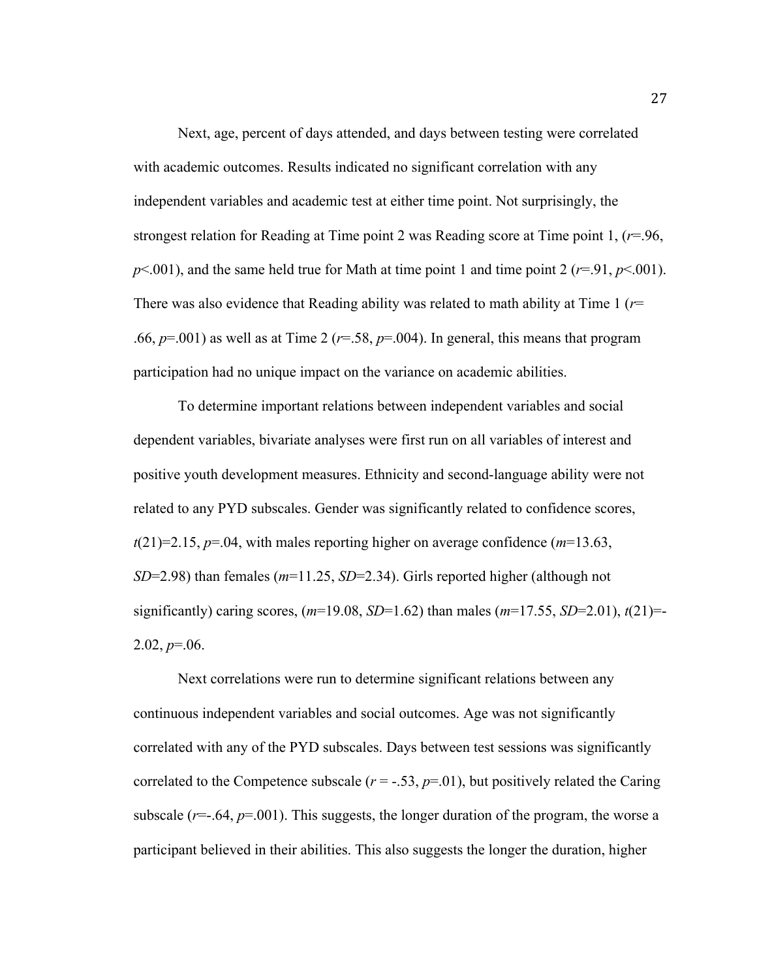Next, age, percent of days attended, and days between testing were correlated with academic outcomes. Results indicated no significant correlation with any independent variables and academic test at either time point. Not surprisingly, the strongest relation for Reading at Time point 2 was Reading score at Time point 1, (*r*=.96,  $p$ <.001), and the same held true for Math at time point 1 and time point 2 ( $r=91$ ,  $p$ <.001). There was also evidence that Reading ability was related to math ability at Time 1 (*r*= .66,  $p=0.001$ ) as well as at Time 2 ( $r=.58$ ,  $p=.004$ ). In general, this means that program participation had no unique impact on the variance on academic abilities.

To determine important relations between independent variables and social dependent variables, bivariate analyses were first run on all variables of interest and positive youth development measures. Ethnicity and second-language ability were not related to any PYD subscales. Gender was significantly related to confidence scores,  $t(21)=2.15$ ,  $p=.04$ , with males reporting higher on average confidence ( $m=13.63$ , *SD*=2.98) than females (*m*=11.25, *SD*=2.34). Girls reported higher (although not significantly) caring scores, (*m*=19.08, *SD*=1.62) than males (*m*=17.55, *SD*=2.01), *t*(21)=-  $2.02, p=.06$ .

Next correlations were run to determine significant relations between any continuous independent variables and social outcomes. Age was not significantly correlated with any of the PYD subscales. Days between test sessions was significantly correlated to the Competence subscale  $(r = -.53, p = .01)$ , but positively related the Caring subscale  $(r=.64, p=.001)$ . This suggests, the longer duration of the program, the worse a participant believed in their abilities. This also suggests the longer the duration, higher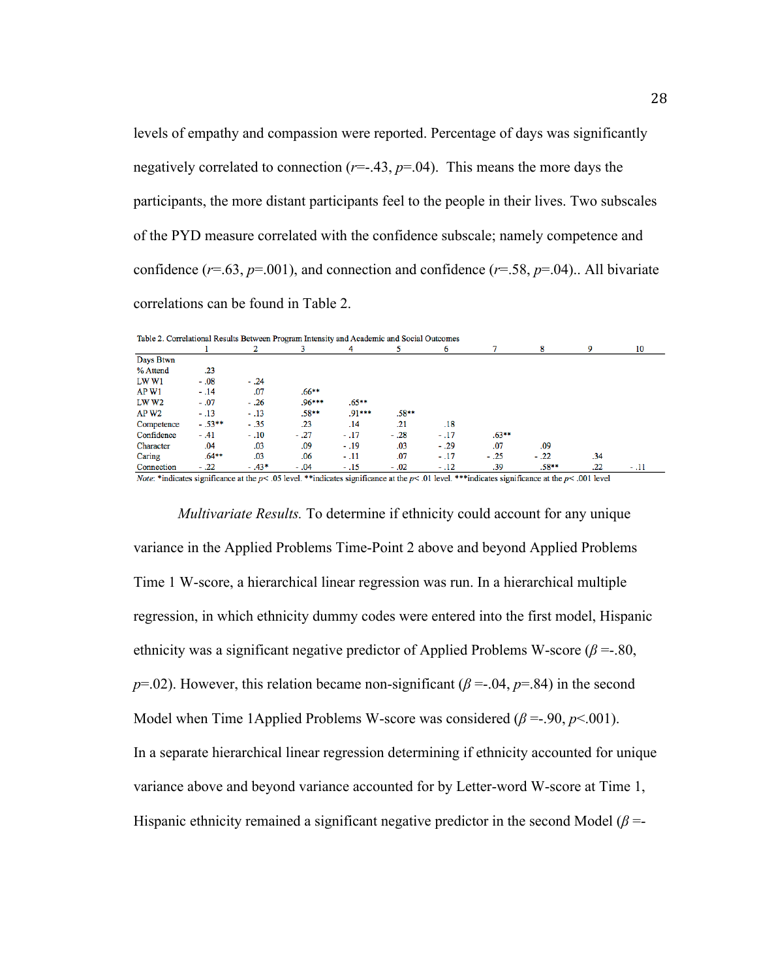levels of empathy and compassion were reported. Percentage of days was significantly negatively correlated to connection  $(r=-.43, p=04)$ . This means the more days the participants, the more distant participants feel to the people in their lives. Two subscales of the PYD measure correlated with the confidence subscale; namely competence and confidence ( $r=0.63$ ,  $p=0.01$ ), and connection and confidence ( $r=0.58$ ,  $p=0.04$ ).. All bivariate correlations can be found in Table 2.

| Table 2. Correlational Results Between Program intensity and Academic and Social Outcomes |                 |         |                   |               |         |                                                                                                                                                                                                                                |                                           |         |                                    |        |
|-------------------------------------------------------------------------------------------|-----------------|---------|-------------------|---------------|---------|--------------------------------------------------------------------------------------------------------------------------------------------------------------------------------------------------------------------------------|-------------------------------------------|---------|------------------------------------|--------|
|                                                                                           |                 |         |                   | 4             |         | 6                                                                                                                                                                                                                              |                                           | 8       | 9                                  | 10     |
| Days Btwn                                                                                 |                 |         |                   |               |         |                                                                                                                                                                                                                                |                                           |         |                                    |        |
| % Attend                                                                                  | .23             |         |                   |               |         |                                                                                                                                                                                                                                |                                           |         |                                    |        |
| <b>LW W1</b>                                                                              | $-.08$          | $-.24$  |                   |               |         |                                                                                                                                                                                                                                |                                           |         |                                    |        |
| AP W1                                                                                     | $-.14$          | .07     | $.66***$          |               |         |                                                                                                                                                                                                                                |                                           |         |                                    |        |
| LW W2                                                                                     | $-.07$          | $-.26$  | $.96***$          | $.65***$      |         |                                                                                                                                                                                                                                |                                           |         |                                    |        |
| AP W <sub>2</sub>                                                                         | $-.13$          | $-.13$  | $.58**$           | $.91***$      | $.58**$ |                                                                                                                                                                                                                                |                                           |         |                                    |        |
| Competence                                                                                | $-.53**$        | $-.35$  | .23               | .14           | .21     | .18                                                                                                                                                                                                                            |                                           |         |                                    |        |
| Confidence                                                                                | $-.41$          | $-.10$  | $-.27$            | $-.17$        | $-.28$  | $-.17$                                                                                                                                                                                                                         | $.63***$                                  |         |                                    |        |
| Character                                                                                 | .04             | .03     | .09               | $-.19$        | .03     | $-.29$                                                                                                                                                                                                                         | .07                                       | .09     |                                    |        |
| Caring                                                                                    | $.64***$        | .03     | .06               | $-.11$        | .07     | $-.17$                                                                                                                                                                                                                         | $-.25$                                    | $-.22$  | .34                                |        |
| Connection                                                                                | $-.22$          | $-.43*$ | $-.04$            | $-.15$        | $-.02$  | $-.12$                                                                                                                                                                                                                         | .39                                       | $.58**$ | .22                                | $-.11$ |
|                                                                                           | $\cdot$ $\cdot$ |         | <b>CONTRACTOR</b> | $\sim$ $\sim$ |         | the state of the state of the state of the state of the state of the state of the state of the state of the state of the state of the state of the state of the state of the state of the state of the state of the state of t | $\sim$ $\sim$<br><b>State State State</b> |         | $\sim$ $\sim$ $\sim$ $\sim$ $\sim$ |        |

Table 2. Correlational Results Between Program Intensity and Academic and Social Outco

*Note*: \*indicates significance at the  $p < .05$  level. \*\*indicates significance at the  $p < .01$  level. \*\*\*indicates significance at the  $p < .001$  level

*Multivariate Results.* To determine if ethnicity could account for any unique variance in the Applied Problems Time-Point 2 above and beyond Applied Problems Time 1 W-score, a hierarchical linear regression was run. In a hierarchical multiple regression, in which ethnicity dummy codes were entered into the first model, Hispanic ethnicity was a significant negative predictor of Applied Problems W-score  $(\beta = 80,$ *p*=.02). However, this relation became non-significant ( $\beta$  = -.04,  $p$ =.84) in the second Model when Time 1Applied Problems W-score was considered  $(\beta = .90, p < .001)$ . In a separate hierarchical linear regression determining if ethnicity accounted for unique variance above and beyond variance accounted for by Letter-word W-score at Time 1, Hispanic ethnicity remained a significant negative predictor in the second Model ( $\beta$  =-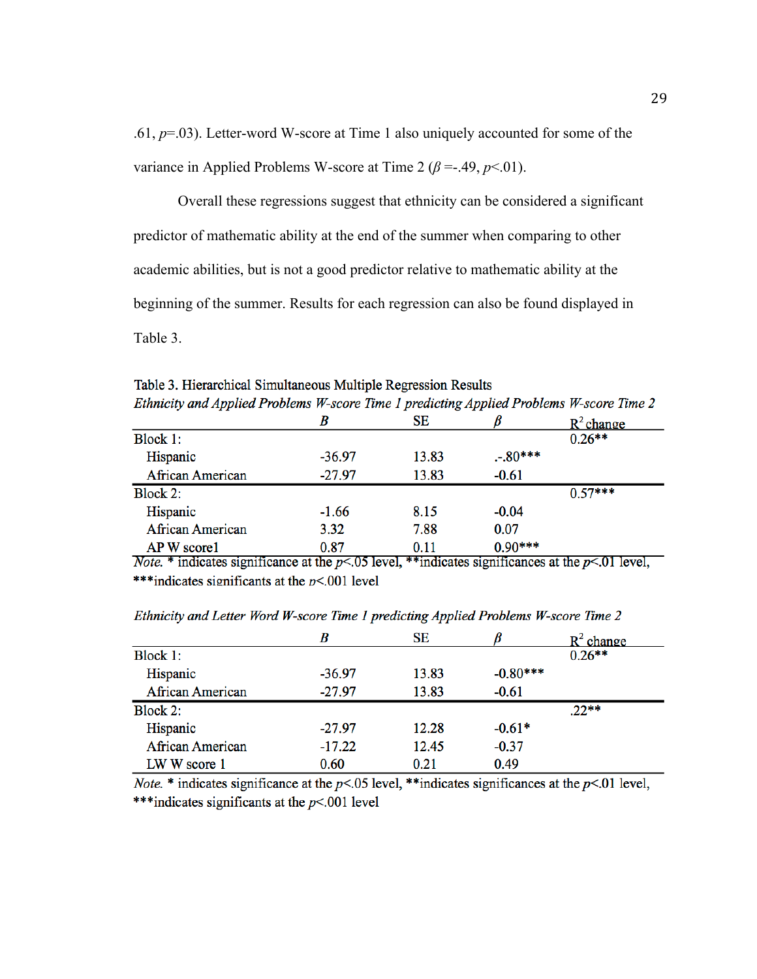.61, *p*=.03). Letter-word W-score at Time 1 also uniquely accounted for some of the variance in Applied Problems W-score at Time 2 ( $\beta$  =-.49,  $p$ <.01).

Overall these regressions suggest that ethnicity can be considered a significant predictor of mathematic ability at the end of the summer when comparing to other academic abilities, but is not a good predictor relative to mathematic ability at the beginning of the summer. Results for each regression can also be found displayed in Table 3.

Table 3. Hierarchical Simultaneous Multiple Regression Results Ethnicity and Applied Problems W-score Time 1 predicting Applied Problems W-score Time 2

|                         | B        | SЕ    |           | $R^2$ change |
|-------------------------|----------|-------|-----------|--------------|
| Block 1:                |          |       |           | $0.26**$     |
| Hispanic                | $-36.97$ | 13.83 | $-.80***$ |              |
| <b>African American</b> | $-27.97$ | 13.83 | $-0.61$   |              |
| Block 2:                |          |       |           | $0.57***$    |
| Hispanic                | $-1.66$  | 8.15  | $-0.04$   |              |
| <b>African American</b> | 3.32     | 7.88  | 0.07      |              |
| AP W score1             | 0.87     | 0.11  | $0.90***$ |              |

*Note.* \* indicates significance at the  $p<.05$  level, \*\*indicates significances at the  $p<.01$  level, \*\*\*indicates significants at the  $p<0.001$  level

|                         | B        | <b>SE</b> |            | R٠<br>change |
|-------------------------|----------|-----------|------------|--------------|
| Block 1:                |          |           |            | $0.26**$     |
| Hispanic                | $-36.97$ | 13.83     | $-0.80***$ |              |
| <b>African American</b> | $-27.97$ | 13.83     | $-0.61$    |              |
| Block 2:                |          |           |            | $.22**$      |
| Hispanic                | $-27.97$ | 12.28     | $-0.61*$   |              |
| <b>African American</b> | $-17.22$ | 12.45     | $-0.37$    |              |
| LW W score 1            | 0.60     | 0.21      | 0.49       |              |

Ethnicity and Letter Word W-score Time 1 predicting Applied Problems W-score Time 2

*Note.* \* indicates significance at the  $p<0.05$  level, \*\*indicates significances at the  $p<01$  level, \*\*\*indicates significants at the  $p<0.001$  level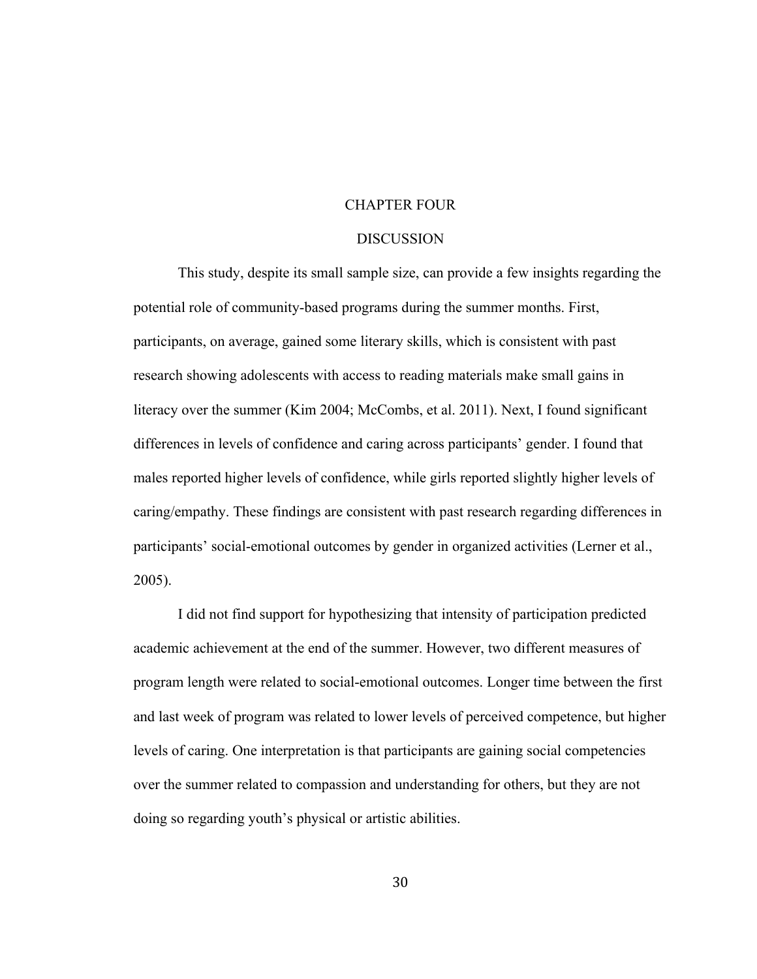# CHAPTER FOUR

#### **DISCUSSION**

This study, despite its small sample size, can provide a few insights regarding the potential role of community-based programs during the summer months. First, participants, on average, gained some literary skills, which is consistent with past research showing adolescents with access to reading materials make small gains in literacy over the summer (Kim 2004; McCombs, et al. 2011). Next, I found significant differences in levels of confidence and caring across participants' gender. I found that males reported higher levels of confidence, while girls reported slightly higher levels of caring/empathy. These findings are consistent with past research regarding differences in participants' social-emotional outcomes by gender in organized activities (Lerner et al., 2005).

I did not find support for hypothesizing that intensity of participation predicted academic achievement at the end of the summer. However, two different measures of program length were related to social-emotional outcomes. Longer time between the first and last week of program was related to lower levels of perceived competence, but higher levels of caring. One interpretation is that participants are gaining social competencies over the summer related to compassion and understanding for others, but they are not doing so regarding youth's physical or artistic abilities.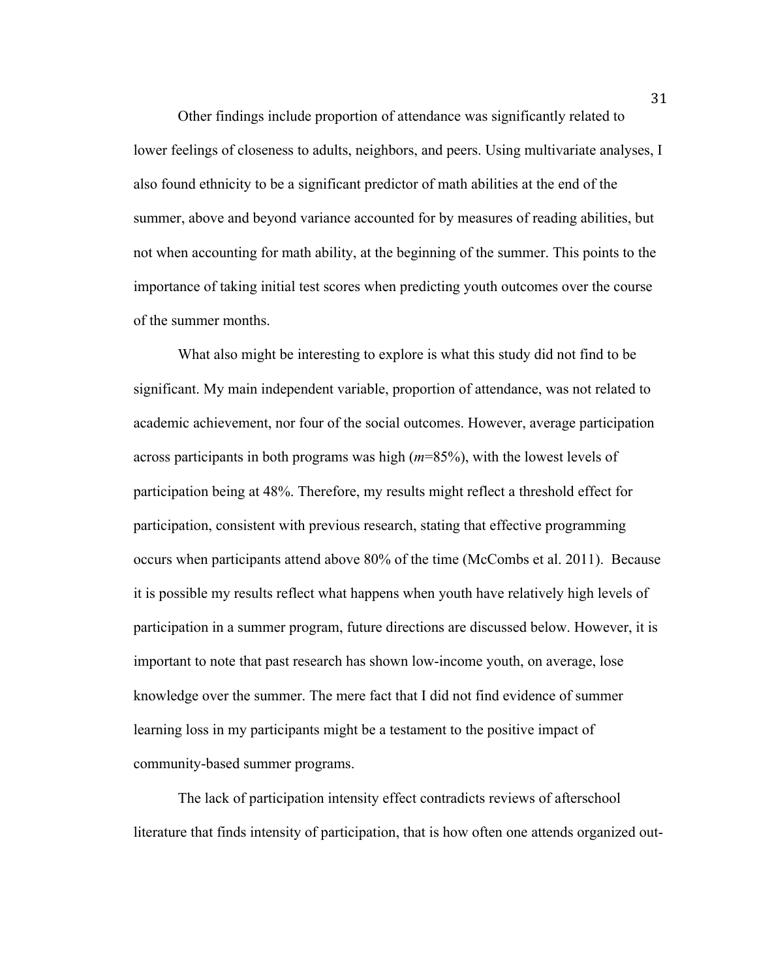Other findings include proportion of attendance was significantly related to lower feelings of closeness to adults, neighbors, and peers. Using multivariate analyses, I also found ethnicity to be a significant predictor of math abilities at the end of the summer, above and beyond variance accounted for by measures of reading abilities, but not when accounting for math ability, at the beginning of the summer. This points to the importance of taking initial test scores when predicting youth outcomes over the course of the summer months.

What also might be interesting to explore is what this study did not find to be significant. My main independent variable, proportion of attendance, was not related to academic achievement, nor four of the social outcomes. However, average participation across participants in both programs was high (*m*=85%), with the lowest levels of participation being at 48%. Therefore, my results might reflect a threshold effect for participation, consistent with previous research, stating that effective programming occurs when participants attend above 80% of the time (McCombs et al. 2011). Because it is possible my results reflect what happens when youth have relatively high levels of participation in a summer program, future directions are discussed below. However, it is important to note that past research has shown low-income youth, on average, lose knowledge over the summer. The mere fact that I did not find evidence of summer learning loss in my participants might be a testament to the positive impact of community-based summer programs.

The lack of participation intensity effect contradicts reviews of afterschool literature that finds intensity of participation, that is how often one attends organized out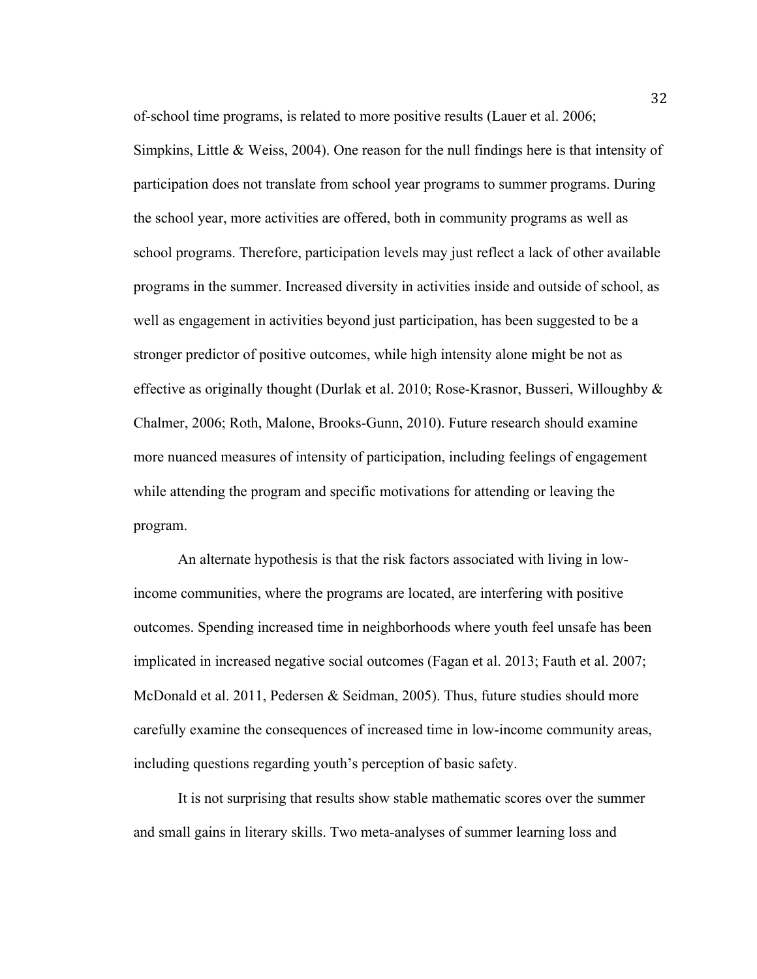of-school time programs, is related to more positive results (Lauer et al. 2006;

Simpkins, Little  $\&$  Weiss, 2004). One reason for the null findings here is that intensity of participation does not translate from school year programs to summer programs. During the school year, more activities are offered, both in community programs as well as school programs. Therefore, participation levels may just reflect a lack of other available programs in the summer. Increased diversity in activities inside and outside of school, as well as engagement in activities beyond just participation, has been suggested to be a stronger predictor of positive outcomes, while high intensity alone might be not as effective as originally thought (Durlak et al. 2010; Rose-Krasnor, Busseri, Willoughby  $\&$ Chalmer, 2006; Roth, Malone, Brooks-Gunn, 2010). Future research should examine more nuanced measures of intensity of participation, including feelings of engagement while attending the program and specific motivations for attending or leaving the program.

An alternate hypothesis is that the risk factors associated with living in lowincome communities, where the programs are located, are interfering with positive outcomes. Spending increased time in neighborhoods where youth feel unsafe has been implicated in increased negative social outcomes (Fagan et al. 2013; Fauth et al. 2007; McDonald et al. 2011, Pedersen & Seidman, 2005). Thus, future studies should more carefully examine the consequences of increased time in low-income community areas, including questions regarding youth's perception of basic safety.

It is not surprising that results show stable mathematic scores over the summer and small gains in literary skills. Two meta-analyses of summer learning loss and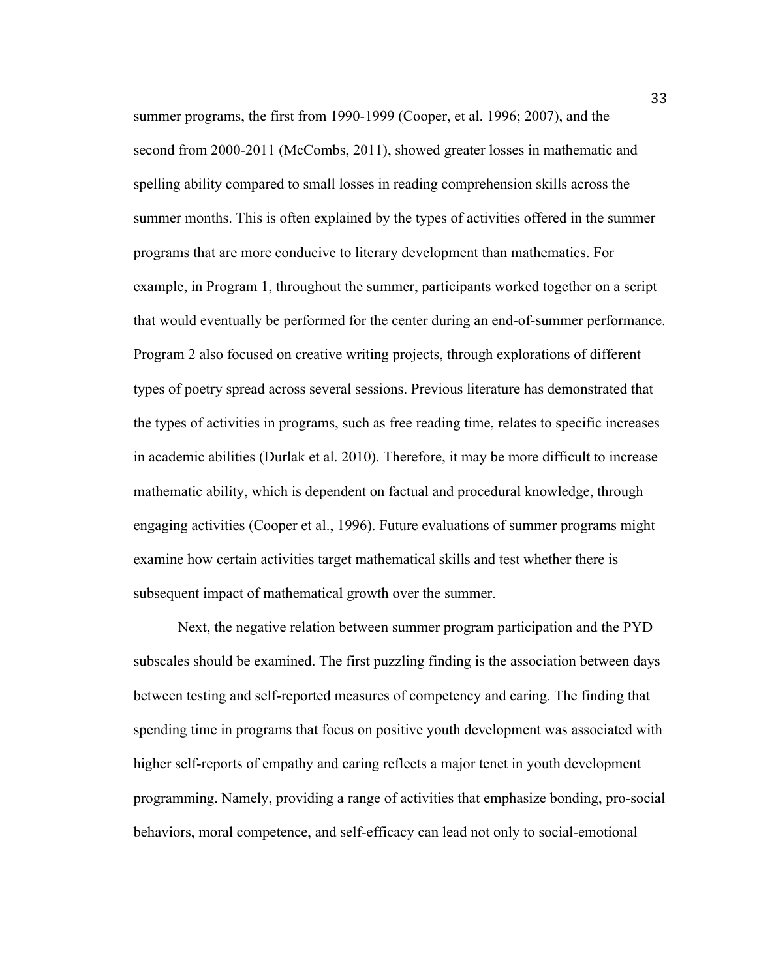summer programs, the first from 1990-1999 (Cooper, et al. 1996; 2007), and the second from 2000-2011 (McCombs, 2011), showed greater losses in mathematic and spelling ability compared to small losses in reading comprehension skills across the summer months. This is often explained by the types of activities offered in the summer programs that are more conducive to literary development than mathematics. For example, in Program 1, throughout the summer, participants worked together on a script that would eventually be performed for the center during an end-of-summer performance. Program 2 also focused on creative writing projects, through explorations of different types of poetry spread across several sessions. Previous literature has demonstrated that the types of activities in programs, such as free reading time, relates to specific increases in academic abilities (Durlak et al. 2010). Therefore, it may be more difficult to increase mathematic ability, which is dependent on factual and procedural knowledge, through engaging activities (Cooper et al., 1996). Future evaluations of summer programs might examine how certain activities target mathematical skills and test whether there is subsequent impact of mathematical growth over the summer.

Next, the negative relation between summer program participation and the PYD subscales should be examined. The first puzzling finding is the association between days between testing and self-reported measures of competency and caring. The finding that spending time in programs that focus on positive youth development was associated with higher self-reports of empathy and caring reflects a major tenet in youth development programming. Namely, providing a range of activities that emphasize bonding, pro-social behaviors, moral competence, and self-efficacy can lead not only to social-emotional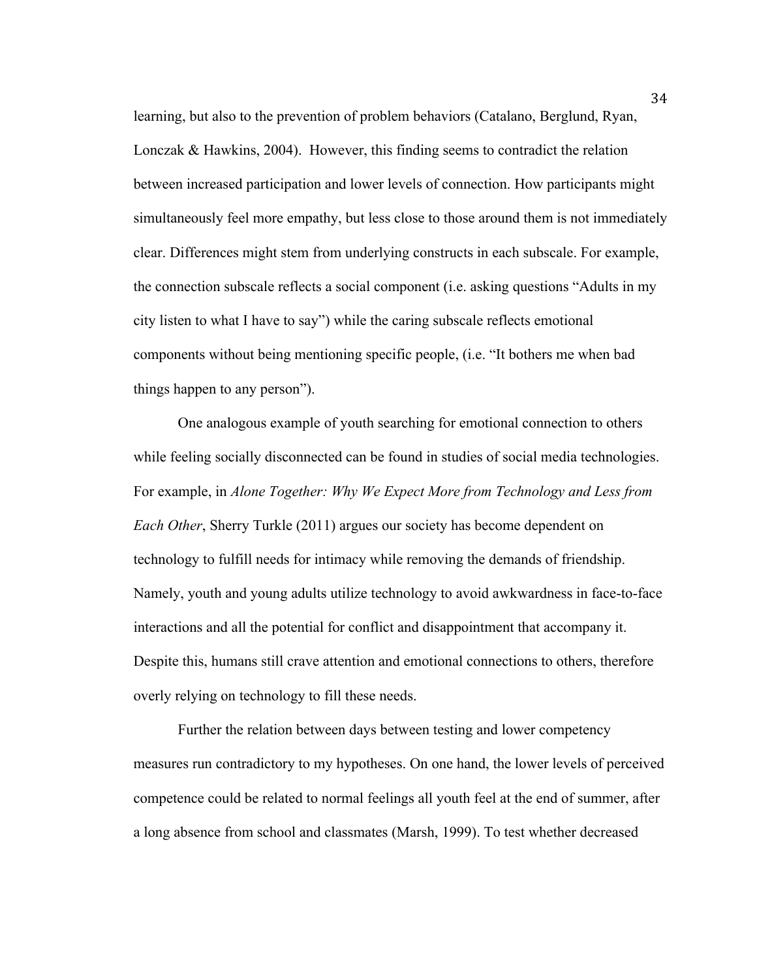learning, but also to the prevention of problem behaviors (Catalano, Berglund, Ryan, Lonczak & Hawkins, 2004). However, this finding seems to contradict the relation between increased participation and lower levels of connection. How participants might simultaneously feel more empathy, but less close to those around them is not immediately clear. Differences might stem from underlying constructs in each subscale. For example, the connection subscale reflects a social component (i.e. asking questions "Adults in my city listen to what I have to say") while the caring subscale reflects emotional components without being mentioning specific people, (i.e. "It bothers me when bad things happen to any person").

One analogous example of youth searching for emotional connection to others while feeling socially disconnected can be found in studies of social media technologies. For example, in *Alone Together: Why We Expect More from Technology and Less from Each Other*, Sherry Turkle (2011) argues our society has become dependent on technology to fulfill needs for intimacy while removing the demands of friendship. Namely, youth and young adults utilize technology to avoid awkwardness in face-to-face interactions and all the potential for conflict and disappointment that accompany it. Despite this, humans still crave attention and emotional connections to others, therefore overly relying on technology to fill these needs.

Further the relation between days between testing and lower competency measures run contradictory to my hypotheses. On one hand, the lower levels of perceived competence could be related to normal feelings all youth feel at the end of summer, after a long absence from school and classmates (Marsh, 1999). To test whether decreased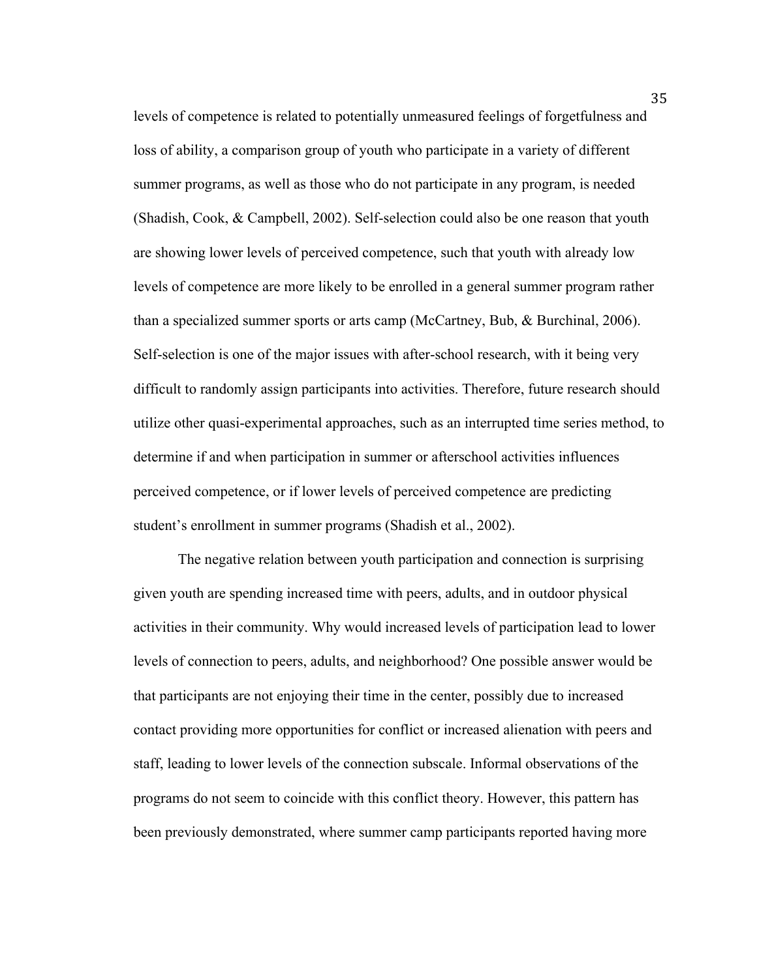levels of competence is related to potentially unmeasured feelings of forgetfulness and loss of ability, a comparison group of youth who participate in a variety of different summer programs, as well as those who do not participate in any program, is needed (Shadish, Cook, & Campbell, 2002). Self-selection could also be one reason that youth are showing lower levels of perceived competence, such that youth with already low levels of competence are more likely to be enrolled in a general summer program rather than a specialized summer sports or arts camp (McCartney, Bub, & Burchinal, 2006). Self-selection is one of the major issues with after-school research, with it being very difficult to randomly assign participants into activities. Therefore, future research should utilize other quasi-experimental approaches, such as an interrupted time series method, to determine if and when participation in summer or afterschool activities influences perceived competence, or if lower levels of perceived competence are predicting student's enrollment in summer programs (Shadish et al., 2002).

The negative relation between youth participation and connection is surprising given youth are spending increased time with peers, adults, and in outdoor physical activities in their community. Why would increased levels of participation lead to lower levels of connection to peers, adults, and neighborhood? One possible answer would be that participants are not enjoying their time in the center, possibly due to increased contact providing more opportunities for conflict or increased alienation with peers and staff, leading to lower levels of the connection subscale. Informal observations of the programs do not seem to coincide with this conflict theory. However, this pattern has been previously demonstrated, where summer camp participants reported having more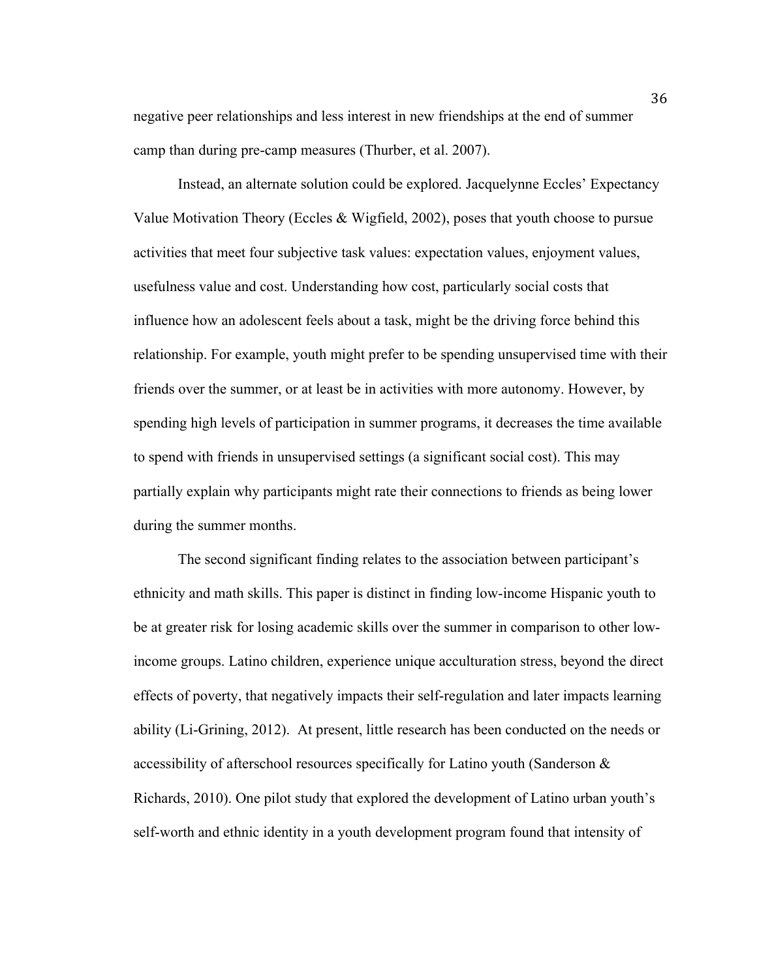negative peer relationships and less interest in new friendships at the end of summer camp than during pre-camp measures (Thurber, et al. 2007).

Instead, an alternate solution could be explored. Jacquelynne Eccles' Expectancy Value Motivation Theory (Eccles & Wigfield, 2002), poses that youth choose to pursue activities that meet four subjective task values: expectation values, enjoyment values, usefulness value and cost. Understanding how cost, particularly social costs that influence how an adolescent feels about a task, might be the driving force behind this relationship. For example, youth might prefer to be spending unsupervised time with their friends over the summer, or at least be in activities with more autonomy. However, by spending high levels of participation in summer programs, it decreases the time available to spend with friends in unsupervised settings (a significant social cost). This may partially explain why participants might rate their connections to friends as being lower during the summer months.

The second significant finding relates to the association between participant's ethnicity and math skills. This paper is distinct in finding low-income Hispanic youth to be at greater risk for losing academic skills over the summer in comparison to other lowincome groups. Latino children, experience unique acculturation stress, beyond the direct effects of poverty, that negatively impacts their self-regulation and later impacts learning ability (Li-Grining, 2012). At present, little research has been conducted on the needs or accessibility of afterschool resources specifically for Latino youth (Sanderson & Richards, 2010). One pilot study that explored the development of Latino urban youth's self-worth and ethnic identity in a youth development program found that intensity of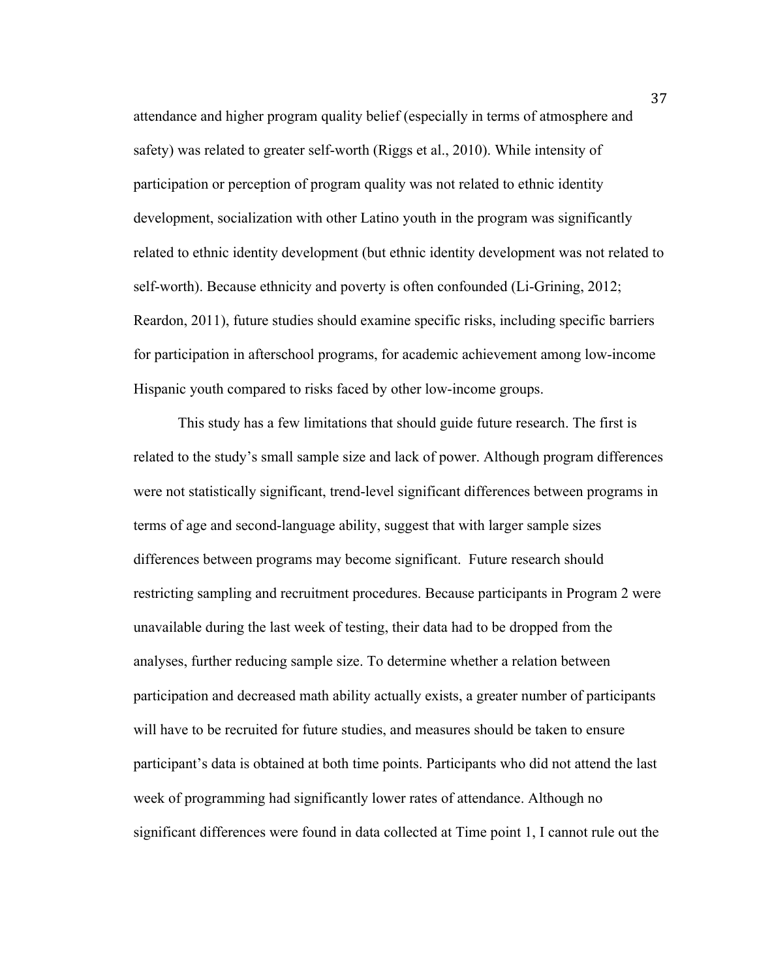attendance and higher program quality belief (especially in terms of atmosphere and safety) was related to greater self-worth (Riggs et al., 2010). While intensity of participation or perception of program quality was not related to ethnic identity development, socialization with other Latino youth in the program was significantly related to ethnic identity development (but ethnic identity development was not related to self-worth). Because ethnicity and poverty is often confounded (Li-Grining, 2012; Reardon, 2011), future studies should examine specific risks, including specific barriers for participation in afterschool programs, for academic achievement among low-income Hispanic youth compared to risks faced by other low-income groups.

This study has a few limitations that should guide future research. The first is related to the study's small sample size and lack of power. Although program differences were not statistically significant, trend-level significant differences between programs in terms of age and second-language ability, suggest that with larger sample sizes differences between programs may become significant. Future research should restricting sampling and recruitment procedures. Because participants in Program 2 were unavailable during the last week of testing, their data had to be dropped from the analyses, further reducing sample size. To determine whether a relation between participation and decreased math ability actually exists, a greater number of participants will have to be recruited for future studies, and measures should be taken to ensure participant's data is obtained at both time points. Participants who did not attend the last week of programming had significantly lower rates of attendance. Although no significant differences were found in data collected at Time point 1, I cannot rule out the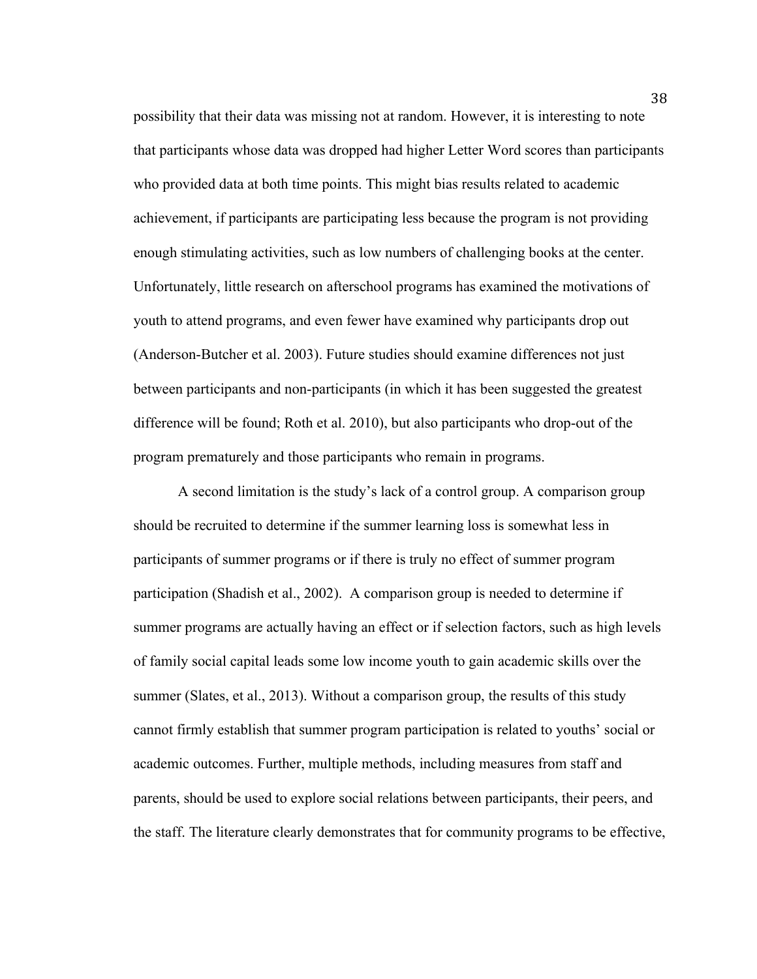possibility that their data was missing not at random. However, it is interesting to note that participants whose data was dropped had higher Letter Word scores than participants who provided data at both time points. This might bias results related to academic achievement, if participants are participating less because the program is not providing enough stimulating activities, such as low numbers of challenging books at the center. Unfortunately, little research on afterschool programs has examined the motivations of youth to attend programs, and even fewer have examined why participants drop out (Anderson-Butcher et al. 2003). Future studies should examine differences not just between participants and non-participants (in which it has been suggested the greatest difference will be found; Roth et al. 2010), but also participants who drop-out of the program prematurely and those participants who remain in programs.

A second limitation is the study's lack of a control group. A comparison group should be recruited to determine if the summer learning loss is somewhat less in participants of summer programs or if there is truly no effect of summer program participation (Shadish et al., 2002). A comparison group is needed to determine if summer programs are actually having an effect or if selection factors, such as high levels of family social capital leads some low income youth to gain academic skills over the summer (Slates, et al., 2013). Without a comparison group, the results of this study cannot firmly establish that summer program participation is related to youths' social or academic outcomes. Further, multiple methods, including measures from staff and parents, should be used to explore social relations between participants, their peers, and the staff. The literature clearly demonstrates that for community programs to be effective,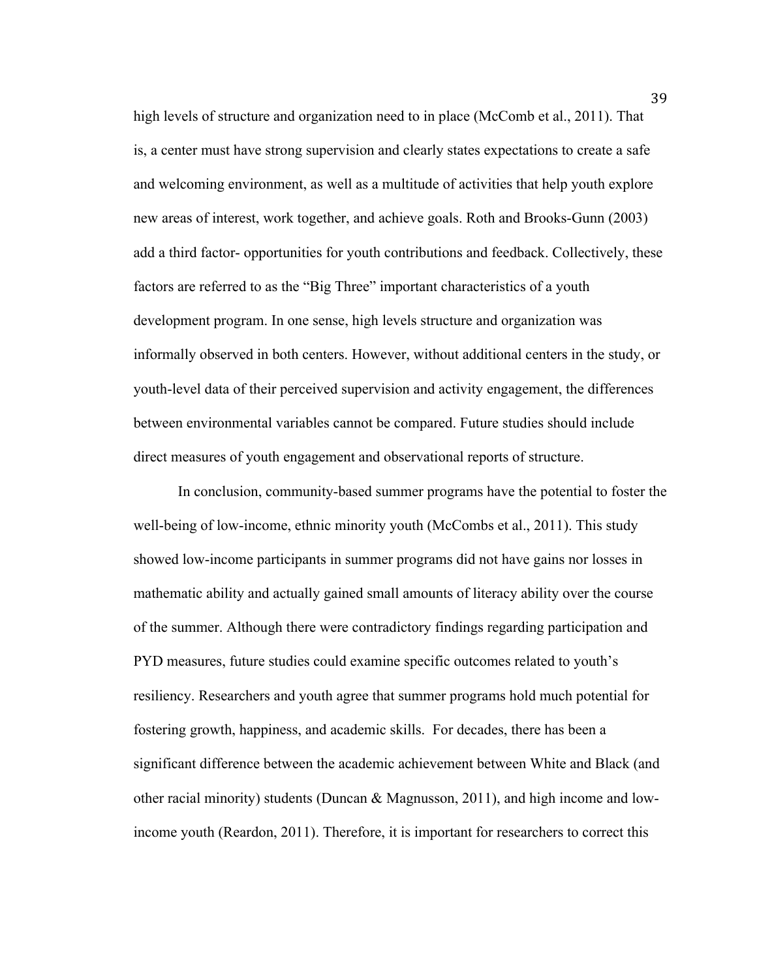high levels of structure and organization need to in place (McComb et al., 2011). That is, a center must have strong supervision and clearly states expectations to create a safe and welcoming environment, as well as a multitude of activities that help youth explore new areas of interest, work together, and achieve goals. Roth and Brooks-Gunn (2003) add a third factor- opportunities for youth contributions and feedback. Collectively, these factors are referred to as the "Big Three" important characteristics of a youth development program. In one sense, high levels structure and organization was informally observed in both centers. However, without additional centers in the study, or youth-level data of their perceived supervision and activity engagement, the differences between environmental variables cannot be compared. Future studies should include direct measures of youth engagement and observational reports of structure.

In conclusion, community-based summer programs have the potential to foster the well-being of low-income, ethnic minority youth (McCombs et al., 2011). This study showed low-income participants in summer programs did not have gains nor losses in mathematic ability and actually gained small amounts of literacy ability over the course of the summer. Although there were contradictory findings regarding participation and PYD measures, future studies could examine specific outcomes related to youth's resiliency. Researchers and youth agree that summer programs hold much potential for fostering growth, happiness, and academic skills. For decades, there has been a significant difference between the academic achievement between White and Black (and other racial minority) students (Duncan & Magnusson, 2011), and high income and lowincome youth (Reardon, 2011). Therefore, it is important for researchers to correct this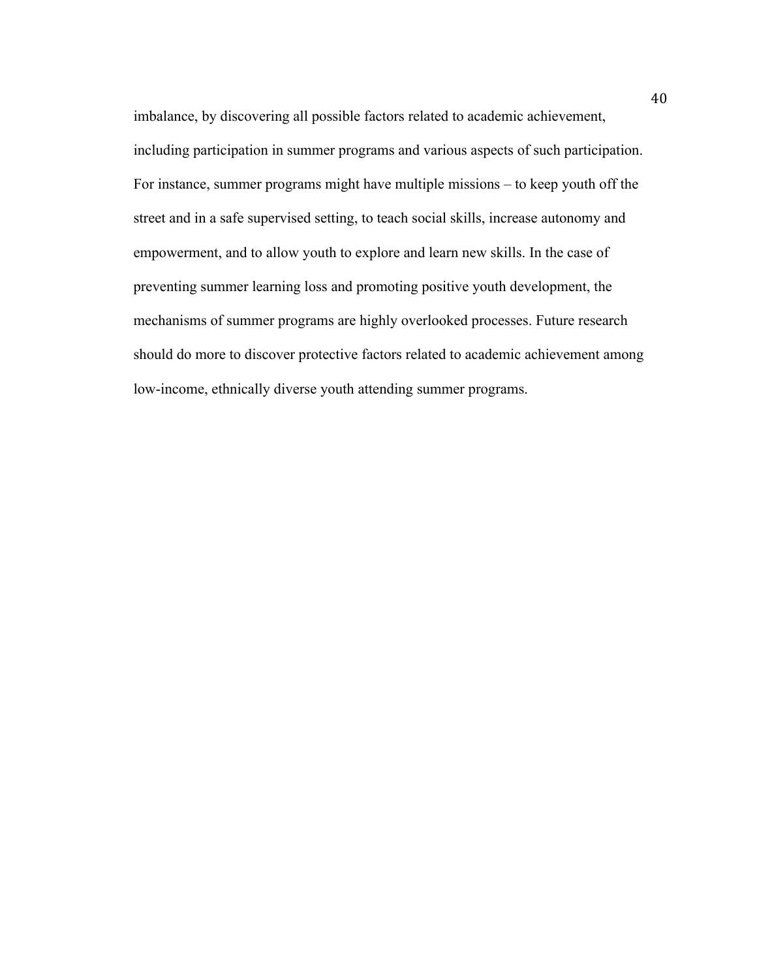imbalance, by discovering all possible factors related to academic achievement, including participation in summer programs and various aspects of such participation. For instance, summer programs might have multiple missions – to keep youth off the street and in a safe supervised setting, to teach social skills, increase autonomy and empowerment, and to allow youth to explore and learn new skills. In the case of preventing summer learning loss and promoting positive youth development, the mechanisms of summer programs are highly overlooked processes. Future research should do more to discover protective factors related to academic achievement among low-income, ethnically diverse youth attending summer programs.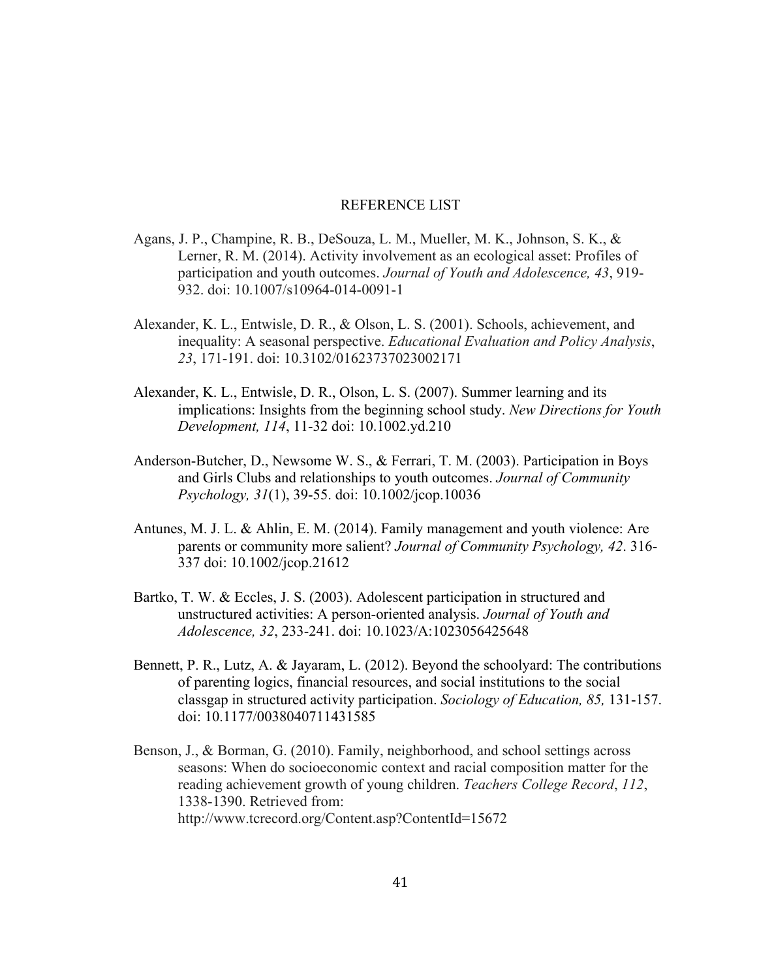# REFERENCE LIST

- Agans, J. P., Champine, R. B., DeSouza, L. M., Mueller, M. K., Johnson, S. K., & Lerner, R. M. (2014). Activity involvement as an ecological asset: Profiles of participation and youth outcomes. *Journal of Youth and Adolescence, 43*, 919- 932. doi: 10.1007/s10964-014-0091-1
- Alexander, K. L., Entwisle, D. R., & Olson, L. S. (2001). Schools, achievement, and inequality: A seasonal perspective. *Educational Evaluation and Policy Analysis*, *23*, 171-191. doi: 10.3102/01623737023002171
- Alexander, K. L., Entwisle, D. R., Olson, L. S. (2007). Summer learning and its implications: Insights from the beginning school study. *New Directions for Youth Development, 114*, 11-32 doi: 10.1002.yd.210
- Anderson-Butcher, D., Newsome W. S., & Ferrari, T. M. (2003). Participation in Boys and Girls Clubs and relationships to youth outcomes. *Journal of Community Psychology, 31*(1), 39-55. doi: 10.1002/jcop.10036
- Antunes, M. J. L. & Ahlin, E. M. (2014). Family management and youth violence: Are parents or community more salient? *Journal of Community Psychology, 42*. 316- 337 doi: 10.1002/jcop.21612
- Bartko, T. W. & Eccles, J. S. (2003). Adolescent participation in structured and unstructured activities: A person-oriented analysis. *Journal of Youth and Adolescence, 32*, 233-241. doi: 10.1023/A:1023056425648
- Bennett, P. R., Lutz, A. & Jayaram, L. (2012). Beyond the schoolyard: The contributions of parenting logics, financial resources, and social institutions to the social classgap in structured activity participation. *Sociology of Education, 85,* 131-157. doi: 10.1177/0038040711431585
- Benson, J., & Borman, G. (2010). Family, neighborhood, and school settings across seasons: When do socioeconomic context and racial composition matter for the reading achievement growth of young children. *Teachers College Record*, *112*, 1338-1390. Retrieved from: http://www.tcrecord.org/Content.asp?ContentId=15672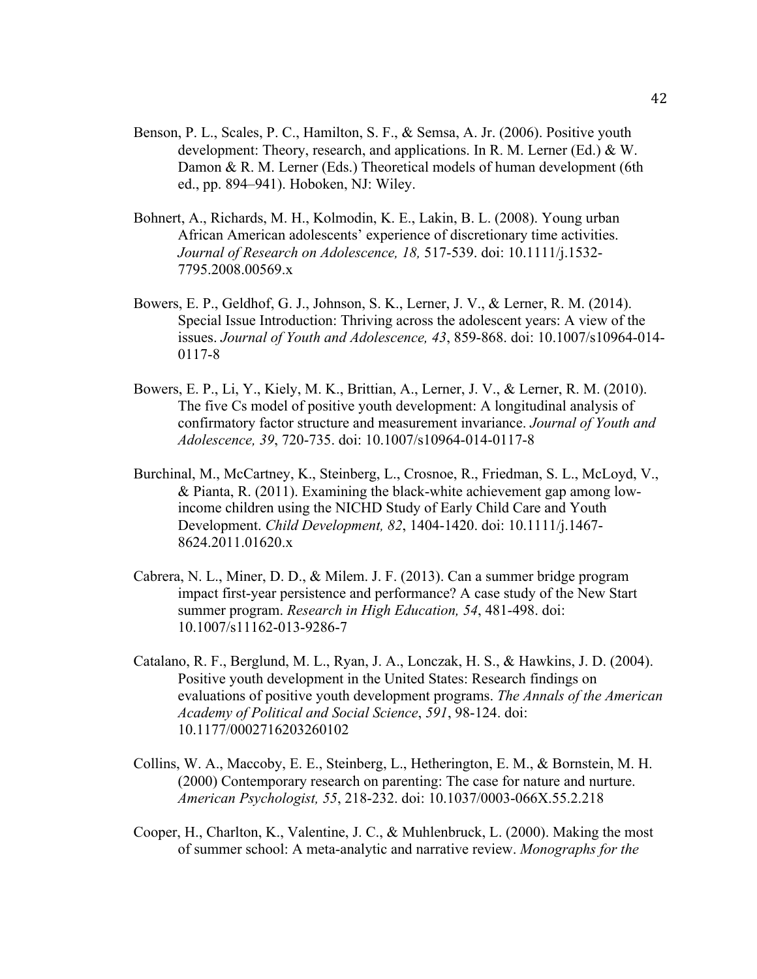- Benson, P. L., Scales, P. C., Hamilton, S. F., & Semsa, A. Jr. (2006). Positive youth development: Theory, research, and applications. In R. M. Lerner (Ed.) & W. Damon & R. M. Lerner (Eds.) Theoretical models of human development (6th ed., pp. 894–941). Hoboken, NJ: Wiley.
- Bohnert, A., Richards, M. H., Kolmodin, K. E., Lakin, B. L. (2008). Young urban African American adolescents' experience of discretionary time activities. *Journal of Research on Adolescence, 18,* 517-539. doi: 10.1111/j.1532- 7795.2008.00569.x
- Bowers, E. P., Geldhof, G. J., Johnson, S. K., Lerner, J. V., & Lerner, R. M. (2014). Special Issue Introduction: Thriving across the adolescent years: A view of the issues. *Journal of Youth and Adolescence, 43*, 859-868. doi: 10.1007/s10964-014- 0117-8
- Bowers, E. P., Li, Y., Kiely, M. K., Brittian, A., Lerner, J. V., & Lerner, R. M. (2010). The five Cs model of positive youth development: A longitudinal analysis of confirmatory factor structure and measurement invariance. *Journal of Youth and Adolescence, 39*, 720-735. doi: 10.1007/s10964-014-0117-8
- Burchinal, M., McCartney, K., Steinberg, L., Crosnoe, R., Friedman, S. L., McLoyd, V., & Pianta, R. (2011). Examining the black-white achievement gap among lowincome children using the NICHD Study of Early Child Care and Youth Development. *Child Development, 82*, 1404-1420. doi: 10.1111/j.1467- 8624.2011.01620.x
- Cabrera, N. L., Miner, D. D., & Milem. J. F. (2013). Can a summer bridge program impact first-year persistence and performance? A case study of the New Start summer program. *Research in High Education, 54*, 481-498. doi: 10.1007/s11162-013-9286-7
- Catalano, R. F., Berglund, M. L., Ryan, J. A., Lonczak, H. S., & Hawkins, J. D. (2004). Positive youth development in the United States: Research findings on evaluations of positive youth development programs. *The Annals of the American Academy of Political and Social Science*, *591*, 98-124. doi: 10.1177/0002716203260102
- Collins, W. A., Maccoby, E. E., Steinberg, L., Hetherington, E. M., & Bornstein, M. H. (2000) Contemporary research on parenting: The case for nature and nurture. *American Psychologist, 55*, 218-232. doi: 10.1037/0003-066X.55.2.218
- Cooper, H., Charlton, K., Valentine, J. C., & Muhlenbruck, L. (2000). Making the most of summer school: A meta-analytic and narrative review. *Monographs for the*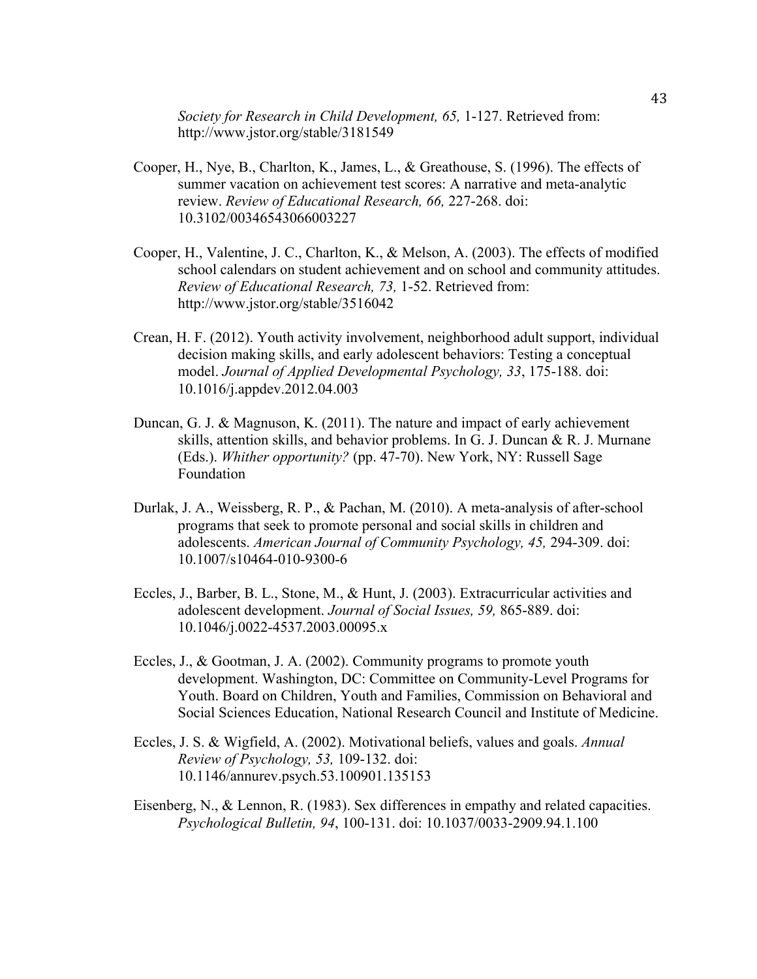*Society for Research in Child Development, 65,* 1-127. Retrieved from: http://www.jstor.org/stable/3181549

- Cooper, H., Nye, B., Charlton, K., James, L., & Greathouse, S. (1996). The effects of summer vacation on achievement test scores: A narrative and meta-analytic review. *Review of Educational Research, 66,* 227-268. doi: 10.3102/00346543066003227
- Cooper, H., Valentine, J. C., Charlton, K., & Melson, A. (2003). The effects of modified school calendars on student achievement and on school and community attitudes. *Review of Educational Research, 73,* 1-52. Retrieved from: http://www.jstor.org/stable/3516042
- Crean, H. F. (2012). Youth activity involvement, neighborhood adult support, individual decision making skills, and early adolescent behaviors: Testing a conceptual model. *Journal of Applied Developmental Psychology, 33*, 175-188. doi: 10.1016/j.appdev.2012.04.003
- Duncan, G. J. & Magnuson, K. (2011). The nature and impact of early achievement skills, attention skills, and behavior problems. In G. J. Duncan & R. J. Murnane (Eds.). *Whither opportunity?* (pp. 47-70). New York, NY: Russell Sage Foundation
- Durlak, J. A., Weissberg, R. P., & Pachan, M. (2010). A meta-analysis of after-school programs that seek to promote personal and social skills in children and adolescents. *American Journal of Community Psychology, 45,* 294-309. doi: 10.1007/s10464-010-9300-6
- Eccles, J., Barber, B. L., Stone, M., & Hunt, J. (2003). Extracurricular activities and adolescent development. *Journal of Social Issues, 59,* 865-889. doi: 10.1046/j.0022-4537.2003.00095.x
- Eccles, J., & Gootman, J. A. (2002). Community programs to promote youth development. Washington, DC: Committee on Community-Level Programs for Youth. Board on Children, Youth and Families, Commission on Behavioral and Social Sciences Education, National Research Council and Institute of Medicine.
- Eccles, J. S. & Wigfield, A. (2002). Motivational beliefs, values and goals. *Annual Review of Psychology, 53,* 109-132. doi: 10.1146/annurev.psych.53.100901.135153
- Eisenberg, N., & Lennon, R. (1983). Sex differences in empathy and related capacities. *Psychological Bulletin, 94*, 100-131. doi: 10.1037/0033-2909.94.1.100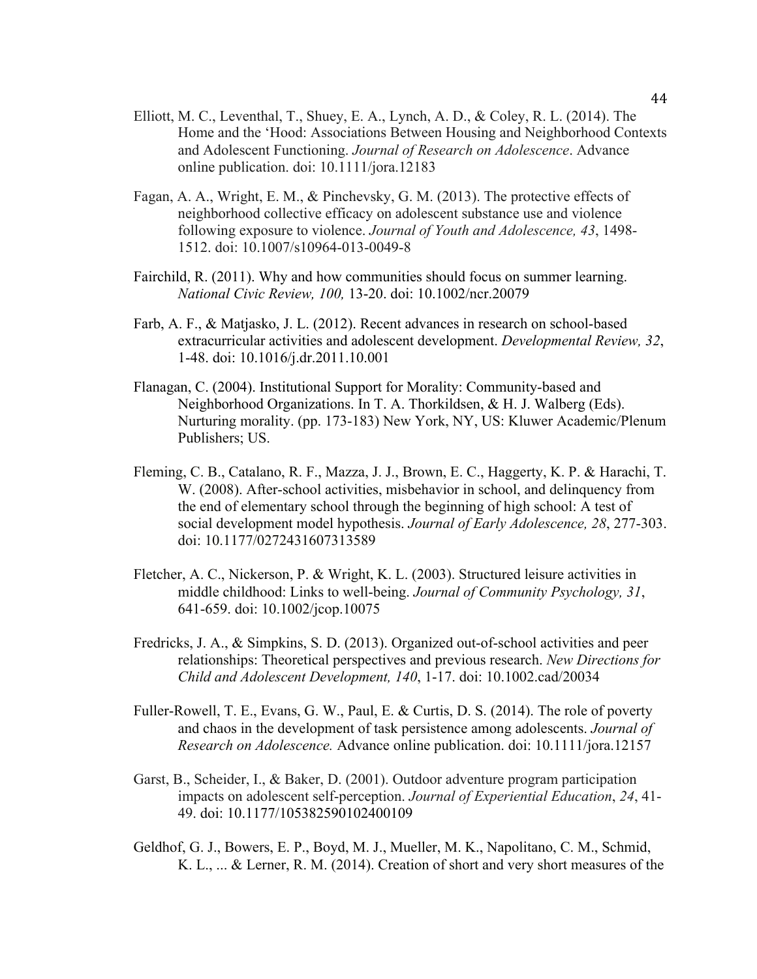- Elliott, M. C., Leventhal, T., Shuey, E. A., Lynch, A. D., & Coley, R. L. (2014). The Home and the 'Hood: Associations Between Housing and Neighborhood Contexts and Adolescent Functioning. *Journal of Research on Adolescence*. Advance online publication. doi: 10.1111/jora.12183
- Fagan, A. A., Wright, E. M., & Pinchevsky, G. M. (2013). The protective effects of neighborhood collective efficacy on adolescent substance use and violence following exposure to violence. *Journal of Youth and Adolescence, 43*, 1498- 1512. doi: 10.1007/s10964-013-0049-8
- Fairchild, R. (2011). Why and how communities should focus on summer learning. *National Civic Review, 100,* 13-20. doi: 10.1002/ncr.20079
- Farb, A. F., & Matjasko, J. L. (2012). Recent advances in research on school-based extracurricular activities and adolescent development. *Developmental Review, 32*, 1-48. doi: 10.1016/j.dr.2011.10.001
- Flanagan, C. (2004). Institutional Support for Morality: Community-based and Neighborhood Organizations. In T. A. Thorkildsen, & H. J. Walberg (Eds). Nurturing morality. (pp. 173-183) New York, NY, US: Kluwer Academic/Plenum Publishers; US.
- Fleming, C. B., Catalano, R. F., Mazza, J. J., Brown, E. C., Haggerty, K. P. & Harachi, T. W. (2008). After-school activities, misbehavior in school, and delinquency from the end of elementary school through the beginning of high school: A test of social development model hypothesis. *Journal of Early Adolescence, 28*, 277-303. doi: 10.1177/0272431607313589
- Fletcher, A. C., Nickerson, P. & Wright, K. L. (2003). Structured leisure activities in middle childhood: Links to well-being. *Journal of Community Psychology, 31*, 641-659. doi: 10.1002/jcop.10075
- Fredricks, J. A., & Simpkins, S. D. (2013). Organized out-of-school activities and peer relationships: Theoretical perspectives and previous research. *New Directions for Child and Adolescent Development, 140*, 1-17. doi: 10.1002.cad/20034
- Fuller-Rowell, T. E., Evans, G. W., Paul, E. & Curtis, D. S. (2014). The role of poverty and chaos in the development of task persistence among adolescents. *Journal of Research on Adolescence.* Advance online publication. doi: 10.1111/jora.12157
- Garst, B., Scheider, I., & Baker, D. (2001). Outdoor adventure program participation impacts on adolescent self-perception. *Journal of Experiential Education*, *24*, 41- 49. doi: 10.1177/105382590102400109
- Geldhof, G. J., Bowers, E. P., Boyd, M. J., Mueller, M. K., Napolitano, C. M., Schmid, K. L., ... & Lerner, R. M. (2014). Creation of short and very short measures of the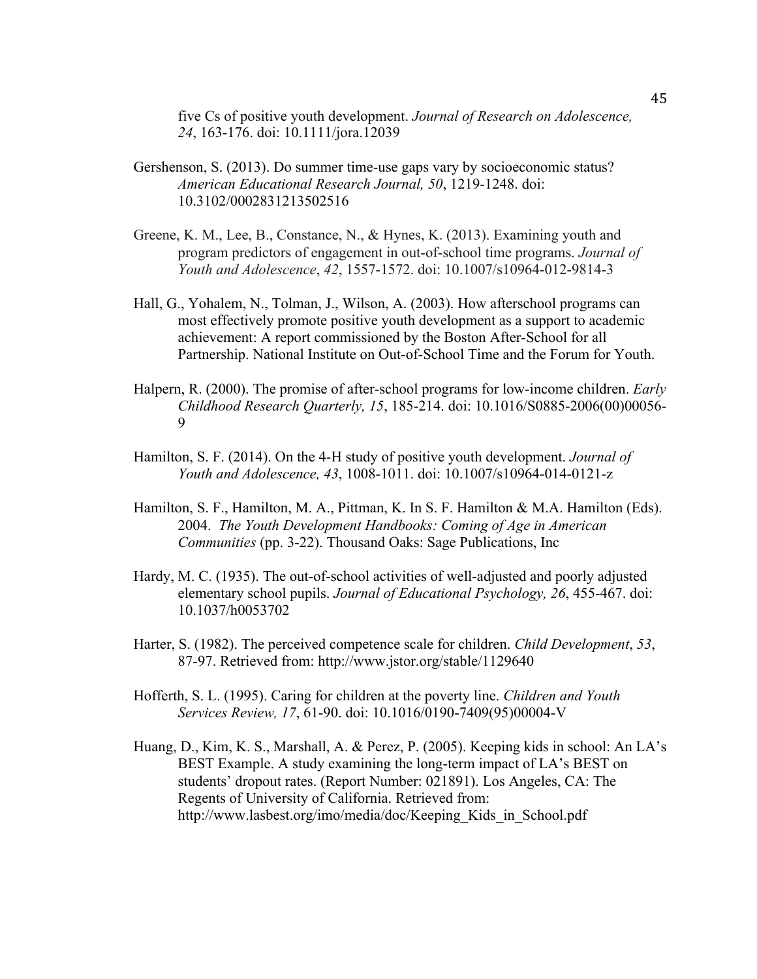five Cs of positive youth development. *Journal of Research on Adolescence, 24*, 163-176. doi: 10.1111/jora.12039

- Gershenson, S. (2013). Do summer time-use gaps vary by socioeconomic status? *American Educational Research Journal, 50*, 1219-1248. doi: 10.3102/0002831213502516
- Greene, K. M., Lee, B., Constance, N., & Hynes, K. (2013). Examining youth and program predictors of engagement in out-of-school time programs. *Journal of Youth and Adolescence*, *42*, 1557-1572. doi: 10.1007/s10964-012-9814-3
- Hall, G., Yohalem, N., Tolman, J., Wilson, A. (2003). How afterschool programs can most effectively promote positive youth development as a support to academic achievement: A report commissioned by the Boston After-School for all Partnership. National Institute on Out-of-School Time and the Forum for Youth.
- Halpern, R. (2000). The promise of after-school programs for low-income children. *Early Childhood Research Quarterly, 15*, 185-214. doi: 10.1016/S0885-2006(00)00056- 9
- Hamilton, S. F. (2014). On the 4-H study of positive youth development. *Journal of Youth and Adolescence, 43*, 1008-1011. doi: 10.1007/s10964-014-0121-z
- Hamilton, S. F., Hamilton, M. A., Pittman, K. In S. F. Hamilton & M.A. Hamilton (Eds). 2004. *The Youth Development Handbooks: Coming of Age in American Communities* (pp. 3-22). Thousand Oaks: Sage Publications, Inc
- Hardy, M. C. (1935). The out-of-school activities of well-adjusted and poorly adjusted elementary school pupils. *Journal of Educational Psychology, 26*, 455-467. doi: 10.1037/h0053702
- Harter, S. (1982). The perceived competence scale for children. *Child Development*, *53*, 87-97. Retrieved from: http://www.jstor.org/stable/1129640
- Hofferth, S. L. (1995). Caring for children at the poverty line. *Children and Youth Services Review, 17*, 61-90. doi: 10.1016/0190-7409(95)00004-V
- Huang, D., Kim, K. S., Marshall, A. & Perez, P. (2005). Keeping kids in school: An LA's BEST Example. A study examining the long-term impact of LA's BEST on students' dropout rates. (Report Number: 021891). Los Angeles, CA: The Regents of University of California. Retrieved from: http://www.lasbest.org/imo/media/doc/Keeping\_Kids\_in\_School.pdf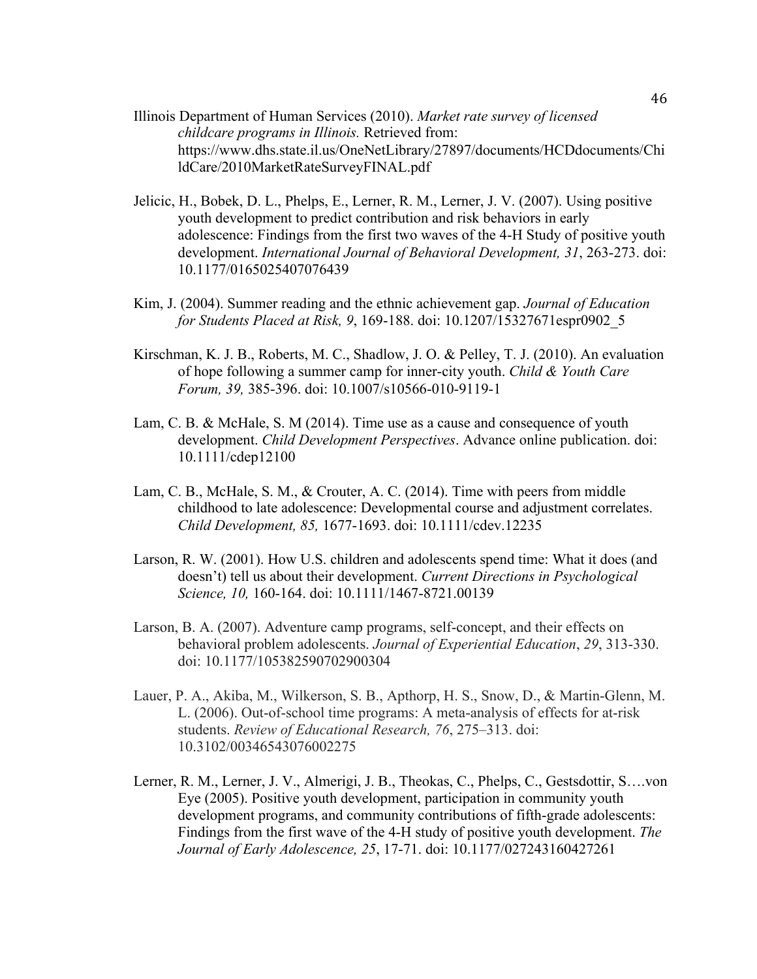- Illinois Department of Human Services (2010). *Market rate survey of licensed childcare programs in Illinois.* Retrieved from: https://www.dhs.state.il.us/OneNetLibrary/27897/documents/HCDdocuments/Chi ldCare/2010MarketRateSurveyFINAL.pdf
- Jelicic, H., Bobek, D. L., Phelps, E., Lerner, R. M., Lerner, J. V. (2007). Using positive youth development to predict contribution and risk behaviors in early adolescence: Findings from the first two waves of the 4-H Study of positive youth development. *International Journal of Behavioral Development, 31*, 263-273. doi: 10.1177/0165025407076439
- Kim, J. (2004). Summer reading and the ethnic achievement gap. *Journal of Education for Students Placed at Risk, 9*, 169-188. doi: 10.1207/15327671espr0902\_5
- Kirschman, K. J. B., Roberts, M. C., Shadlow, J. O. & Pelley, T. J. (2010). An evaluation of hope following a summer camp for inner-city youth. *Child & Youth Care Forum, 39,* 385-396. doi: 10.1007/s10566-010-9119-1
- Lam, C. B. & McHale, S. M (2014). Time use as a cause and consequence of youth development. *Child Development Perspectives*. Advance online publication. doi: 10.1111/cdep12100
- Lam, C. B., McHale, S. M., & Crouter, A. C. (2014). Time with peers from middle childhood to late adolescence: Developmental course and adjustment correlates. *Child Development, 85,* 1677-1693. doi: 10.1111/cdev.12235
- Larson, R. W. (2001). How U.S. children and adolescents spend time: What it does (and doesn't) tell us about their development. *Current Directions in Psychological Science, 10,* 160-164. doi: 10.1111/1467-8721.00139
- Larson, B. A. (2007). Adventure camp programs, self-concept, and their effects on behavioral problem adolescents. *Journal of Experiential Education*, *29*, 313-330. doi: 10.1177/105382590702900304
- Lauer, P. A., Akiba, M., Wilkerson, S. B., Apthorp, H. S., Snow, D., & Martin-Glenn, M. L. (2006). Out-of-school time programs: A meta-analysis of effects for at-risk students. *Review of Educational Research, 76*, 275–313. doi: 10.3102/00346543076002275
- Lerner, R. M., Lerner, J. V., Almerigi, J. B., Theokas, C., Phelps, C., Gestsdottir, S….von Eye (2005). Positive youth development, participation in community youth development programs, and community contributions of fifth-grade adolescents: Findings from the first wave of the 4-H study of positive youth development. *The Journal of Early Adolescence, 25*, 17-71. doi: 10.1177/027243160427261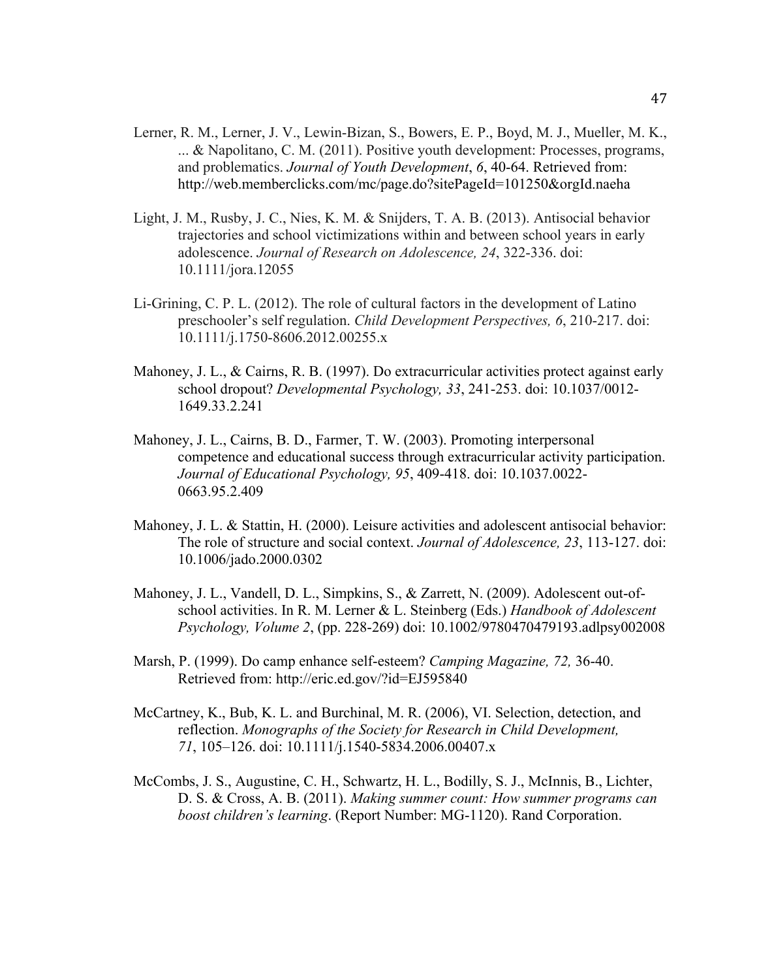- Lerner, R. M., Lerner, J. V., Lewin-Bizan, S., Bowers, E. P., Boyd, M. J., Mueller, M. K., ... & Napolitano, C. M. (2011). Positive youth development: Processes, programs, and problematics. *Journal of Youth Development*, *6*, 40-64. Retrieved from: http://web.memberclicks.com/mc/page.do?sitePageId=101250&orgId.naeha
- Light, J. M., Rusby, J. C., Nies, K. M. & Snijders, T. A. B. (2013). Antisocial behavior trajectories and school victimizations within and between school years in early adolescence. *Journal of Research on Adolescence, 24*, 322-336. doi: 10.1111/jora.12055
- Li-Grining, C. P. L. (2012). The role of cultural factors in the development of Latino preschooler's self regulation. *Child Development Perspectives, 6*, 210-217. doi: 10.1111/j.1750-8606.2012.00255.x
- Mahoney, J. L., & Cairns, R. B. (1997). Do extracurricular activities protect against early school dropout? *Developmental Psychology, 33*, 241-253. doi: 10.1037/0012- 1649.33.2.241
- Mahoney, J. L., Cairns, B. D., Farmer, T. W. (2003). Promoting interpersonal competence and educational success through extracurricular activity participation. *Journal of Educational Psychology, 95*, 409-418. doi: 10.1037.0022- 0663.95.2.409
- Mahoney, J. L. & Stattin, H. (2000). Leisure activities and adolescent antisocial behavior: The role of structure and social context. *Journal of Adolescence, 23*, 113-127. doi: 10.1006/jado.2000.0302
- Mahoney, J. L., Vandell, D. L., Simpkins, S., & Zarrett, N. (2009). Adolescent out-ofschool activities. In R. M. Lerner & L. Steinberg (Eds.) *Handbook of Adolescent Psychology, Volume 2*, (pp. 228-269) doi: 10.1002/9780470479193.adlpsy002008
- Marsh, P. (1999). Do camp enhance self-esteem? *Camping Magazine, 72,* 36-40. Retrieved from: http://eric.ed.gov/?id=EJ595840
- McCartney, K., Bub, K. L. and Burchinal, M. R. (2006), VI. Selection, detection, and reflection. *Monographs of the Society for Research in Child Development, 71*, 105–126. doi: 10.1111/j.1540-5834.2006.00407.x
- McCombs, J. S., Augustine, C. H., Schwartz, H. L., Bodilly, S. J., McInnis, B., Lichter, D. S. & Cross, A. B. (2011). *Making summer count: How summer programs can boost children's learning*. (Report Number: MG-1120). Rand Corporation.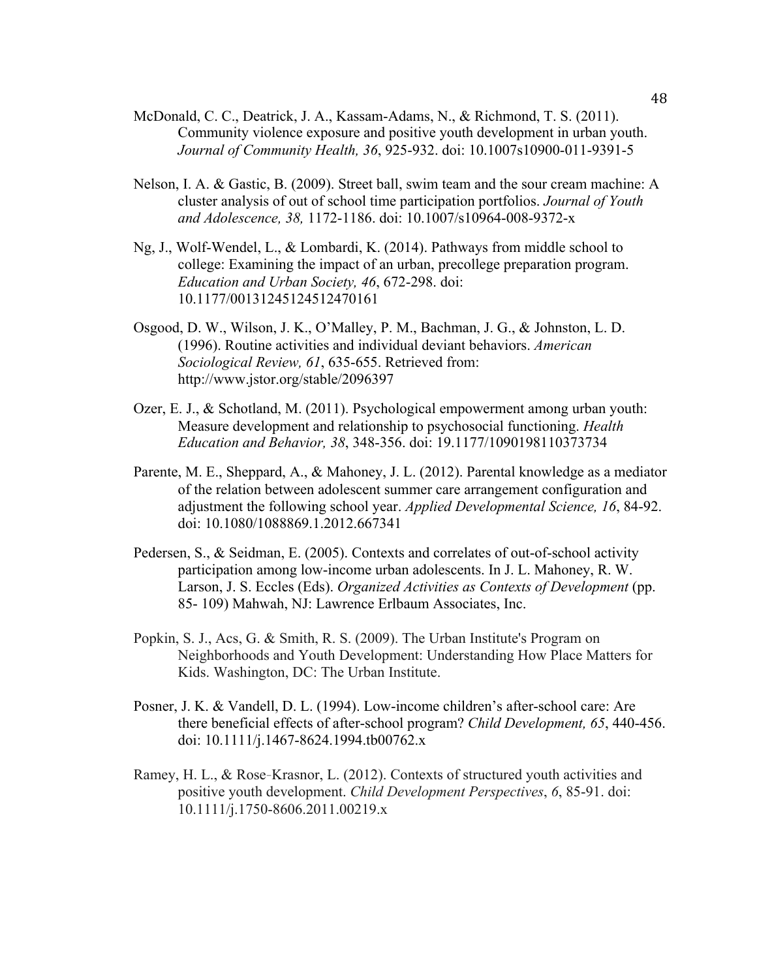- McDonald, C. C., Deatrick, J. A., Kassam-Adams, N., & Richmond, T. S. (2011). Community violence exposure and positive youth development in urban youth. *Journal of Community Health, 36*, 925-932. doi: 10.1007s10900-011-9391-5
- Nelson, I. A. & Gastic, B. (2009). Street ball, swim team and the sour cream machine: A cluster analysis of out of school time participation portfolios. *Journal of Youth and Adolescence, 38,* 1172-1186. doi: 10.1007/s10964-008-9372-x
- Ng, J., Wolf-Wendel, L., & Lombardi, K. (2014). Pathways from middle school to college: Examining the impact of an urban, precollege preparation program. *Education and Urban Society, 46*, 672-298. doi: 10.1177/00131245124512470161
- Osgood, D. W., Wilson, J. K., O'Malley, P. M., Bachman, J. G., & Johnston, L. D. (1996). Routine activities and individual deviant behaviors. *American Sociological Review, 61*, 635-655. Retrieved from: http://www.jstor.org/stable/2096397
- Ozer, E. J., & Schotland, M. (2011). Psychological empowerment among urban youth: Measure development and relationship to psychosocial functioning. *Health Education and Behavior, 38*, 348-356. doi: 19.1177/1090198110373734
- Parente, M. E., Sheppard, A., & Mahoney, J. L. (2012). Parental knowledge as a mediator of the relation between adolescent summer care arrangement configuration and adjustment the following school year. *Applied Developmental Science, 16*, 84-92. doi: 10.1080/1088869.1.2012.667341
- Pedersen, S., & Seidman, E. (2005). Contexts and correlates of out-of-school activity participation among low-income urban adolescents. In J. L. Mahoney, R. W. Larson, J. S. Eccles (Eds). *Organized Activities as Contexts of Development* (pp. 85- 109) Mahwah, NJ: Lawrence Erlbaum Associates, Inc.
- Popkin, S. J., Acs, G. & Smith, R. S. (2009). The Urban Institute's Program on Neighborhoods and Youth Development: Understanding How Place Matters for Kids. Washington, DC: The Urban Institute.
- Posner, J. K. & Vandell, D. L. (1994). Low-income children's after-school care: Are there beneficial effects of after-school program? *Child Development, 65*, 440-456. doi: 10.1111/j.1467-8624.1994.tb00762.x
- Ramey, H. L., & Rose‐Krasnor, L. (2012). Contexts of structured youth activities and positive youth development. *Child Development Perspectives*, *6*, 85-91. doi: 10.1111/j.1750-8606.2011.00219.x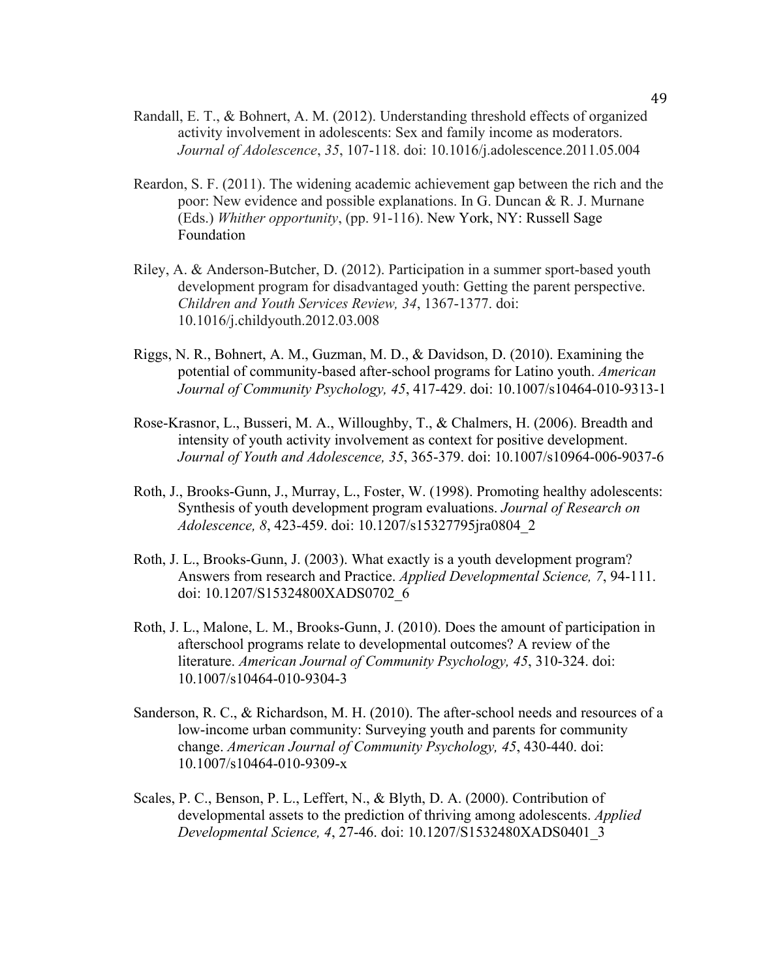- Randall, E. T., & Bohnert, A. M. (2012). Understanding threshold effects of organized activity involvement in adolescents: Sex and family income as moderators. *Journal of Adolescence*, *35*, 107-118. doi: 10.1016/j.adolescence.2011.05.004
- Reardon, S. F. (2011). The widening academic achievement gap between the rich and the poor: New evidence and possible explanations. In G. Duncan & R. J. Murnane (Eds.) *Whither opportunity*, (pp. 91-116). New York, NY: Russell Sage Foundation
- Riley, A. & Anderson-Butcher, D. (2012). Participation in a summer sport-based youth development program for disadvantaged youth: Getting the parent perspective. *Children and Youth Services Review, 34*, 1367-1377. doi: 10.1016/j.childyouth.2012.03.008
- Riggs, N. R., Bohnert, A. M., Guzman, M. D., & Davidson, D. (2010). Examining the potential of community-based after-school programs for Latino youth. *American Journal of Community Psychology, 45*, 417-429. doi: 10.1007/s10464-010-9313-1
- Rose-Krasnor, L., Busseri, M. A., Willoughby, T., & Chalmers, H. (2006). Breadth and intensity of youth activity involvement as context for positive development. *Journal of Youth and Adolescence, 35*, 365-379. doi: 10.1007/s10964-006-9037-6
- Roth, J., Brooks-Gunn, J., Murray, L., Foster, W. (1998). Promoting healthy adolescents: Synthesis of youth development program evaluations. *Journal of Research on Adolescence, 8*, 423-459. doi: 10.1207/s15327795jra0804\_2
- Roth, J. L., Brooks-Gunn, J. (2003). What exactly is a youth development program? Answers from research and Practice. *Applied Developmental Science, 7*, 94-111. doi: 10.1207/S15324800XADS0702\_6
- Roth, J. L., Malone, L. M., Brooks-Gunn, J. (2010). Does the amount of participation in afterschool programs relate to developmental outcomes? A review of the literature. *American Journal of Community Psychology, 45*, 310-324. doi: 10.1007/s10464-010-9304-3
- Sanderson, R. C., & Richardson, M. H. (2010). The after-school needs and resources of a low-income urban community: Surveying youth and parents for community change. *American Journal of Community Psychology, 45*, 430-440. doi: 10.1007/s10464-010-9309-x
- Scales, P. C., Benson, P. L., Leffert, N., & Blyth, D. A. (2000). Contribution of developmental assets to the prediction of thriving among adolescents. *Applied Developmental Science, 4*, 27-46. doi: 10.1207/S1532480XADS0401\_3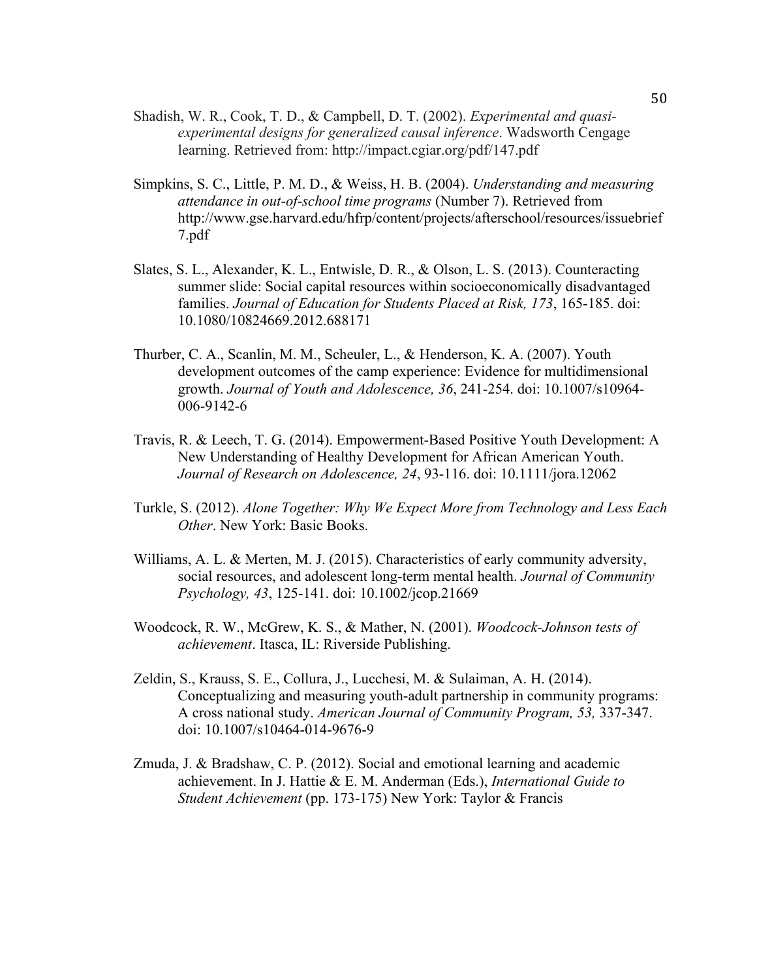- Shadish, W. R., Cook, T. D., & Campbell, D. T. (2002). *Experimental and quasiexperimental designs for generalized causal inference*. Wadsworth Cengage learning. Retrieved from: http://impact.cgiar.org/pdf/147.pdf
- Simpkins, S. C., Little, P. M. D., & Weiss, H. B. (2004). *Understanding and measuring attendance in out*-*of*-*school time programs* (Number 7). Retrieved from http://www.gse.harvard.edu/hfrp/content/projects/afterschool/resources/issuebrief 7.pdf
- Slates, S. L., Alexander, K. L., Entwisle, D. R., & Olson, L. S. (2013). Counteracting summer slide: Social capital resources within socioeconomically disadvantaged families. *Journal of Education for Students Placed at Risk, 173*, 165-185. doi: 10.1080/10824669.2012.688171
- Thurber, C. A., Scanlin, M. M., Scheuler, L., & Henderson, K. A. (2007). Youth development outcomes of the camp experience: Evidence for multidimensional growth. *Journal of Youth and Adolescence, 36*, 241-254. doi: 10.1007/s10964- 006-9142-6
- Travis, R. & Leech, T. G. (2014). Empowerment-Based Positive Youth Development: A New Understanding of Healthy Development for African American Youth. *Journal of Research on Adolescence, 24*, 93-116. doi: 10.1111/jora.12062
- Turkle, S. (2012). *Alone Together: Why We Expect More from Technology and Less Each Other*. New York: Basic Books.
- Williams, A. L. & Merten, M. J. (2015). Characteristics of early community adversity, social resources, and adolescent long-term mental health. *Journal of Community Psychology, 43*, 125-141. doi: 10.1002/jcop.21669
- Woodcock, R. W., McGrew, K. S., & Mather, N. (2001). *Woodcock-Johnson tests of achievement*. Itasca, IL: Riverside Publishing.
- Zeldin, S., Krauss, S. E., Collura, J., Lucchesi, M. & Sulaiman, A. H. (2014). Conceptualizing and measuring youth-adult partnership in community programs: A cross national study. *American Journal of Community Program, 53,* 337-347. doi: 10.1007/s10464-014-9676-9
- Zmuda, J. & Bradshaw, C. P. (2012). Social and emotional learning and academic achievement. In J. Hattie & E. M. Anderman (Eds.), *International Guide to Student Achievement* (pp. 173-175) New York: Taylor & Francis